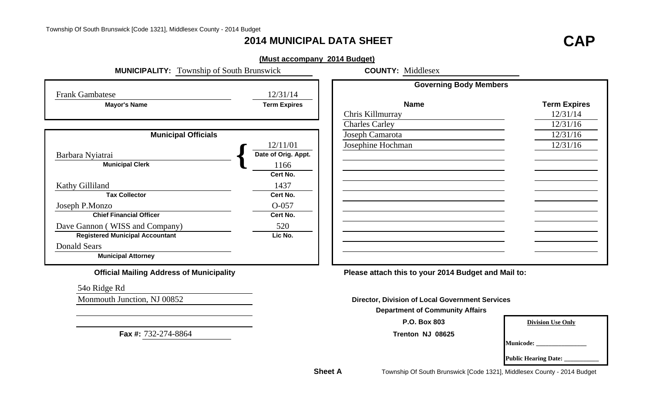## **2014 MUNICIPAL DATA SHEET**

# **T CAP**

|                                                  | (Must accompany 2014 Budget) |                                                        |                          |
|--------------------------------------------------|------------------------------|--------------------------------------------------------|--------------------------|
| <b>MUNICIPALITY:</b> Township of South Brunswick |                              | <b>COUNTY: Middlesex</b>                               |                          |
|                                                  | 12/31/14                     | <b>Governing Body Members</b>                          |                          |
| <b>Frank Gambatese</b>                           |                              | <b>Name</b>                                            |                          |
| <b>Mayor's Name</b>                              | <b>Term Expires</b>          |                                                        | <b>Term Expires</b>      |
|                                                  |                              | Chris Killmurray                                       | 12/31/14                 |
|                                                  |                              | <b>Charles Carley</b>                                  | 12/31/16                 |
| <b>Municipal Officials</b>                       |                              | Joseph Camarota                                        | 12/31/16                 |
|                                                  | 12/11/01                     | Josephine Hochman                                      | 12/31/16                 |
| Barbara Nyiatrai                                 | Date of Orig. Appt.          |                                                        |                          |
| <b>Municipal Clerk</b>                           | 1166                         |                                                        |                          |
|                                                  | Cert No.                     |                                                        |                          |
| Kathy Gilliland                                  | 1437                         |                                                        |                          |
| <b>Tax Collector</b>                             | Cert No.                     |                                                        |                          |
| Joseph P.Monzo                                   | $O-057$                      |                                                        |                          |
| <b>Chief Financial Officer</b>                   | Cert No.                     |                                                        |                          |
| Dave Gannon (WISS and Company)                   | 520                          |                                                        |                          |
| <b>Registered Municipal Accountant</b>           | Lic No.                      |                                                        |                          |
| <b>Donald Sears</b>                              |                              |                                                        |                          |
| <b>Municipal Attorney</b>                        |                              |                                                        |                          |
| <b>Official Mailing Address of Municipality</b>  |                              | Please attach this to your 2014 Budget and Mail to:    |                          |
| 540 Ridge Rd                                     |                              |                                                        |                          |
| Monmouth Junction, NJ 00852                      |                              | <b>Director, Division of Local Government Services</b> |                          |
|                                                  |                              | <b>Department of Community Affairs</b>                 |                          |
|                                                  |                              | P.O. Box 803                                           | <b>Division Use Only</b> |
| Fax #: 732-274-8864                              |                              | Trenton NJ 08625                                       |                          |
|                                                  |                              |                                                        | <b>Municode:</b>         |
|                                                  |                              |                                                        | Public Hearing Date: _   |

**Sheet A**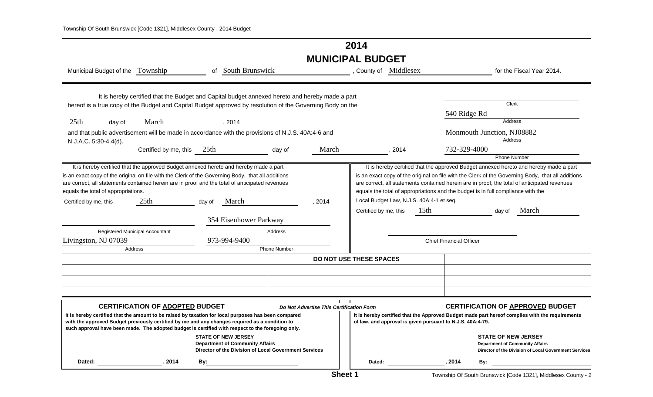## **2014 MUNICIPAL BUDGET**

| Municipal Budget of the Township                                                                                                                                                                                                                                                                                                                                                                                                    |                                                                                                 |        | of South Brunswick                                                                                                            |                                |                                          | , County of Middlesex                                             |        |      |                                |                                                                                            | for the Fiscal Year 2014.                                                                                                                                                                                                                                                                           |
|-------------------------------------------------------------------------------------------------------------------------------------------------------------------------------------------------------------------------------------------------------------------------------------------------------------------------------------------------------------------------------------------------------------------------------------|-------------------------------------------------------------------------------------------------|--------|-------------------------------------------------------------------------------------------------------------------------------|--------------------------------|------------------------------------------|-------------------------------------------------------------------|--------|------|--------------------------------|--------------------------------------------------------------------------------------------|-----------------------------------------------------------------------------------------------------------------------------------------------------------------------------------------------------------------------------------------------------------------------------------------------------|
| hereof is a true copy of the Budget and Capital Budget approved by resolution of the Governing Body on the                                                                                                                                                                                                                                                                                                                          | It is hereby certified that the Budget and Capital budget annexed hereto and hereby made a part |        |                                                                                                                               |                                |                                          |                                                                   |        |      | 540 Ridge Rd                   | Clerk                                                                                      |                                                                                                                                                                                                                                                                                                     |
| 25th<br>day of                                                                                                                                                                                                                                                                                                                                                                                                                      | March                                                                                           |        | , 2014                                                                                                                        |                                |                                          |                                                                   |        |      |                                | <b>Address</b>                                                                             |                                                                                                                                                                                                                                                                                                     |
| and that public advertisement will be made in accordance with the provisions of N.J.S. 40A:4-6 and                                                                                                                                                                                                                                                                                                                                  |                                                                                                 |        |                                                                                                                               |                                |                                          |                                                                   |        |      |                                | Monmouth Junction, NJ08882                                                                 |                                                                                                                                                                                                                                                                                                     |
| N.J.A.C. 5:30-4.4(d).                                                                                                                                                                                                                                                                                                                                                                                                               |                                                                                                 |        |                                                                                                                               |                                |                                          |                                                                   |        |      |                                | <b>Address</b>                                                                             |                                                                                                                                                                                                                                                                                                     |
|                                                                                                                                                                                                                                                                                                                                                                                                                                     | Certified by me, this 25th                                                                      |        |                                                                                                                               | day of                         | March                                    |                                                                   | , 2014 |      | 732-329-4000                   | <b>Phone Number</b>                                                                        |                                                                                                                                                                                                                                                                                                     |
| It is hereby certified that the approved Budget annexed hereto and hereby made a part<br>is an exact copy of the original on file with the Clerk of the Governing Body, that all additions<br>are correct, all statements contained herein are in proof and the total of anticipated revenues<br>equals the total of appropriations.<br>Certified by me, this<br>Registered Municipal Accountant<br>Livingston, NJ 07039<br>Address | 25 <sup>th</sup>                                                                                | day of | March<br>354 Eisenhower Parkway<br>973-994-9400                                                                               | Address<br><b>Phone Number</b> | , 2014                                   | Local Budget Law, N.J.S. 40A:4-1 et seq.<br>Certified by me, this |        | 15th | <b>Chief Financial Officer</b> | equals the total of appropriations and the budget is in full compliance with the<br>day of | It is hereby certified that the approved Budget annexed hereto and hereby made a part<br>is an exact copy of the original on file with the Clerk of the Governing Body, that all additions<br>are correct, all statements contained herein are in proof, the total of anticipated revenues<br>March |
|                                                                                                                                                                                                                                                                                                                                                                                                                                     |                                                                                                 |        |                                                                                                                               |                                |                                          | DO NOT USE THESE SPACES                                           |        |      |                                |                                                                                            |                                                                                                                                                                                                                                                                                                     |
|                                                                                                                                                                                                                                                                                                                                                                                                                                     |                                                                                                 |        |                                                                                                                               |                                |                                          |                                                                   |        |      |                                |                                                                                            |                                                                                                                                                                                                                                                                                                     |
|                                                                                                                                                                                                                                                                                                                                                                                                                                     |                                                                                                 |        |                                                                                                                               |                                |                                          |                                                                   |        |      |                                |                                                                                            |                                                                                                                                                                                                                                                                                                     |
|                                                                                                                                                                                                                                                                                                                                                                                                                                     |                                                                                                 |        |                                                                                                                               |                                |                                          |                                                                   |        |      |                                |                                                                                            |                                                                                                                                                                                                                                                                                                     |
| It is hereby certified that the amount to be raised by taxation for local purposes has been compared<br>with the approved Budget previously certified by me and any changes required as a condition to<br>such approval have been made. The adopted budget is certified with respect to the foregoing only.                                                                                                                         | <b>CERTIFICATION OF ADOPTED BUDGET</b>                                                          |        | <b>STATE OF NEW JERSEY</b><br><b>Department of Community Affairs</b><br>Director of the Division of Local Government Services |                                | Do Not Advertise This Certification Form | of law, and approval is given pursuant to N.J.S. 40A:4-79.        |        |      |                                | <b>STATE OF NEW JERSEY</b><br><b>Department of Community Affairs</b>                       | <b>CERTIFICATION OF APPROVED BUDGET</b><br>It is hereby certified that the Approved Budget made part hereof complies with the requirements<br>Director of the Division of Local Government Services                                                                                                 |
| Dated:                                                                                                                                                                                                                                                                                                                                                                                                                              | 2014                                                                                            | By:    |                                                                                                                               |                                |                                          | Dated:                                                            |        |      | 2014                           | By:                                                                                        |                                                                                                                                                                                                                                                                                                     |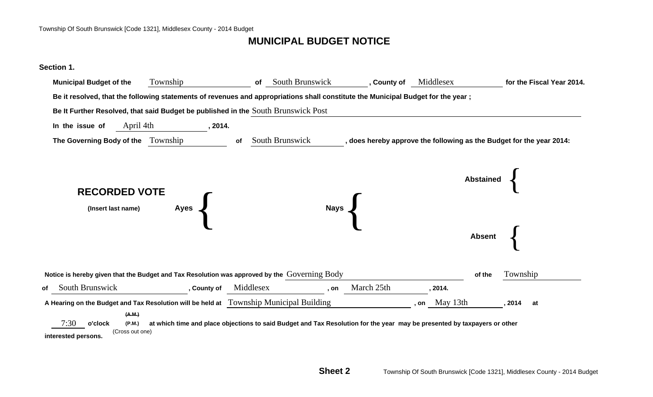## **MUNICIPAL BUDGET NOTICE**

#### **Section 1.**

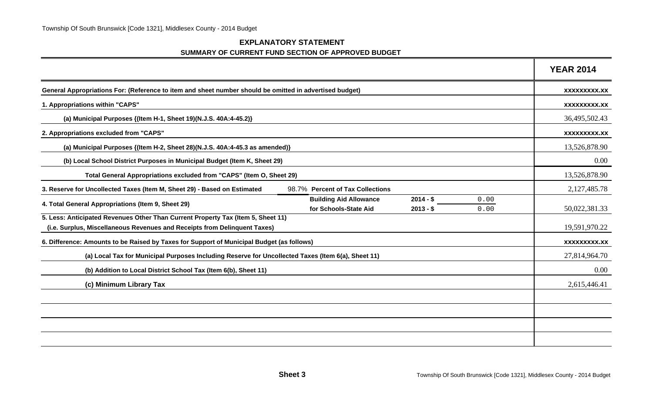#### **EXPLANATORY STATEMENT SUMMARY OF CURRENT FUND SECTION OF APPROVED BUDGET**

|                                                                                                                                                               |                                                        |                          |              | <b>YEAR 2014</b> |
|---------------------------------------------------------------------------------------------------------------------------------------------------------------|--------------------------------------------------------|--------------------------|--------------|------------------|
| General Appropriations For: (Reference to item and sheet number should be omitted in advertised budget)                                                       |                                                        |                          |              | XXXXXXXXX.XX     |
| 1. Appropriations within "CAPS"                                                                                                                               |                                                        |                          |              | XXXXXXXXX.XX     |
| (a) Municipal Purposes {(Item H-1, Sheet 19)(N.J.S. 40A:4-45.2)}                                                                                              |                                                        |                          |              | 36,495,502.43    |
| 2. Appropriations excluded from "CAPS"                                                                                                                        |                                                        |                          |              | XXXXXXXXX.XX     |
| (a) Municipal Purposes {(Item H-2, Sheet 28)(N.J.S. 40A:4-45.3 as amended)}                                                                                   |                                                        |                          |              | 13,526,878.90    |
| (b) Local School District Purposes in Municipal Budget (Item K, Sheet 29)                                                                                     |                                                        |                          |              | 0.00             |
| Total General Appropriations excluded from "CAPS" (Item O, Sheet 29)                                                                                          |                                                        |                          |              | 13,526,878.90    |
| 3. Reserve for Uncollected Taxes (Item M, Sheet 29) - Based on Estimated                                                                                      | 98.7% Percent of Tax Collections                       |                          |              | 2,127,485.78     |
| 4. Total General Appropriations (Item 9, Sheet 29)                                                                                                            | <b>Building Aid Allowance</b><br>for Schools-State Aid | $2014 - $$<br>$2013 - $$ | 0.00<br>0.00 | 50,022,381.33    |
| 5. Less: Anticipated Revenues Other Than Current Property Tax (Item 5, Sheet 11)<br>(i.e. Surplus, Miscellaneous Revenues and Receipts from Delinquent Taxes) |                                                        |                          |              | 19,591,970.22    |
| 6. Difference: Amounts to be Raised by Taxes for Support of Municipal Budget (as follows)                                                                     |                                                        |                          |              | XXXXXXXXX.XX     |
| (a) Local Tax for Municipal Purposes Including Reserve for Uncollected Taxes (Item 6(a), Sheet 11)                                                            |                                                        |                          |              | 27,814,964.70    |
| (b) Addition to Local District School Tax (Item 6(b), Sheet 11)                                                                                               |                                                        |                          |              | 0.00             |
| (c) Minimum Library Tax                                                                                                                                       |                                                        |                          |              | 2,615,446.41     |
|                                                                                                                                                               |                                                        |                          |              |                  |
|                                                                                                                                                               |                                                        |                          |              |                  |
|                                                                                                                                                               |                                                        |                          |              |                  |
|                                                                                                                                                               |                                                        |                          |              |                  |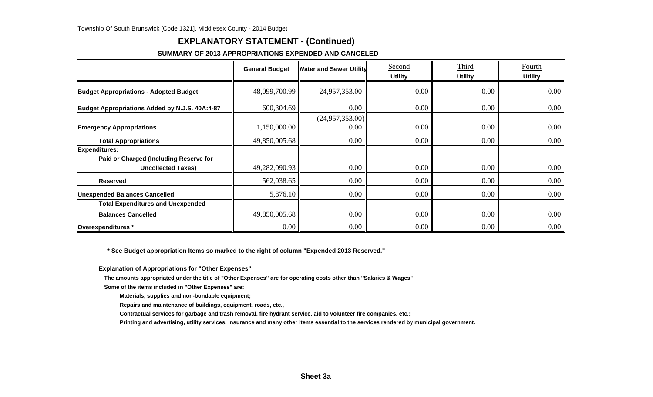### **EXPLANATORY STATEMENT - (Continued)**

#### **SUMMARY OF 2013 APPROPRIATIONS EXPENDED AND CANCELED**

|                                                                                             | <b>General Budget</b> | <b>Water and Sewer Utility</b> | Second<br><b>Utility</b> | Third<br><b>Utility</b> | Fourth<br><b>Utility</b> |
|---------------------------------------------------------------------------------------------|-----------------------|--------------------------------|--------------------------|-------------------------|--------------------------|
| <b>Budget Appropriations - Adopted Budget</b>                                               | 48,099,700.99         | 24,957,353.00                  | 0.00                     | 0.00                    | 0.00                     |
| Budget Appropriations Added by N.J.S. 40A:4-87                                              | 600,304.69            | 0.00                           | 0.00                     | 0.00                    | $0.00\,$                 |
| <b>Emergency Appropriations</b>                                                             | 1,150,000.00          | (24,957,353.00)<br>0.00        | 0.00                     | 0.00                    | $0.00\,$                 |
| <b>Total Appropriations</b>                                                                 | 49,850,005.68         | 0.00                           | 0.00                     | 0.00                    | $0.00\,$                 |
| <b>Expenditures:</b><br>Paid or Charged (Including Reserve for<br><b>Uncollected Taxes)</b> | 49,282,090.93         | 0.00                           | 0.00                     | 0.00                    | $0.00\,$                 |
| <b>Reserved</b>                                                                             | 562,038.65            | 0.00                           | 0.00                     | 0.00                    | 0.00                     |
| <b>Unexpended Balances Cancelled</b>                                                        | 5,876.10              | 0.00                           | 0.00                     | 0.00                    | 0.00                     |
| <b>Total Expenditures and Unexpended</b>                                                    |                       |                                |                          |                         |                          |
| <b>Balances Cancelled</b>                                                                   | 49,850,005.68         | 0.00                           | 0.00                     | 0.00                    | $0.00\,$                 |
| Overexpenditures *                                                                          | $0.00\,$              | 0.00                           | 0.00                     | 0.00                    | 0.00                     |

 **\* See Budget appropriation Items so marked to the right of column "Expended 2013 Reserved."**

**Explanation of Appropriations for "Other Expenses"**

**The amounts appropriated under the title of "Other Expenses" are for operating costs other than "Salaries & Wages"**

**Some of the items included in "Other Expenses" are:**

**Materials, supplies and non-bondable equipment;**

**Repairs and maintenance of buildings, equipment, roads, etc.,**

**Contractual services for garbage and trash removal, fire hydrant service, aid to volunteer fire companies, etc.;**

**Printing and advertising, utility services, Insurance and many other items essential to the services rendered by municipal government.**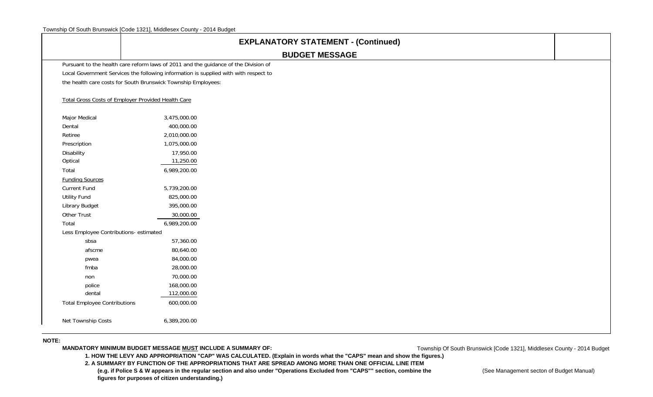|                                        | <b>EXPLANATORY STATEMENT - (Continued)</b>                                           |  |
|----------------------------------------|--------------------------------------------------------------------------------------|--|
|                                        | <b>BUDGET MESSAGE</b>                                                                |  |
|                                        | Pursuant to the health care reform laws of 2011 and the guidance of the Division of  |  |
|                                        | Local Government Services the following information is supplied with with respect to |  |
|                                        | the health care costs for South Brunswick Township Employees:                        |  |
|                                        | Total Gross Costs of Employer Provided Health Care                                   |  |
| Major Medical                          | 3,475,000.00                                                                         |  |
| Dental                                 | 400,000.00                                                                           |  |
| Retiree                                | 2,010,000.00                                                                         |  |
| Prescription                           | 1,075,000.00                                                                         |  |
| Disability                             | 17,950.00                                                                            |  |
| Optical                                | 11,250.00                                                                            |  |
| Total                                  | 6,989,200.00                                                                         |  |
| <b>Funding Sources</b>                 |                                                                                      |  |
| Current Fund                           | 5,739,200.00                                                                         |  |
| <b>Utility Fund</b>                    | 825,000.00                                                                           |  |
| Library Budget                         | 395,000.00                                                                           |  |
| Other Trust                            | 30,000.00                                                                            |  |
| Total                                  | 6,989,200.00                                                                         |  |
| Less Employee Contributions- estimated |                                                                                      |  |
| sbsa                                   | 57,360.00                                                                            |  |
| afscme                                 | 80,640.00                                                                            |  |
| pwea                                   | 84,000.00                                                                            |  |
| fmba                                   | 28,000.00                                                                            |  |
| non                                    | 70,000.00                                                                            |  |
| police                                 | 168,000.00                                                                           |  |
| dental                                 | 112,000.00                                                                           |  |
| <b>Total Employee Contributions</b>    | 600,000.00                                                                           |  |
| Net Township Costs                     | 6,389,200.00                                                                         |  |
| $- - -$                                |                                                                                      |  |

#### **NOTE:**

**MANDATORY MINIMUM BUDGET MESSAGE MUST INCLUDE A SUMMARY OF:**

Township Of South Brunswick [Code 1321], Middlesex County - 2014 Budget

**1. HOW THE LEVY AND APPROPRIATION "CAP" WAS CALCULATED. (Explain in words what the "CAPS" mean and show the figures.)**

**2. A SUMMARY BY FUNCTION OF THE APPROPRIATIONS THAT ARE SPREAD AMONG MORE THAN ONE OFFICIAL LINE ITEM** (e.g. if Police S & W appears in the regular section and also under "Operations Excluded from "CAPS"" section, combine the **CAPS** (See Management secton of Budget Manual)  **figures for purposes of citizen understanding.)**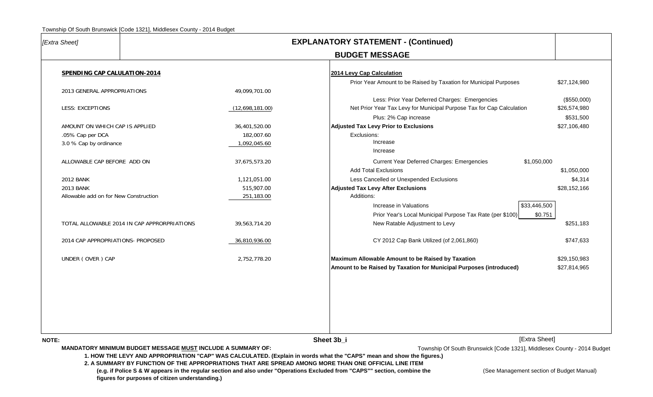| [Extra Sheet]                               |                                                                                                                |                 | <b>EXPLANATORY STATEMENT - (Continued)</b>                                                                                                                                                                                                                                                                                                                                                                                                                                           |                             |
|---------------------------------------------|----------------------------------------------------------------------------------------------------------------|-----------------|--------------------------------------------------------------------------------------------------------------------------------------------------------------------------------------------------------------------------------------------------------------------------------------------------------------------------------------------------------------------------------------------------------------------------------------------------------------------------------------|-----------------------------|
|                                             |                                                                                                                |                 | <b>BUDGET MESSAGE</b>                                                                                                                                                                                                                                                                                                                                                                                                                                                                |                             |
| SPENDING CAP CALULATION-2014                |                                                                                                                |                 | 2014 Levy Cap Calculation                                                                                                                                                                                                                                                                                                                                                                                                                                                            |                             |
|                                             |                                                                                                                |                 | Prior Year Amount to be Raised by Taxation for Municipal Purposes                                                                                                                                                                                                                                                                                                                                                                                                                    | \$27,124,980                |
| 2013 GENERAL APPROPRIATIONS                 |                                                                                                                | 49,099,701.00   |                                                                                                                                                                                                                                                                                                                                                                                                                                                                                      |                             |
| <b>LESS: EXCEPTIONS</b>                     |                                                                                                                | (12,698,181.00) | Less: Prior Year Deferred Charges: Emergencies<br>Net Prior Year Tax Levy for Municipal Purpose Tax for Cap Calculation                                                                                                                                                                                                                                                                                                                                                              | (\$550,000)<br>\$26,574,980 |
|                                             |                                                                                                                |                 | Plus: 2% Cap increase                                                                                                                                                                                                                                                                                                                                                                                                                                                                | \$531,500                   |
| AMOUNT ON WHICH CAP IS APPLIED              |                                                                                                                | 36,401,520.00   | <b>Adjusted Tax Levy Prior to Exclusions</b>                                                                                                                                                                                                                                                                                                                                                                                                                                         | \$27,106,480                |
| .05% Cap per DCA                            |                                                                                                                | 182,007.60      | Exclusions:                                                                                                                                                                                                                                                                                                                                                                                                                                                                          |                             |
| 3.0 % Cap by ordinance                      |                                                                                                                | 1,092,045.60    | Increase                                                                                                                                                                                                                                                                                                                                                                                                                                                                             |                             |
|                                             |                                                                                                                |                 | Increase                                                                                                                                                                                                                                                                                                                                                                                                                                                                             |                             |
| ALLOWABLE CAP BEFORE ADD ON                 |                                                                                                                | 37,675,573.20   | Current Year Deferred Charges: Emergencies<br>\$1,050,000                                                                                                                                                                                                                                                                                                                                                                                                                            |                             |
|                                             |                                                                                                                |                 | <b>Add Total Exclusions</b>                                                                                                                                                                                                                                                                                                                                                                                                                                                          | \$1,050,000                 |
| <b>2012 BANK</b>                            |                                                                                                                | 1,121,051.00    | Less Cancelled or Unexpended Exclusions                                                                                                                                                                                                                                                                                                                                                                                                                                              | \$4,314                     |
| <b>2013 BANK</b>                            |                                                                                                                | 515,907.00      | <b>Adjusted Tax Levy After Exclusions</b>                                                                                                                                                                                                                                                                                                                                                                                                                                            | \$28,152,166                |
| Allowable add on for New Construction       |                                                                                                                | 251,183.00      | Additions:                                                                                                                                                                                                                                                                                                                                                                                                                                                                           |                             |
|                                             |                                                                                                                |                 | \$33,446,500<br>Increase in Valuations                                                                                                                                                                                                                                                                                                                                                                                                                                               |                             |
|                                             |                                                                                                                |                 | Prior Year's Local Municipal Purpose Tax Rate (per \$100)                                                                                                                                                                                                                                                                                                                                                                                                                            | \$0.751                     |
| TOTAL ALLOWABLE 2014 IN CAP APPRORPRIATIONS |                                                                                                                | 39,563,714.20   | New Ratable Adjustment to Levy                                                                                                                                                                                                                                                                                                                                                                                                                                                       | \$251,183                   |
| 2014 CAP APPROPRIATIONS- PROPOSED           |                                                                                                                | 36,810,936.00   | CY 2012 Cap Bank Utilized (of 2,061,860)                                                                                                                                                                                                                                                                                                                                                                                                                                             | \$747,633                   |
| UNDER (OVER) CAP                            |                                                                                                                | 2,752,778.20    | Maximum Allowable Amount to be Raised by Taxation                                                                                                                                                                                                                                                                                                                                                                                                                                    | \$29,150,983                |
|                                             |                                                                                                                |                 | Amount to be Raised by Taxation for Municipal Purposes (introduced)                                                                                                                                                                                                                                                                                                                                                                                                                  | \$27,814,965                |
|                                             |                                                                                                                |                 |                                                                                                                                                                                                                                                                                                                                                                                                                                                                                      |                             |
|                                             |                                                                                                                |                 |                                                                                                                                                                                                                                                                                                                                                                                                                                                                                      |                             |
| NOTE:                                       |                                                                                                                |                 | [Extra Sheet]<br>Sheet 3b_i                                                                                                                                                                                                                                                                                                                                                                                                                                                          |                             |
|                                             | MANDATORY MINIMUM BUDGET MESSAGE MUST INCLUDE A SUMMARY OF:<br>figures for purposes of citizen understanding.) |                 | Township Of South Brunswick [Code 1321], Middlesex County - 2014 Budget<br>1. HOW THE LEVY AND APPROPRIATION "CAP" WAS CALCULATED. (Explain in words what the "CAPS" mean and show the figures.)<br>2. A SUMMARY BY FUNCTION OF THE APPROPRIATIONS THAT ARE SPREAD AMONG MORE THAN ONE OFFICIAL LINE ITEM<br>(e.g. if Police S & W appears in the regular section and also under "Operations Excluded from "CAPS"" section, combine the<br>(See Management section of Budget Manual) |                             |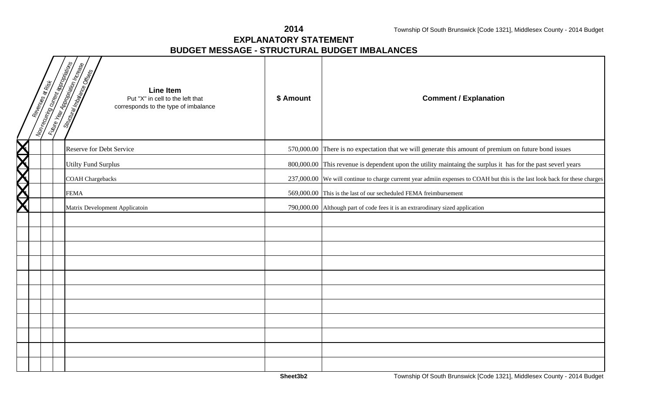**2014**

#### **EXPLANATORY STATEMENTBUDGET MESSAGE - STRUCTURAL BUDGET IMBALANCES**

|           | <b>Mon-recurring current equipments</b><br>Revenues at Risk | <b>Lutting Year Appropriation Inc.reage</b><br>Shutungimaaliye Ofisis<br><b>Line Item</b><br>Put "X" in cell to the left that<br>corresponds to the type of imbalance | \$ Amount  | <b>Comment / Explanation</b>                                                                                                |
|-----------|-------------------------------------------------------------|-----------------------------------------------------------------------------------------------------------------------------------------------------------------------|------------|-----------------------------------------------------------------------------------------------------------------------------|
|           |                                                             | Reserve for Debt Service                                                                                                                                              | 570,000.00 | There is no expectation that we will generate this amount of premium on future bond issues                                  |
|           |                                                             | <b>Utilty Fund Surplus</b>                                                                                                                                            |            | 800,000.00 This revenue is dependent upon the utility maintaing the surplus it has for the past severl years                |
| XIXIXIXIX |                                                             | <b>COAH</b> Chargebacks                                                                                                                                               |            | 237,000.00 We will continue to charge curremt year admiin expenses to COAH but this is the last look back for these charges |
|           |                                                             | <b>FEMA</b>                                                                                                                                                           |            | 569,000.00 This is the last of our secheduled FEMA freimbursement                                                           |
|           |                                                             | Matrix Development Applicatoin                                                                                                                                        |            | 790,000.00 Although part of code fees it is an extrarodinary sized application                                              |
|           |                                                             |                                                                                                                                                                       |            |                                                                                                                             |
|           |                                                             |                                                                                                                                                                       |            |                                                                                                                             |
|           |                                                             |                                                                                                                                                                       |            |                                                                                                                             |
|           |                                                             |                                                                                                                                                                       |            |                                                                                                                             |
|           |                                                             |                                                                                                                                                                       |            |                                                                                                                             |
|           |                                                             |                                                                                                                                                                       |            |                                                                                                                             |
|           |                                                             |                                                                                                                                                                       |            |                                                                                                                             |
|           |                                                             |                                                                                                                                                                       |            |                                                                                                                             |
|           |                                                             |                                                                                                                                                                       |            |                                                                                                                             |
|           |                                                             |                                                                                                                                                                       |            |                                                                                                                             |
|           |                                                             |                                                                                                                                                                       |            |                                                                                                                             |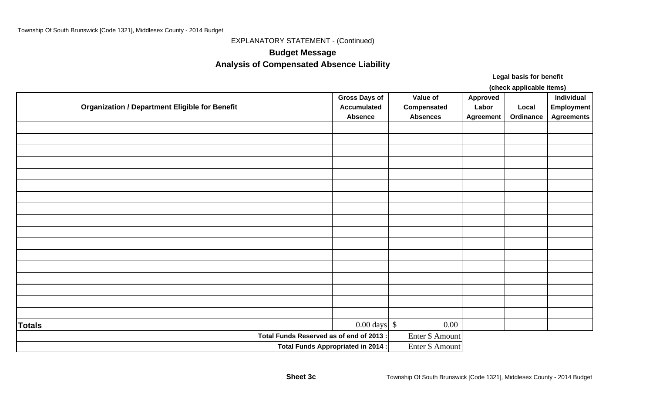EXPLANATORY STATEMENT - (Continued)

## **Budget Message Analysis of Compensated Absence Liability**

**Legal basis for benefit**

**(check applicable items)**

|                                                       | <b>Gross Days of</b>               | Value of        | Approved         |           | Individual        |
|-------------------------------------------------------|------------------------------------|-----------------|------------------|-----------|-------------------|
| <b>Organization / Department Eligible for Benefit</b> | <b>Accumulated</b>                 | Compensated     | Labor            | Local     | <b>Employment</b> |
|                                                       | <b>Absence</b>                     | <b>Absences</b> | <b>Agreement</b> | Ordinance | <b>Agreements</b> |
|                                                       |                                    |                 |                  |           |                   |
|                                                       |                                    |                 |                  |           |                   |
|                                                       |                                    |                 |                  |           |                   |
|                                                       |                                    |                 |                  |           |                   |
|                                                       |                                    |                 |                  |           |                   |
|                                                       |                                    |                 |                  |           |                   |
|                                                       |                                    |                 |                  |           |                   |
|                                                       |                                    |                 |                  |           |                   |
|                                                       |                                    |                 |                  |           |                   |
|                                                       |                                    |                 |                  |           |                   |
|                                                       |                                    |                 |                  |           |                   |
|                                                       |                                    |                 |                  |           |                   |
|                                                       |                                    |                 |                  |           |                   |
|                                                       |                                    |                 |                  |           |                   |
|                                                       |                                    |                 |                  |           |                   |
|                                                       |                                    |                 |                  |           |                   |
|                                                       |                                    |                 |                  |           |                   |
| <b>Totals</b>                                         | $0.00 \text{ days}$ \$             | $0.00\,$        |                  |           |                   |
| Total Funds Reserved as of end of 2013:               |                                    | Enter \$ Amount |                  |           |                   |
|                                                       | Total Funds Appropriated in 2014 : | Enter \$ Amount |                  |           |                   |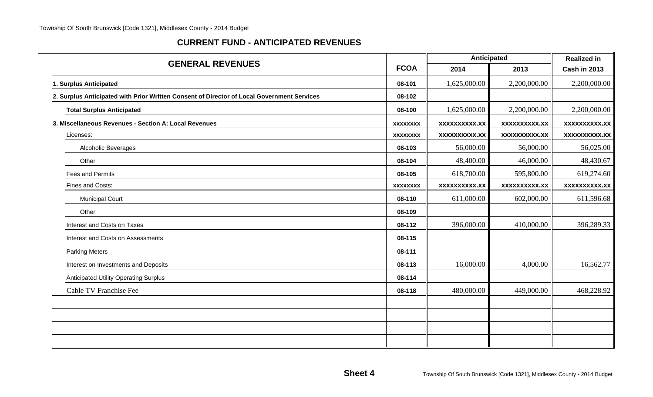#### **CURRENT FUND - ANTICIPATED REVENUES**

| <b>GENERAL REVENUES</b>                                                                    |                 | Anticipated          |                      | <b>Realized in</b>   |
|--------------------------------------------------------------------------------------------|-----------------|----------------------|----------------------|----------------------|
|                                                                                            | <b>FCOA</b>     | 2014                 | 2013                 | <b>Cash in 2013</b>  |
| 1. Surplus Anticipated                                                                     | 08-101          | 1,625,000.00         | 2,200,000.00         | 2,200,000.00         |
| 2. Surplus Anticipated with Prior Written Consent of Director of Local Government Services | 08-102          |                      |                      |                      |
| <b>Total Surplus Anticipated</b>                                                           | 08-100          | 1,625,000.00         | 2,200,000.00         | 2,200,000.00         |
| 3. Miscellaneous Revenues - Section A: Local Revenues                                      | <b>XXXXXXXX</b> | <b>XXXXXXXXXX.XX</b> | <b>XXXXXXXXXX.XX</b> | <b>XXXXXXXXXX.XX</b> |
| Licenses:                                                                                  | <b>XXXXXXXX</b> | <b>XXXXXXXXXX.XX</b> | <b>XXXXXXXXX.XX</b>  | <b>XXXXXXXXX.XX</b>  |
| Alcoholic Beverages                                                                        | 08-103          | 56,000.00            | 56,000.00            | 56,025.00            |
| Other                                                                                      | 08-104          | 48,400.00            | 46,000.00            | 48,430.67            |
| Fees and Permits                                                                           | 08-105          | 618,700.00           | 595,800.00           | 619,274.60           |
| Fines and Costs:                                                                           | <b>XXXXXXXX</b> | <b>XXXXXXXXXX.XX</b> | <b>XXXXXXXXX.XX</b>  | <b>XXXXXXXXX.XX</b>  |
| <b>Municipal Court</b>                                                                     | 08-110          | 611,000.00           | 602,000.00           | 611,596.68           |
| Other                                                                                      | 08-109          |                      |                      |                      |
| Interest and Costs on Taxes                                                                | 08-112          | 396,000.00           | 410,000.00           | 396,289.33           |
| Interest and Costs on Assessments                                                          | 08-115          |                      |                      |                      |
| <b>Parking Meters</b>                                                                      | 08-111          |                      |                      |                      |
| Interest on Investments and Deposits                                                       | 08-113          | 16,000.00            | 4,000.00             | 16,562.77            |
| <b>Anticipated Utility Operating Surplus</b>                                               | 08-114          |                      |                      |                      |
| Cable TV Franchise Fee                                                                     | 08-118          | 480,000.00           | 449,000.00           | 468,228.92           |
|                                                                                            |                 |                      |                      |                      |
|                                                                                            |                 |                      |                      |                      |
|                                                                                            |                 |                      |                      |                      |
|                                                                                            |                 |                      |                      |                      |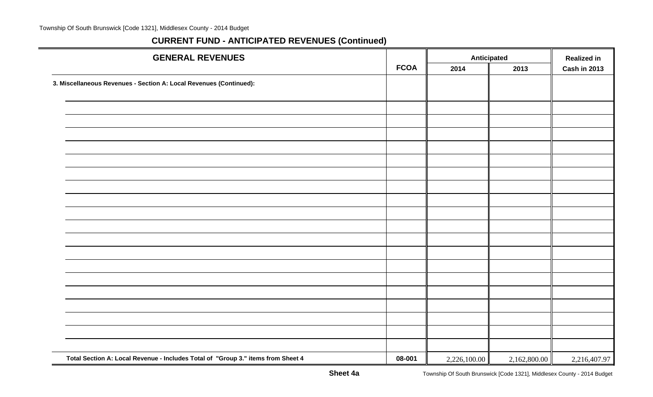| <b>GENERAL REVENUES</b>                                                          |             | <b>Anticipated</b> |              | <b>Realized in</b> |
|----------------------------------------------------------------------------------|-------------|--------------------|--------------|--------------------|
|                                                                                  | <b>FCOA</b> | 2013<br>2014       |              | Cash in 2013       |
| 3. Miscellaneous Revenues - Section A: Local Revenues (Continued):               |             |                    |              |                    |
|                                                                                  |             |                    |              |                    |
|                                                                                  |             |                    |              |                    |
|                                                                                  |             |                    |              |                    |
|                                                                                  |             |                    |              |                    |
|                                                                                  |             |                    |              |                    |
|                                                                                  |             |                    |              |                    |
|                                                                                  |             |                    |              |                    |
|                                                                                  |             |                    |              |                    |
|                                                                                  |             |                    |              |                    |
|                                                                                  |             |                    |              |                    |
|                                                                                  |             |                    |              |                    |
|                                                                                  |             |                    |              |                    |
|                                                                                  |             |                    |              |                    |
|                                                                                  |             |                    |              |                    |
|                                                                                  |             |                    |              |                    |
|                                                                                  |             |                    |              |                    |
|                                                                                  |             |                    |              |                    |
|                                                                                  |             |                    |              |                    |
|                                                                                  |             |                    |              |                    |
| Total Section A: Local Revenue - Includes Total of "Group 3." items from Sheet 4 | 08-001      | 2,226,100.00       | 2,162,800.00 | 2,216,407.97       |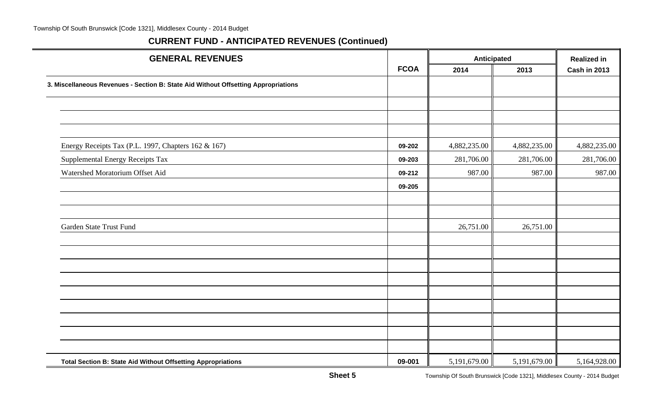| <b>GENERAL REVENUES</b>                                                            |             | Anticipated  |              | <b>Realized in</b>  |
|------------------------------------------------------------------------------------|-------------|--------------|--------------|---------------------|
|                                                                                    | <b>FCOA</b> | 2014<br>2013 |              | <b>Cash in 2013</b> |
| 3. Miscellaneous Revenues - Section B: State Aid Without Offsetting Appropriations |             |              |              |                     |
|                                                                                    |             |              |              |                     |
|                                                                                    |             |              |              |                     |
| Energy Receipts Tax (P.L. 1997, Chapters 162 & 167)                                | 09-202      | 4,882,235.00 | 4,882,235.00 | 4,882,235.00        |
|                                                                                    | 09-203      |              |              | 281,706.00          |
| Supplemental Energy Receipts Tax                                                   |             | 281,706.00   | 281,706.00   |                     |
| Watershed Moratorium Offset Aid                                                    | 09-212      | 987.00       | 987.00       | 987.00              |
|                                                                                    | 09-205      |              |              |                     |
|                                                                                    |             |              |              |                     |
| Garden State Trust Fund                                                            |             | 26,751.00    | 26,751.00    |                     |
|                                                                                    |             |              |              |                     |
|                                                                                    |             |              |              |                     |
|                                                                                    |             |              |              |                     |
|                                                                                    |             |              |              |                     |
|                                                                                    |             |              |              |                     |
|                                                                                    |             |              |              |                     |
|                                                                                    |             |              |              |                     |
|                                                                                    |             |              |              |                     |
| Total Section B: State Aid Without Offsetting Appropriations                       | 09-001      | 5,191,679.00 | 5,191,679.00 | 5,164,928.00        |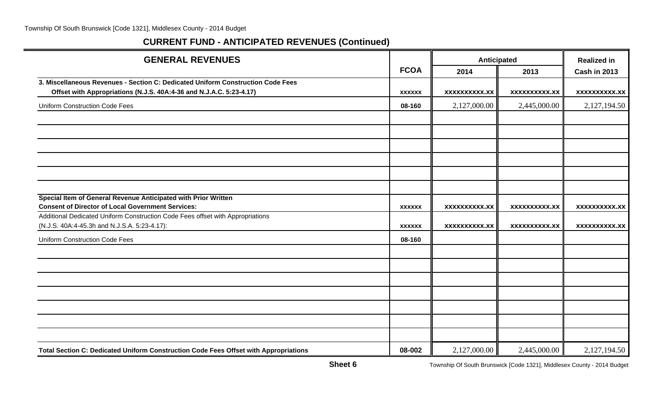| <b>GENERAL REVENUES</b>                                                                                                    |               | <b>Anticipated</b>   | <b>Realized in</b>   |                      |
|----------------------------------------------------------------------------------------------------------------------------|---------------|----------------------|----------------------|----------------------|
|                                                                                                                            | <b>FCOA</b>   | 2014                 | 2013                 | <b>Cash in 2013</b>  |
| 3. Miscellaneous Revenues - Section C: Dedicated Uniform Construction Code Fees                                            |               |                      |                      |                      |
| Offset with Appropriations (N.J.S. 40A:4-36 and N.J.A.C. 5:23-4.17)                                                        | <b>XXXXXX</b> | <b>XXXXXXXXXX.XX</b> | <b>XXXXXXXXXX.XX</b> | <b>XXXXXXXXXX.XX</b> |
| <b>Uniform Construction Code Fees</b>                                                                                      | 08-160        | 2,127,000.00         | 2,445,000.00         | 2,127,194.50         |
|                                                                                                                            |               |                      |                      |                      |
|                                                                                                                            |               |                      |                      |                      |
|                                                                                                                            |               |                      |                      |                      |
|                                                                                                                            |               |                      |                      |                      |
|                                                                                                                            |               |                      |                      |                      |
|                                                                                                                            |               |                      |                      |                      |
| Special Item of General Revenue Anticipated with Prior Written<br><b>Consent of Director of Local Government Services:</b> |               |                      |                      |                      |
| Additional Dedicated Uniform Construction Code Fees offset with Appropriations                                             | <b>XXXXXX</b> | <b>XXXXXXXXXX.XX</b> | <b>XXXXXXXXXX.XX</b> | <b>XXXXXXXXXX.XX</b> |
| (N.J.S. 40A:4-45.3h and N.J.S.A. 5:23-4.17):                                                                               | <b>XXXXXX</b> | <b>XXXXXXXXXX.XX</b> | <b>XXXXXXXXXX.XX</b> | <b>XXXXXXXXX.XX</b>  |
| <b>Uniform Construction Code Fees</b>                                                                                      | 08-160        |                      |                      |                      |
|                                                                                                                            |               |                      |                      |                      |
|                                                                                                                            |               |                      |                      |                      |
|                                                                                                                            |               |                      |                      |                      |
|                                                                                                                            |               |                      |                      |                      |
|                                                                                                                            |               |                      |                      |                      |
|                                                                                                                            |               |                      |                      |                      |
|                                                                                                                            |               |                      |                      |                      |
| Total Section C: Dedicated Uniform Construction Code Fees Offset with Appropriations                                       | 08-002        | 2,127,000.00         | 2,445,000.00         | 2,127,194.50         |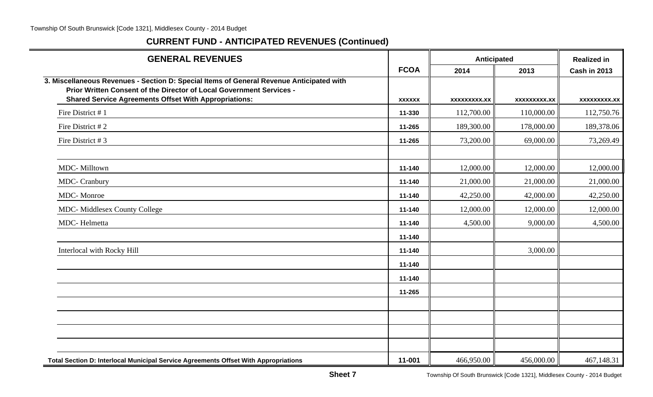| <b>GENERAL REVENUES</b>                                                                                                                                                                                                          |                  | Anticipated            |                        | <b>Realized in</b>     |
|----------------------------------------------------------------------------------------------------------------------------------------------------------------------------------------------------------------------------------|------------------|------------------------|------------------------|------------------------|
|                                                                                                                                                                                                                                  | <b>FCOA</b>      | 2014                   | 2013                   | <b>Cash in 2013</b>    |
| 3. Miscellaneous Revenues - Section D: Special Items of General Revenue Anticipated with<br>Prior Written Consent of the Director of Local Government Services -<br><b>Shared Service Agreements Offset With Appropriations:</b> | <b>XXXXXX</b>    | <b>XXXXXXXXX.XX</b>    | <b>XXXXXXXXX.XX</b>    | xxxxxxxxx.xx           |
| Fire District #1                                                                                                                                                                                                                 | 11-330           | 112,700.00             | 110,000.00             | 112,750.76             |
| Fire District #2                                                                                                                                                                                                                 | 11-265           | 189,300.00             | 178,000.00             | 189,378.06             |
| Fire District #3                                                                                                                                                                                                                 | 11-265           | 73,200.00              | 69,000.00              | 73,269.49              |
|                                                                                                                                                                                                                                  |                  |                        |                        |                        |
| MDC-Milltown<br><b>MDC</b> - Cranbury                                                                                                                                                                                            | 11-140<br>11-140 | 12,000.00<br>21,000.00 | 12,000.00<br>21,000.00 | 12,000.00<br>21,000.00 |
| <b>MDC</b> - Monroe                                                                                                                                                                                                              | 11-140           | 42,250.00              | 42,000.00              | 42,250.00              |
| <b>MDC-</b> Middlesex County College                                                                                                                                                                                             | 11-140           | 12,000.00              | 12,000.00              | 12,000.00              |
| MDC-Helmetta                                                                                                                                                                                                                     | 11-140           | 4,500.00               | 9,000.00               | 4,500.00               |
|                                                                                                                                                                                                                                  | 11-140           |                        |                        |                        |
| Interlocal with Rocky Hill                                                                                                                                                                                                       | 11-140           |                        | 3,000.00               |                        |
|                                                                                                                                                                                                                                  | 11-140           |                        |                        |                        |
|                                                                                                                                                                                                                                  | 11-140           |                        |                        |                        |
|                                                                                                                                                                                                                                  | 11-265           |                        |                        |                        |
|                                                                                                                                                                                                                                  |                  |                        |                        |                        |
|                                                                                                                                                                                                                                  |                  |                        |                        |                        |
|                                                                                                                                                                                                                                  |                  |                        |                        |                        |
| Total Section D: Interlocal Municipal Service Agreements Offset With Appropriations                                                                                                                                              | 11-001           | 466,950.00             | 456,000.00             | 467,148.31             |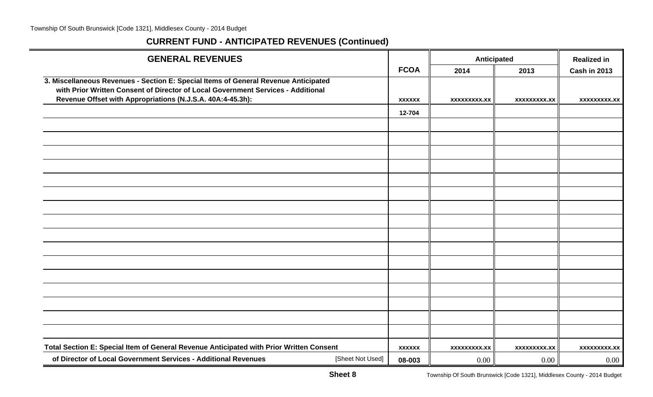$\equiv$ 

| <b>GENERAL REVENUES</b>                                                                 |               | Anticipated         |                     | <b>Realized in</b>  |
|-----------------------------------------------------------------------------------------|---------------|---------------------|---------------------|---------------------|
|                                                                                         | <b>FCOA</b>   | 2014                | 2013                | <b>Cash in 2013</b> |
| 3. Miscellaneous Revenues - Section E: Special Items of General Revenue Anticipated     |               |                     |                     |                     |
| with Prior Written Consent of Director of Local Government Services - Additional        |               |                     |                     |                     |
| Revenue Offset with Appropriations (N.J.S.A. 40A:4-45.3h):                              | <b>XXXXXX</b> | <b>XXXXXXXXX.XX</b> | <b>XXXXXXXXX.XX</b> | <b>XXXXXXXXX.XX</b> |
|                                                                                         | 12-704        |                     |                     |                     |
|                                                                                         |               |                     |                     |                     |
|                                                                                         |               |                     |                     |                     |
|                                                                                         |               |                     |                     |                     |
|                                                                                         |               |                     |                     |                     |
|                                                                                         |               |                     |                     |                     |
|                                                                                         |               |                     |                     |                     |
|                                                                                         |               |                     |                     |                     |
|                                                                                         |               |                     |                     |                     |
|                                                                                         |               |                     |                     |                     |
|                                                                                         |               |                     |                     |                     |
|                                                                                         |               |                     |                     |                     |
|                                                                                         |               |                     |                     |                     |
|                                                                                         |               |                     |                     |                     |
|                                                                                         |               |                     |                     |                     |
|                                                                                         |               |                     |                     |                     |
|                                                                                         |               |                     |                     |                     |
| Total Section E: Special Item of General Revenue Anticipated with Prior Written Consent | <b>XXXXXX</b> | <b>XXXXXXXXX.XX</b> | <b>XXXXXXXXX.XX</b> | xxxxxxxxx.xx        |
| of Director of Local Government Services - Additional Revenues<br>[Sheet Not Used]      | 08-003        | 0.00                | 0.00                | 0.00                |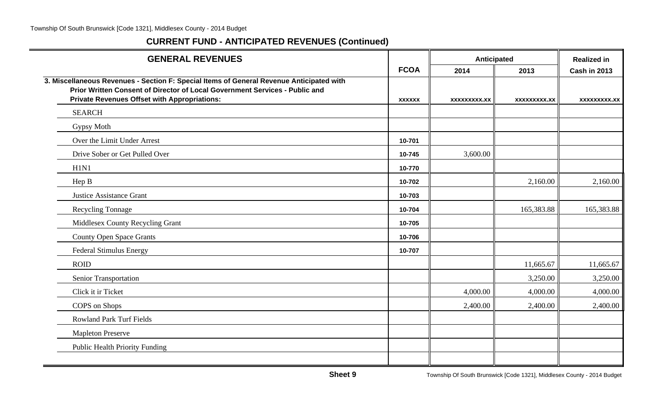| <b>GENERAL REVENUES</b>                                                                                                                                                                                                        |               | Anticipated         |                     | <b>Realized in</b>  |
|--------------------------------------------------------------------------------------------------------------------------------------------------------------------------------------------------------------------------------|---------------|---------------------|---------------------|---------------------|
|                                                                                                                                                                                                                                | <b>FCOA</b>   | 2014                | 2013                | <b>Cash in 2013</b> |
| 3. Miscellaneous Revenues - Section F: Special Items of General Revenue Anticipated with<br>Prior Written Consent of Director of Local Government Services - Public and<br><b>Private Revenues Offset with Appropriations:</b> | <b>XXXXXX</b> | <b>XXXXXXXXX.XX</b> | <b>XXXXXXXXX.XX</b> | XXXXXXXXX.XX        |
| <b>SEARCH</b>                                                                                                                                                                                                                  |               |                     |                     |                     |
| Gypsy Moth                                                                                                                                                                                                                     |               |                     |                     |                     |
| Over the Limit Under Arrest                                                                                                                                                                                                    | 10-701        |                     |                     |                     |
| Drive Sober or Get Pulled Over                                                                                                                                                                                                 | 10-745        | 3,600.00            |                     |                     |
| H1N1                                                                                                                                                                                                                           | 10-770        |                     |                     |                     |
| Hep B                                                                                                                                                                                                                          | 10-702        |                     | 2,160.00            | 2,160.00            |
| <b>Justice Assistance Grant</b>                                                                                                                                                                                                | 10-703        |                     |                     |                     |
| Recycling Tonnage                                                                                                                                                                                                              | 10-704        |                     | 165,383.88          | 165,383.88          |
| Middlesex County Recycling Grant                                                                                                                                                                                               | 10-705        |                     |                     |                     |
| <b>County Open Space Grants</b>                                                                                                                                                                                                | 10-706        |                     |                     |                     |
| <b>Federal Stimulus Energy</b>                                                                                                                                                                                                 | 10-707        |                     |                     |                     |
| <b>ROID</b>                                                                                                                                                                                                                    |               |                     | 11,665.67           | 11,665.67           |
| Senior Transportation                                                                                                                                                                                                          |               |                     | 3,250.00            | 3,250.00            |
| Click it ir Ticket                                                                                                                                                                                                             |               | 4,000.00            | 4,000.00            | 4,000.00            |
| COPS on Shops                                                                                                                                                                                                                  |               | 2,400.00            | 2,400.00            | 2,400.00            |
| <b>Rowland Park Turf Fields</b>                                                                                                                                                                                                |               |                     |                     |                     |
| <b>Mapleton Preserve</b>                                                                                                                                                                                                       |               |                     |                     |                     |
| <b>Public Health Priority Funding</b>                                                                                                                                                                                          |               |                     |                     |                     |
|                                                                                                                                                                                                                                |               |                     |                     |                     |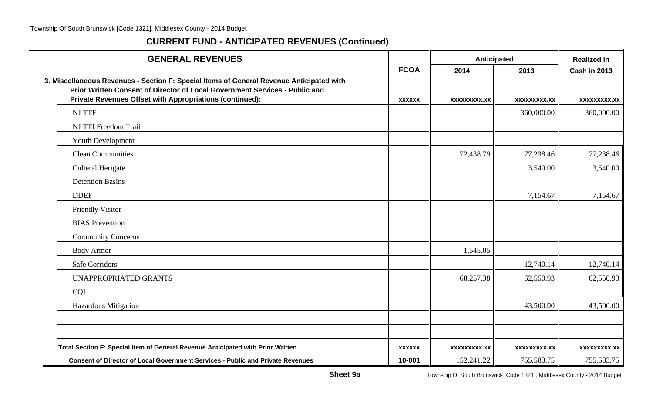$\sim$ 

| <b>GENERAL REVENUES</b>                                                                                                                                                                                                             |               | Anticipated         |                     | <b>Realized in</b>  |
|-------------------------------------------------------------------------------------------------------------------------------------------------------------------------------------------------------------------------------------|---------------|---------------------|---------------------|---------------------|
|                                                                                                                                                                                                                                     | <b>FCOA</b>   | 2014                | 2013                | <b>Cash in 2013</b> |
| 3. Miscellaneous Revenues - Section F: Special Items of General Revenue Anticipated with<br>Prior Written Consent of Director of Local Government Services - Public and<br>Private Revenues Offset with Appropriations (continued): | <b>XXXXXX</b> | <b>XXXXXXXXX.XX</b> | <b>XXXXXXXXX.XX</b> | XXXXXXXXX.XX        |
| <b>NJ TTF</b>                                                                                                                                                                                                                       |               |                     | 360,000.00          | 360,000.00          |
| NJ TTf Freedom Trail                                                                                                                                                                                                                |               |                     |                     |                     |
| Youth Development                                                                                                                                                                                                                   |               |                     |                     |                     |
| <b>Clean Communities</b>                                                                                                                                                                                                            |               | 72,438.79           | 77,238.46           | 77,238.46           |
| <b>Culteral Herigate</b>                                                                                                                                                                                                            |               |                     | 3,540.00            | 3,540.00            |
| <b>Detention Basins</b>                                                                                                                                                                                                             |               |                     |                     |                     |
| <b>DDEF</b>                                                                                                                                                                                                                         |               |                     | 7,154.67            | 7,154.67            |
| Friendly Visitor                                                                                                                                                                                                                    |               |                     |                     |                     |
| <b>BIAS</b> Prevention                                                                                                                                                                                                              |               |                     |                     |                     |
| <b>Community Concerns</b>                                                                                                                                                                                                           |               |                     |                     |                     |
| <b>Body Armor</b>                                                                                                                                                                                                                   |               | 1,545.05            |                     |                     |
| <b>Safe Corridors</b>                                                                                                                                                                                                               |               |                     | 12,740.14           | 12,740.14           |
| UNAPPROPRIATED GRANTS                                                                                                                                                                                                               |               | 68,257.38           | 62,550.93           | 62,550.93           |
| CQI                                                                                                                                                                                                                                 |               |                     |                     |                     |
| Hazardous Mitigation                                                                                                                                                                                                                |               |                     | 43,500.00           | 43,500.00           |
|                                                                                                                                                                                                                                     |               |                     |                     |                     |
|                                                                                                                                                                                                                                     |               |                     |                     |                     |
| Total Section F: Special Item of General Revenue Anticipated with Prior Written                                                                                                                                                     | <b>XXXXXX</b> | <b>XXXXXXXXX.XX</b> | XXXXXXXXX.XX        | XXXXXXXXX.XX        |
| <b>Consent of Director of Local Government Services - Public and Private Revenues</b>                                                                                                                                               | 10-001        | 152,241.22          | 755,583.75          | 755,583.75          |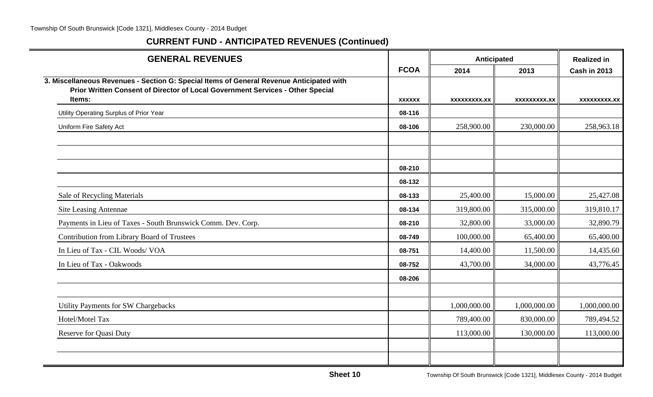| <b>GENERAL REVENUES</b>                                                                                                                                                    |               |                     | <b>Anticipated</b>  | <b>Realized in</b>  |
|----------------------------------------------------------------------------------------------------------------------------------------------------------------------------|---------------|---------------------|---------------------|---------------------|
|                                                                                                                                                                            | <b>FCOA</b>   | 2014                | 2013                | <b>Cash in 2013</b> |
| 3. Miscellaneous Revenues - Section G: Special Items of General Revenue Anticipated with<br>Prior Written Consent of Director of Local Government Services - Other Special |               |                     |                     |                     |
| Items:                                                                                                                                                                     | <b>XXXXXX</b> | <b>XXXXXXXXX.XX</b> | <b>XXXXXXXXX.XX</b> | <b>XXXXXXXXX.XX</b> |
| Utility Operating Surplus of Prior Year                                                                                                                                    | 08-116        |                     |                     |                     |
| Uniform Fire Safety Act                                                                                                                                                    | 08-106        | 258,900.00          | 230,000.00          | 258,963.18          |
|                                                                                                                                                                            |               |                     |                     |                     |
|                                                                                                                                                                            | 08-210        |                     |                     |                     |
|                                                                                                                                                                            | 08-132        |                     |                     |                     |
| Sale of Recycling Materials                                                                                                                                                | 08-133        | 25,400.00           | 15,000.00           | 25,427.08           |
| <b>Site Leasing Antennae</b>                                                                                                                                               | 08-134        | 319,800.00          | 315,000.00          | 319,810.17          |
| Payments in Lieu of Taxes - South Brunswick Comm. Dev. Corp.                                                                                                               | 08-210        | 32,800.00           | 33,000.00           | 32,890.79           |
| <b>Contribution from Library Board of Trustees</b>                                                                                                                         | 08-749        | 100,000.00          | 65,400.00           | 65,400.00           |
| In Lieu of Tax - CIL Woods/ VOA                                                                                                                                            | 08-751        | 14,400.00           | 11,500.00           | 14,435.60           |
| In Lieu of Tax - Oakwoods                                                                                                                                                  | 08-752        | 43,700.00           | 34,000.00           | 43,776.45           |
|                                                                                                                                                                            | 08-206        |                     |                     |                     |
| Utility Payments for SW Chargebacks                                                                                                                                        |               | 1,000,000.00        | 1,000,000.00        | 1,000,000.00        |
| Hotel/Motel Tax                                                                                                                                                            |               | 789,400.00          | 830,000.00          | 789,494.52          |
| <b>Reserve for Quasi Duty</b>                                                                                                                                              |               | 113,000.00          | 130,000.00          | 113,000.00          |
|                                                                                                                                                                            |               |                     |                     |                     |
|                                                                                                                                                                            |               |                     |                     |                     |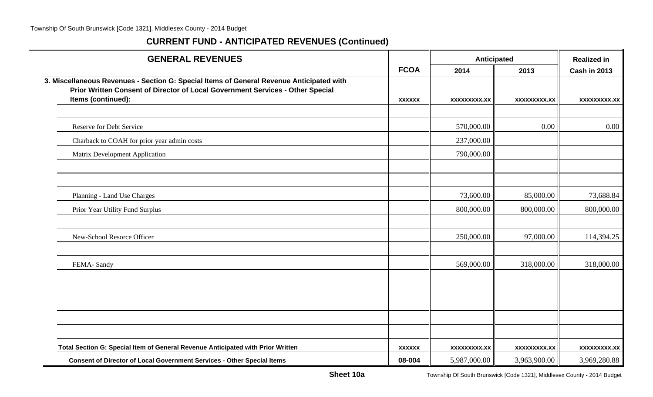| <b>GENERAL REVENUES</b>                                                                                                                                                                          |               | Anticipated         |                     | <b>Realized in</b>  |
|--------------------------------------------------------------------------------------------------------------------------------------------------------------------------------------------------|---------------|---------------------|---------------------|---------------------|
|                                                                                                                                                                                                  | <b>FCOA</b>   | 2014                | 2013                | <b>Cash in 2013</b> |
| 3. Miscellaneous Revenues - Section G: Special Items of General Revenue Anticipated with<br>Prior Written Consent of Director of Local Government Services - Other Special<br>Items (continued): |               |                     |                     |                     |
|                                                                                                                                                                                                  | <b>XXXXXX</b> | <b>XXXXXXXXX.XX</b> | <b>XXXXXXXXX.XX</b> | <b>XXXXXXXXX.XX</b> |
| <b>Reserve for Debt Service</b>                                                                                                                                                                  |               | 570,000.00          | 0.00                | $0.00\,$            |
| Charback to COAH for prior year admin costs                                                                                                                                                      |               | 237,000.00          |                     |                     |
| Matrix Development Application                                                                                                                                                                   |               | 790,000.00          |                     |                     |
|                                                                                                                                                                                                  |               |                     |                     |                     |
|                                                                                                                                                                                                  |               |                     |                     |                     |
| Planning - Land Use Charges                                                                                                                                                                      |               | 73,600.00           | 85,000.00           | 73,688.84           |
| Prior Year Utility Fund Surplus                                                                                                                                                                  |               | 800,000.00          | 800,000.00          | 800,000.00          |
|                                                                                                                                                                                                  |               |                     |                     |                     |
| New-School Resorce Officer                                                                                                                                                                       |               | 250,000.00          | 97,000.00           | 114,394.25          |
|                                                                                                                                                                                                  |               |                     |                     |                     |
| FEMA-Sandy                                                                                                                                                                                       |               | 569,000.00          | 318,000.00          | 318,000.00          |
|                                                                                                                                                                                                  |               |                     |                     |                     |
|                                                                                                                                                                                                  |               |                     |                     |                     |
|                                                                                                                                                                                                  |               |                     |                     |                     |
|                                                                                                                                                                                                  |               |                     |                     |                     |
|                                                                                                                                                                                                  |               |                     |                     |                     |
| Total Section G: Special Item of General Revenue Anticipated with Prior Written                                                                                                                  | <b>XXXXXX</b> | <b>XXXXXXXXX.XX</b> | <b>XXXXXXXXX.XX</b> | <b>XXXXXXXXX.XX</b> |
| Consent of Director of Local Government Services - Other Special Items                                                                                                                           | 08-004        | 5,987,000.00        | 3,963,900.00        | 3,969,280.88        |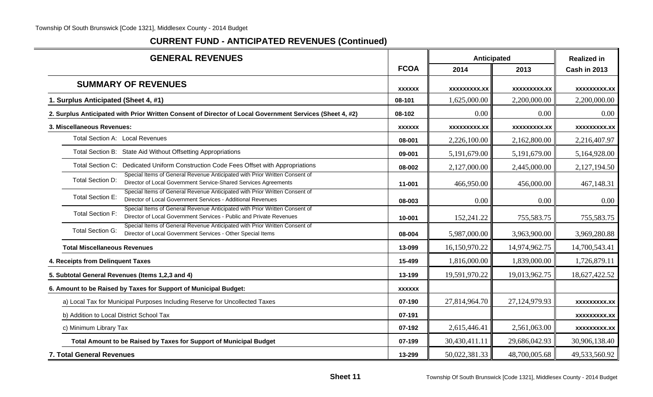| <b>GENERAL REVENUES</b>                                                                                                                                                      |               | Anticipated         |                     | <b>Realized in</b>  |  |
|------------------------------------------------------------------------------------------------------------------------------------------------------------------------------|---------------|---------------------|---------------------|---------------------|--|
|                                                                                                                                                                              | <b>FCOA</b>   | 2014                | 2013                | <b>Cash in 2013</b> |  |
| <b>SUMMARY OF REVENUES</b>                                                                                                                                                   | <b>XXXXXX</b> | <b>XXXXXXXXX.XX</b> | <b>XXXXXXXXX.XX</b> | <b>XXXXXXXXX.XX</b> |  |
| 1. Surplus Anticipated (Sheet 4, #1)                                                                                                                                         | 08-101        | 1,625,000.00        | 2,200,000.00        | 2,200,000.00        |  |
| 2. Surplus Anticipated with Prior Written Consent of Director of Local Government Services (Sheet 4, #2)                                                                     | 08-102        | 0.00                | 0.00                | 0.00                |  |
| 3. Miscellaneous Revenues:                                                                                                                                                   | <b>XXXXXX</b> | <b>XXXXXXXXX.XX</b> | <b>XXXXXXXX.XX</b>  | xxxxxxxxx.xx        |  |
| Total Section A: Local Revenues                                                                                                                                              | 08-001        | 2,226,100.00        | 2,162,800.00        | 2,216,407.97        |  |
| Total Section B: State Aid Without Offsetting Appropriations                                                                                                                 | 09-001        | 5,191,679.00        | 5,191,679.00        | 5,164,928.00        |  |
| Total Section C: Dedicated Uniform Construction Code Fees Offset with Appropriations                                                                                         | 08-002        | 2,127,000.00        | 2,445,000.00        | 2,127,194.50        |  |
| Special Items of General Revenue Anticipated with Prior Written Consent of<br><b>Total Section D:</b><br>Director of Local Government Service-Shared Services Agreements     | 11-001        | 466,950.00          | 456,000.00          | 467,148.31          |  |
| Special Items of General Revenue Anticipated with Prior Written Consent of<br><b>Total Section E:</b><br>Director of Local Government Services - Additional Revenues         | 08-003        | 0.00                | 0.00                | 0.00                |  |
| Special Items of General Revenue Anticipated with Prior Written Consent of<br><b>Total Section F:</b><br>Director of Local Government Services - Public and Private Revenues | 10-001        | 152,241.22          | 755,583.75          | 755,583.75          |  |
| Special Items of General Revenue Anticipated with Prior Written Consent of<br><b>Total Section G:</b><br>Director of Local Government Services - Other Special Items         | 08-004        | 5,987,000.00        | 3,963,900.00        | 3,969,280.88        |  |
| <b>Total Miscellaneous Revenues</b>                                                                                                                                          | 13-099        | 16,150,970.22       | 14,974,962.75       | 14,700,543.41       |  |
| 4. Receipts from Delinquent Taxes                                                                                                                                            | 15-499        | 1,816,000.00        | 1,839,000.00        | 1,726,879.11        |  |
| 5. Subtotal General Revenues (Items 1,2,3 and 4)                                                                                                                             | 13-199        | 19,591,970.22       | 19,013,962.75       | 18,627,422.52       |  |
| 6. Amount to be Raised by Taxes for Support of Municipal Budget:                                                                                                             | <b>XXXXXX</b> |                     |                     |                     |  |
| a) Local Tax for Municipal Purposes Including Reserve for Uncollected Taxes                                                                                                  | 07-190        | 27,814,964.70       | 27,124,979.93       | <b>XXXXXXXXX.XX</b> |  |
| b) Addition to Local District School Tax                                                                                                                                     | 07-191        |                     |                     | <b>XXXXXXXXX.XX</b> |  |
| c) Minimum Library Tax                                                                                                                                                       | 07-192        | 2,615,446.41        | 2,561,063.00        | <b>XXXXXXXXX.XX</b> |  |
| Total Amount to be Raised by Taxes for Support of Municipal Budget                                                                                                           | 07-199        | 30,430,411.11       | 29,686,042.93       | 30,906,138.40       |  |
| 7. Total General Revenues                                                                                                                                                    | 13-299        | 50,022,381.33       | 48,700,005.68       | 49,533,560.92       |  |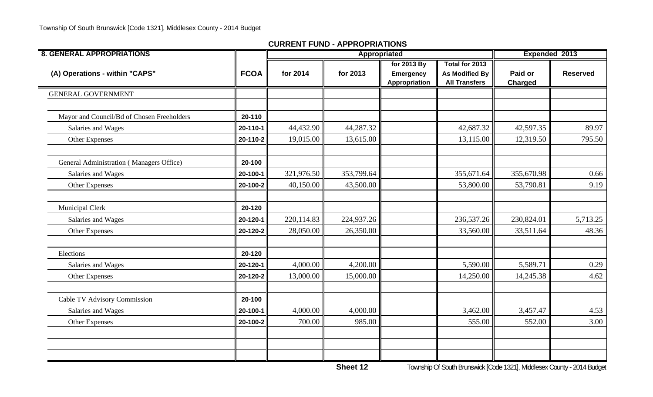| <b>8. GENERAL APPROPRIATIONS</b>           |             |            | Appropriated |                                                  |                                                                 | Expended 2013             |                 |  |
|--------------------------------------------|-------------|------------|--------------|--------------------------------------------------|-----------------------------------------------------------------|---------------------------|-----------------|--|
| (A) Operations - within "CAPS"             | <b>FCOA</b> | for 2014   | for 2013     | for 2013 By<br><b>Emergency</b><br>Appropriation | Total for 2013<br><b>As Modified By</b><br><b>All Transfers</b> | Paid or<br><b>Charged</b> | <b>Reserved</b> |  |
| <b>GENERAL GOVERNMENT</b>                  |             |            |              |                                                  |                                                                 |                           |                 |  |
| Mayor and Council/Bd of Chosen Freeholders | 20-110      |            |              |                                                  |                                                                 |                           |                 |  |
| Salaries and Wages                         | 20-110-1    | 44,432.90  | 44,287.32    |                                                  | 42,687.32                                                       | 42,597.35                 | 89.97           |  |
| Other Expenses                             | 20-110-2    | 19,015.00  | 13,615.00    |                                                  | 13,115.00                                                       | 12,319.50                 | 795.50          |  |
| General Administration (Managers Office)   | 20-100      |            |              |                                                  |                                                                 |                           |                 |  |
| Salaries and Wages                         | 20-100-1    | 321,976.50 | 353,799.64   |                                                  | 355,671.64                                                      | 355,670.98                | 0.66            |  |
| Other Expenses                             | 20-100-2    | 40,150.00  | 43,500.00    |                                                  | 53,800.00                                                       | 53,790.81                 | 9.19            |  |
| Municipal Clerk                            | 20-120      |            |              |                                                  |                                                                 |                           |                 |  |
| Salaries and Wages                         | 20-120-1    | 220,114.83 | 224,937.26   |                                                  | 236,537.26                                                      | 230,824.01                | 5,713.25        |  |
| Other Expenses                             | 20-120-2    | 28,050.00  | 26,350.00    |                                                  | 33,560.00                                                       | 33,511.64                 | 48.36           |  |
| Elections                                  | 20-120      |            |              |                                                  |                                                                 |                           |                 |  |
| Salaries and Wages                         | 20-120-1    | 4,000.00   | 4,200.00     |                                                  | 5,590.00                                                        | 5,589.71                  | 0.29            |  |
| Other Expenses                             | 20-120-2    | 13,000.00  | 15,000.00    |                                                  | 14,250.00                                                       | 14,245.38                 | 4.62            |  |
| Cable TV Advisory Commission               | 20-100      |            |              |                                                  |                                                                 |                           |                 |  |
| Salaries and Wages                         | 20-100-1    | 4,000.00   | 4,000.00     |                                                  | 3,462.00                                                        | 3,457.47                  | 4.53            |  |
| Other Expenses                             | 20-100-2    | 700.00     | 985.00       |                                                  | 555.00                                                          | 552.00                    | 3.00            |  |
|                                            |             |            |              |                                                  |                                                                 |                           |                 |  |
|                                            |             |            |              |                                                  |                                                                 |                           |                 |  |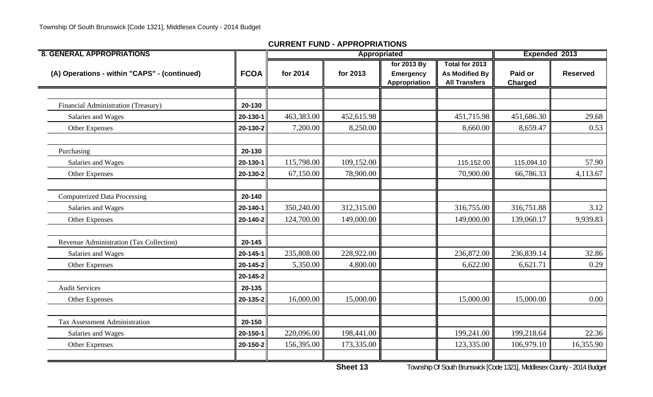| <b>8. GENERAL APPROPRIATIONS</b>             |             |            | Appropriated |                                           |                                                                 | Expended 2013             |                 |
|----------------------------------------------|-------------|------------|--------------|-------------------------------------------|-----------------------------------------------------------------|---------------------------|-----------------|
| (A) Operations - within "CAPS" - (continued) | <b>FCOA</b> | for 2014   | for 2013     | for 2013 By<br>Emergency<br>Appropriation | Total for 2013<br><b>As Modified By</b><br><b>All Transfers</b> | Paid or<br><b>Charged</b> | <b>Reserved</b> |
|                                              |             |            |              |                                           |                                                                 |                           |                 |
| <b>Financial Administration (Treasury)</b>   | 20-130      |            |              |                                           |                                                                 |                           |                 |
| Salaries and Wages                           | 20-130-1    | 463,383.00 | 452,615.98   |                                           | 451,715.98                                                      | 451,686.30                | 29.68           |
| Other Expenses                               | 20-130-2    | 7,200.00   | 8,250.00     |                                           | 8,660.00                                                        | 8,659.47                  | 0.53            |
| Purchasing                                   | 20-130      |            |              |                                           |                                                                 |                           |                 |
| Salaries and Wages                           | 20-130-1    | 115,798.00 | 109,152.00   |                                           | 115,152.00                                                      | 115,094.10                | 57.90           |
| Other Expenses                               | 20-130-2    | 67,150.00  | 78,900.00    |                                           | 70,900.00                                                       | 66,786.33                 | 4,113.67        |
| <b>Computerized Data Processing</b>          | 20-140      |            |              |                                           |                                                                 |                           |                 |
| Salaries and Wages                           | 20-140-1    | 350,240.00 | 312,315.00   |                                           | 316,755.00                                                      | 316,751.88                | 3.12            |
| Other Expenses                               | 20-140-2    | 124,700.00 | 149,000.00   |                                           | 149,000.00                                                      | 139,060.17                | 9,939.83        |
| Revenue Administration (Tax Collection)      | 20-145      |            |              |                                           |                                                                 |                           |                 |
| Salaries and Wages                           | 20-145-1    | 235,808.00 | 228,922.00   |                                           | 236,872.00                                                      | 236,839.14                | 32.86           |
| Other Expenses                               | 20-145-2    | 5,350.00   | 4,800.00     |                                           | 6,622.00                                                        | 6,621.71                  | 0.29            |
|                                              | 20-145-2    |            |              |                                           |                                                                 |                           |                 |
| <b>Audit Services</b>                        | 20-135      |            |              |                                           |                                                                 |                           |                 |
| Other Expenses                               | 20-135-2    | 16,000.00  | 15,000.00    |                                           | 15,000.00                                                       | 15,000.00                 | 0.00            |
| Tax Assessment Administration                | 20-150      |            |              |                                           |                                                                 |                           |                 |
| Salaries and Wages                           | 20-150-1    | 220,096.00 | 198,441.00   |                                           | 199,241.00                                                      | 199,218.64                | 22.36           |
| Other Expenses                               | 20-150-2    | 156,395.00 | 173,335.00   |                                           | 123,335.00                                                      | 106,979.10                | 16,355.90       |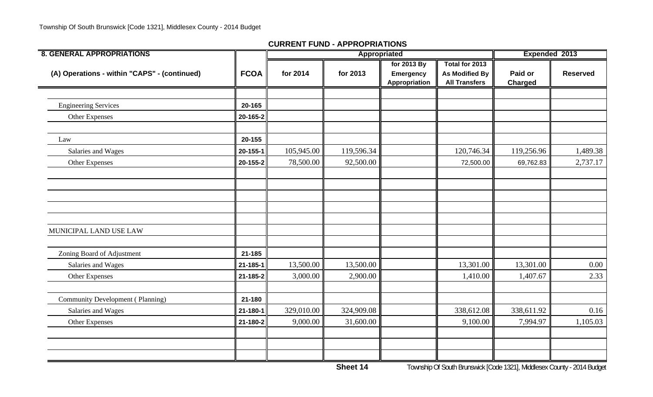| <b>8. GENERAL APPROPRIATIONS</b>             |             |            | Appropriated |                                           |                                                                 | Expended 2013             |                 |  |
|----------------------------------------------|-------------|------------|--------------|-------------------------------------------|-----------------------------------------------------------------|---------------------------|-----------------|--|
| (A) Operations - within "CAPS" - (continued) | <b>FCOA</b> | for 2014   | for 2013     | for 2013 By<br>Emergency<br>Appropriation | Total for 2013<br><b>As Modified By</b><br><b>All Transfers</b> | Paid or<br><b>Charged</b> | <b>Reserved</b> |  |
|                                              |             |            |              |                                           |                                                                 |                           |                 |  |
| <b>Engineering Services</b>                  | 20-165      |            |              |                                           |                                                                 |                           |                 |  |
| Other Expenses                               | 20-165-2    |            |              |                                           |                                                                 |                           |                 |  |
| Law                                          | 20-155      |            |              |                                           |                                                                 |                           |                 |  |
| Salaries and Wages                           | 20-155-1    | 105,945.00 | 119,596.34   |                                           | 120,746.34                                                      | 119,256.96                | 1,489.38        |  |
| Other Expenses                               | 20-155-2    | 78,500.00  | 92,500.00    |                                           | 72,500.00                                                       | 69,762.83                 | 2,737.17        |  |
|                                              |             |            |              |                                           |                                                                 |                           |                 |  |
|                                              |             |            |              |                                           |                                                                 |                           |                 |  |
|                                              |             |            |              |                                           |                                                                 |                           |                 |  |
|                                              |             |            |              |                                           |                                                                 |                           |                 |  |
| MUNICIPAL LAND USE LAW                       |             |            |              |                                           |                                                                 |                           |                 |  |
| Zoning Board of Adjustment                   | 21-185      |            |              |                                           |                                                                 |                           |                 |  |
| Salaries and Wages                           | 21-185-1    | 13,500.00  | 13,500.00    |                                           | 13,301.00                                                       | 13,301.00                 | 0.00            |  |
| Other Expenses                               | 21-185-2    | 3,000.00   | 2,900.00     |                                           | 1,410.00                                                        | 1,407.67                  | 2.33            |  |
| <b>Community Development (Planning)</b>      | 21-180      |            |              |                                           |                                                                 |                           |                 |  |
| Salaries and Wages                           | 21-180-1    | 329,010.00 | 324,909.08   |                                           | 338,612.08                                                      | 338,611.92                | 0.16            |  |
|                                              |             |            |              |                                           |                                                                 |                           |                 |  |
| Other Expenses                               | 21-180-2    | 9,000.00   | 31,600.00    |                                           | 9,100.00                                                        | 7,994.97                  | 1,105.03        |  |
|                                              |             |            |              |                                           |                                                                 |                           |                 |  |
|                                              |             |            |              |                                           |                                                                 |                           |                 |  |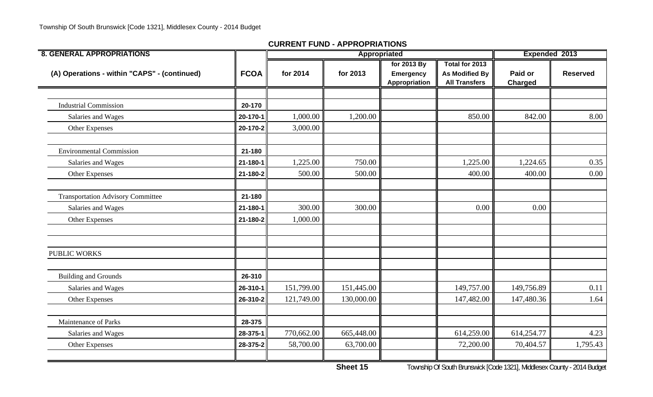| <b>8. GENERAL APPROPRIATIONS</b>             |             |            | Appropriated |                                                  |                                                                 | Expended 2013             |                 |
|----------------------------------------------|-------------|------------|--------------|--------------------------------------------------|-----------------------------------------------------------------|---------------------------|-----------------|
| (A) Operations - within "CAPS" - (continued) | <b>FCOA</b> | for 2014   | for 2013     | for 2013 By<br><b>Emergency</b><br>Appropriation | Total for 2013<br><b>As Modified By</b><br><b>All Transfers</b> | Paid or<br><b>Charged</b> | <b>Reserved</b> |
|                                              |             |            |              |                                                  |                                                                 |                           |                 |
| <b>Industrial Commission</b>                 | 20-170      |            |              |                                                  |                                                                 |                           |                 |
| Salaries and Wages                           | 20-170-1    | 1,000.00   | 1,200.00     |                                                  | 850.00                                                          | 842.00                    | 8.00            |
| Other Expenses                               | 20-170-2    | 3,000.00   |              |                                                  |                                                                 |                           |                 |
| <b>Environmental Commission</b>              | 21-180      |            |              |                                                  |                                                                 |                           |                 |
| Salaries and Wages                           | 21-180-1    | 1,225.00   | 750.00       |                                                  | 1,225.00                                                        | 1,224.65                  | 0.35            |
| Other Expenses                               | 21-180-2    | 500.00     | 500.00       |                                                  | 400.00                                                          | 400.00                    | 0.00            |
| <b>Transportation Advisory Committee</b>     | 21-180      |            |              |                                                  |                                                                 |                           |                 |
| Salaries and Wages                           | 21-180-1    | 300.00     | 300.00       |                                                  | 0.00                                                            | 0.00                      |                 |
| Other Expenses                               | 21-180-2    | 1,000.00   |              |                                                  |                                                                 |                           |                 |
| <b>PUBLIC WORKS</b>                          |             |            |              |                                                  |                                                                 |                           |                 |
| <b>Building and Grounds</b>                  | 26-310      |            |              |                                                  |                                                                 |                           |                 |
| Salaries and Wages                           | 26-310-1    | 151,799.00 | 151,445.00   |                                                  | 149,757.00                                                      | 149,756.89                | 0.11            |
| Other Expenses                               | 26-310-2    | 121,749.00 | 130,000.00   |                                                  | 147,482.00                                                      | 147,480.36                | 1.64            |
| Maintenance of Parks                         | 28-375      |            |              |                                                  |                                                                 |                           |                 |
| Salaries and Wages                           | 28-375-1    | 770,662.00 | 665,448.00   |                                                  | 614,259.00                                                      | 614,254.77                | 4.23            |
| Other Expenses                               | 28-375-2    | 58,700.00  | 63,700.00    |                                                  | 72,200.00                                                       | 70,404.57                 | 1,795.43        |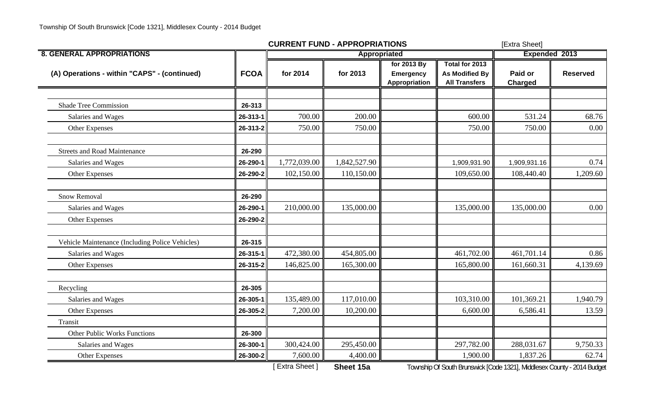|                                                 |             | <b>CURRENT FUND - APPROPRIATIONS</b> |              |                                                  |                                                                 | [Extra Sheet]             |                 |
|-------------------------------------------------|-------------|--------------------------------------|--------------|--------------------------------------------------|-----------------------------------------------------------------|---------------------------|-----------------|
| <b>8. GENERAL APPROPRIATIONS</b>                |             |                                      | Appropriated |                                                  |                                                                 | Expended 2013             |                 |
| (A) Operations - within "CAPS" - (continued)    | <b>FCOA</b> | for 2014                             | for 2013     | for 2013 By<br><b>Emergency</b><br>Appropriation | Total for 2013<br><b>As Modified By</b><br><b>All Transfers</b> | Paid or<br><b>Charged</b> | <b>Reserved</b> |
|                                                 |             |                                      |              |                                                  |                                                                 |                           |                 |
| <b>Shade Tree Commission</b>                    | 26-313      |                                      |              |                                                  |                                                                 |                           |                 |
| Salaries and Wages                              | 26-313-1    | 700.00                               | 200.00       |                                                  | 600.00                                                          | 531.24                    | 68.76           |
| Other Expenses                                  | 26-313-2    | 750.00                               | 750.00       |                                                  | 750.00                                                          | 750.00                    | 0.00            |
| <b>Streets and Road Maintenance</b>             | 26-290      |                                      |              |                                                  |                                                                 |                           |                 |
| Salaries and Wages                              | 26-290-1    | 1,772,039.00                         | 1,842,527.90 |                                                  | 1,909,931.90                                                    | 1,909,931.16              | 0.74            |
| Other Expenses                                  | 26-290-2    | 102,150.00                           | 110,150.00   |                                                  | 109,650.00                                                      | 108,440.40                | 1,209.60        |
| <b>Snow Removal</b>                             | 26-290      |                                      |              |                                                  |                                                                 |                           |                 |
| Salaries and Wages                              | 26-290-1    | 210,000.00                           | 135,000.00   |                                                  | 135,000.00                                                      | 135,000.00                | 0.00            |
| Other Expenses                                  | 26-290-2    |                                      |              |                                                  |                                                                 |                           |                 |
| Vehicle Maintenance (Including Police Vehicles) | 26-315      |                                      |              |                                                  |                                                                 |                           |                 |
| Salaries and Wages                              | 26-315-1    | 472,380.00                           | 454,805.00   |                                                  | 461,702.00                                                      | 461,701.14                | 0.86            |
| Other Expenses                                  | 26-315-2    | 146,825.00                           | 165,300.00   |                                                  | 165,800.00                                                      | 161,660.31                | 4,139.69        |
| Recycling                                       | 26-305      |                                      |              |                                                  |                                                                 |                           |                 |
| Salaries and Wages                              | 26-305-1    | 135,489.00                           | 117,010.00   |                                                  | 103,310.00                                                      | 101,369.21                | 1,940.79        |
| Other Expenses                                  | 26-305-2    | 7,200.00                             | 10,200.00    |                                                  | 6,600.00                                                        | 6,586.41                  | 13.59           |
| Transit                                         |             |                                      |              |                                                  |                                                                 |                           |                 |
| <b>Other Public Works Functions</b>             | 26-300      |                                      |              |                                                  |                                                                 |                           |                 |
| Salaries and Wages                              | 26-300-1    | 300,424.00                           | 295,450.00   |                                                  | 297,782.00                                                      | 288,031.67                | 9,750.33        |
| Other Expenses                                  | 26-300-2    | 7,600.00                             | 4,400.00     |                                                  | 1,900.00                                                        | 1,837.26                  | 62.74           |

[ Extra Sheet ] **Sheet 15a** Township Of South Brunswick [Code 1321], Middlesex County - 2014 Budget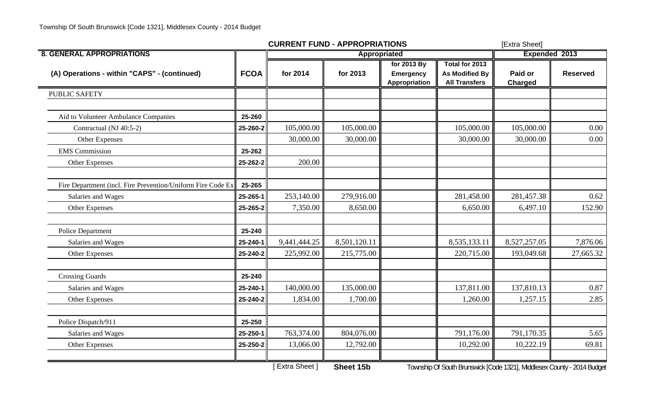|                                                             |             | <b>CURRENT FUND - APPROPRIATIONS</b> |              |                                                  | [Extra Sheet]                                                        |                           |                 |
|-------------------------------------------------------------|-------------|--------------------------------------|--------------|--------------------------------------------------|----------------------------------------------------------------------|---------------------------|-----------------|
| <b>8. GENERAL APPROPRIATIONS</b>                            |             |                                      | Appropriated |                                                  |                                                                      | Expended 2013             |                 |
| (A) Operations - within "CAPS" - (continued)                | <b>FCOA</b> | for 2014                             | for 2013     | for 2013 By<br><b>Emergency</b><br>Appropriation | Total for 2013<br><b>As Modified By</b><br><b>All Transfers</b>      | Paid or<br><b>Charged</b> | <b>Reserved</b> |
| <b>PUBLIC SAFETY</b>                                        |             |                                      |              |                                                  |                                                                      |                           |                 |
| Aid to Volunteer Ambulance Companies                        | 25-260      |                                      |              |                                                  |                                                                      |                           |                 |
| Contractual (NJ 40:5-2)                                     | 25-260-2    | 105,000.00                           | 105,000.00   |                                                  | 105,000.00                                                           | 105,000.00                | 0.00            |
| Other Expenses                                              |             | 30,000.00                            | 30,000.00    |                                                  | 30,000.00                                                            | 30,000.00                 | 0.00            |
| <b>EMS</b> Commission                                       | 25-262      |                                      |              |                                                  |                                                                      |                           |                 |
| <b>Other Expenses</b>                                       | 25-262-2    | 200.00                               |              |                                                  |                                                                      |                           |                 |
| Fire Department (incl. Fire Prevention/Uniform Fire Code Ex | 25-265      |                                      |              |                                                  |                                                                      |                           |                 |
| Salaries and Wages                                          | 25-265-1    | 253,140.00                           | 279,916.00   |                                                  | 281,458.00                                                           | 281,457.38                | 0.62            |
| <b>Other Expenses</b>                                       | 25-265-2    | 7,350.00                             | 8,650.00     |                                                  | 6,650.00                                                             | 6,497.10                  | 152.90          |
| Police Department                                           | 25-240      |                                      |              |                                                  |                                                                      |                           |                 |
| Salaries and Wages                                          | 25-240-1    | 9,441,444.25                         | 8,501,120.11 |                                                  | 8,535,133.11                                                         | 8,527,257.05              | 7,876.06        |
| Other Expenses                                              | 25-240-2    | 225,992.00                           | 215,775.00   |                                                  | 220,715.00                                                           | 193,049.68                | 27,665.32       |
| <b>Crossing Guards</b>                                      | 25-240      |                                      |              |                                                  |                                                                      |                           |                 |
| Salaries and Wages                                          | 25-240-1    | 140,000.00                           | 135,000.00   |                                                  | 137,811.00                                                           | 137,810.13                | 0.87            |
| Other Expenses                                              | 25-240-2    | 1,834.00                             | 1,700.00     |                                                  | 1,260.00                                                             | 1,257.15                  | 2.85            |
| Police Dispatch/911                                         | 25-250      |                                      |              |                                                  |                                                                      |                           |                 |
| Salaries and Wages                                          | 25-250-1    | 763,374.00                           | 804,076.00   |                                                  | 791,176.00                                                           | 791,170.35                | 5.65            |
| <b>Other Expenses</b>                                       | 25-250-2    | 13,066.00                            | 12,792.00    |                                                  | 10,292.00                                                            | 10,222.19                 | 69.81           |
|                                                             |             | $L_{\text{L}}$                       | Chast AEL    |                                                  | Township Of Cauth Dumonial [Cade 1991] Middleson County, 2014 Dudget |                           |                 |

[ Extra Sheet ] **Sheet 15b** Township Of South Brunswick [Code 1321], Middlesex County - 2014 Budget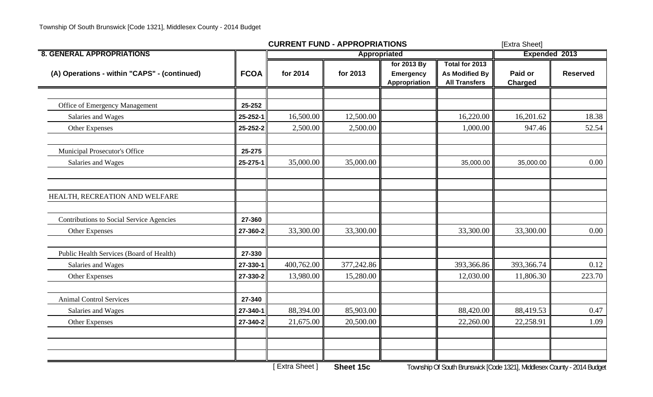|                                              |             | <b>CURRENT FUND - APPROPRIATIONS</b> |                     |                                                  |                                                                 | [Extra Sheet]             |                 |
|----------------------------------------------|-------------|--------------------------------------|---------------------|--------------------------------------------------|-----------------------------------------------------------------|---------------------------|-----------------|
| <b>8. GENERAL APPROPRIATIONS</b>             |             |                                      | <b>Appropriated</b> |                                                  |                                                                 | Expended 2013             |                 |
| (A) Operations - within "CAPS" - (continued) | <b>FCOA</b> | for 2014                             | for 2013            | for 2013 By<br><b>Emergency</b><br>Appropriation | Total for 2013<br><b>As Modified By</b><br><b>All Transfers</b> | Paid or<br><b>Charged</b> | <b>Reserved</b> |
|                                              |             |                                      |                     |                                                  |                                                                 |                           |                 |
| Office of Emergency Management               | 25-252      |                                      |                     |                                                  |                                                                 |                           |                 |
| Salaries and Wages                           | 25-252-1    | 16,500.00                            | 12,500.00           |                                                  | 16,220.00                                                       | 16,201.62                 | 18.38           |
| Other Expenses                               | 25-252-2    | 2,500.00                             | 2,500.00            |                                                  | 1,000.00                                                        | 947.46                    | 52.54           |
| Municipal Prosecutor's Office                | 25-275      |                                      |                     |                                                  |                                                                 |                           |                 |
| Salaries and Wages                           | 25-275-1    | 35,000.00                            | 35,000.00           |                                                  | 35,000.00                                                       | 35,000.00                 | 0.00            |
| HEALTH, RECREATION AND WELFARE               |             |                                      |                     |                                                  |                                                                 |                           |                 |
| Contributions to Social Service Agencies     | 27-360      |                                      |                     |                                                  |                                                                 |                           |                 |
| <b>Other Expenses</b>                        | 27-360-2    | 33,300.00                            | 33,300.00           |                                                  | 33,300.00                                                       | 33,300.00                 | 0.00            |
| Public Health Services (Board of Health)     | 27-330      |                                      |                     |                                                  |                                                                 |                           |                 |
| Salaries and Wages                           | 27-330-1    | 400,762.00                           | 377,242.86          |                                                  | 393,366.86                                                      | 393,366.74                | 0.12            |
| Other Expenses                               | 27-330-2    | 13,980.00                            | 15,280.00           |                                                  | 12,030.00                                                       | 11,806.30                 | 223.70          |
| <b>Animal Control Services</b>               | 27-340      |                                      |                     |                                                  |                                                                 |                           |                 |
| Salaries and Wages                           | 27-340-1    | 88,394.00                            | 85,903.00           |                                                  | 88,420.00                                                       | 88,419.53                 | 0.47            |
| Other Expenses                               | 27-340-2    | 21,675.00                            | 20,500.00           |                                                  | 22,260.00                                                       | 22,258.91                 | 1.09            |
|                                              |             |                                      |                     |                                                  |                                                                 |                           |                 |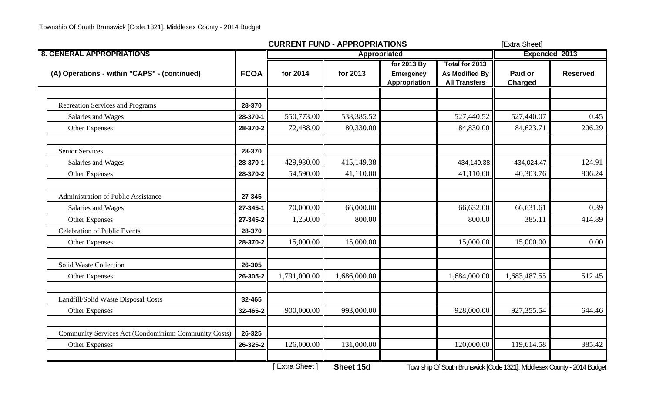|                                                      |             | <b>CURRENT FUND - APPROPRIATIONS</b> |              |                                           | [Extra Sheet]                                                           |                    |                 |
|------------------------------------------------------|-------------|--------------------------------------|--------------|-------------------------------------------|-------------------------------------------------------------------------|--------------------|-----------------|
| <b>8. GENERAL APPROPRIATIONS</b>                     |             |                                      | Appropriated |                                           | Expended 2013                                                           |                    |                 |
| (A) Operations - within "CAPS" - (continued)         | <b>FCOA</b> | for 2014                             | for 2013     | for 2013 By<br>Emergency<br>Appropriation | Total for 2013<br><b>As Modified By</b><br><b>All Transfers</b>         | Paid or<br>Charged | <b>Reserved</b> |
|                                                      |             |                                      |              |                                           |                                                                         |                    |                 |
| <b>Recreation Services and Programs</b>              | 28-370      |                                      |              |                                           |                                                                         |                    |                 |
| Salaries and Wages                                   | 28-370-1    | 550,773.00                           | 538,385.52   |                                           | 527,440.52                                                              | 527,440.07         | 0.45            |
| Other Expenses                                       | 28-370-2    | 72,488.00                            | 80,330.00    |                                           | 84,830.00                                                               | 84,623.71          | 206.29          |
| <b>Senior Services</b>                               | 28-370      |                                      |              |                                           |                                                                         |                    |                 |
| Salaries and Wages                                   | 28-370-1    | 429,930.00                           | 415,149.38   |                                           | 434,149.38                                                              | 434,024.47         | 124.91          |
| Other Expenses                                       | 28-370-2    | 54,590.00                            | 41,110.00    |                                           | 41,110.00                                                               | 40,303.76          | 806.24          |
| <b>Administration of Public Assistance</b>           | 27-345      |                                      |              |                                           |                                                                         |                    |                 |
| Salaries and Wages                                   | 27-345-1    | 70,000.00                            | 66,000.00    |                                           | 66,632.00                                                               | 66,631.61          | 0.39            |
| Other Expenses                                       | 27-345-2    | 1,250.00                             | 800.00       |                                           | 800.00                                                                  | 385.11             | 414.89          |
| <b>Celebration of Public Events</b>                  | 28-370      |                                      |              |                                           |                                                                         |                    |                 |
| Other Expenses                                       | 28-370-2    | 15,000.00                            | 15,000.00    |                                           | 15,000.00                                                               | 15,000.00          | 0.00            |
| Solid Waste Collection                               | 26-305      |                                      |              |                                           |                                                                         |                    |                 |
| Other Expenses                                       | 26-305-2    | 1,791,000.00                         | 1,686,000.00 |                                           | 1,684,000.00                                                            | 1,683,487.55       | 512.45          |
| Landfill/Solid Waste Disposal Costs                  | 32-465      |                                      |              |                                           |                                                                         |                    |                 |
| Other Expenses                                       | 32-465-2    | 900,000.00                           | 993,000.00   |                                           | 928,000.00                                                              | 927,355.54         | 644.46          |
| Community Services Act (Condominium Community Costs) | 26-325      |                                      |              |                                           |                                                                         |                    |                 |
| Other Expenses                                       | 26-325-2    | 126,000.00                           | 131,000.00   |                                           | 120,000.00                                                              | 119,614.58         | 385.42          |
|                                                      |             | <b>Extra Sheet</b> 1                 | Sheet 15d    |                                           | Township Of South Brunswick [Code 1321], Middlesex County - 2014 Budget |                    |                 |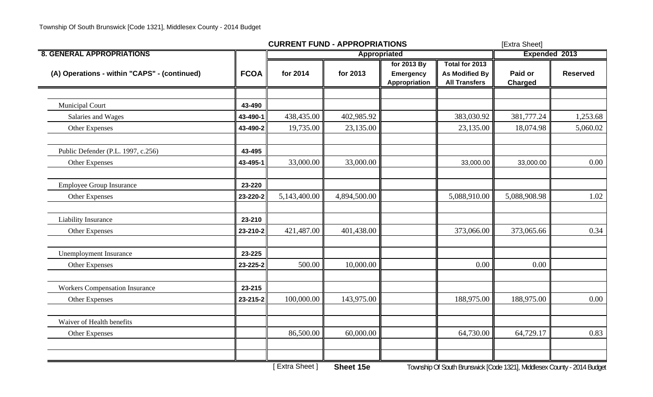|                                              |             | <b>CURRENT FUND - APPROPRIATIONS</b> |              | [Extra Sheet]                                    |                                                                 |                           |                 |
|----------------------------------------------|-------------|--------------------------------------|--------------|--------------------------------------------------|-----------------------------------------------------------------|---------------------------|-----------------|
| <b>8. GENERAL APPROPRIATIONS</b>             |             |                                      | Appropriated |                                                  |                                                                 | <b>Expended 2013</b>      |                 |
| (A) Operations - within "CAPS" - (continued) | <b>FCOA</b> | for 2014                             | for 2013     | for 2013 By<br><b>Emergency</b><br>Appropriation | Total for 2013<br><b>As Modified By</b><br><b>All Transfers</b> | Paid or<br><b>Charged</b> | <b>Reserved</b> |
|                                              |             |                                      |              |                                                  |                                                                 |                           |                 |
| <b>Municipal Court</b>                       | 43-490      |                                      |              |                                                  |                                                                 |                           |                 |
| Salaries and Wages                           | 43-490-1    | 438,435.00                           | 402,985.92   |                                                  | 383,030.92                                                      | 381,777.24                | 1,253.68        |
| Other Expenses                               | 43-490-2    | 19,735.00                            | 23,135.00    |                                                  | 23,135.00                                                       | 18,074.98                 | 5,060.02        |
| Public Defender (P.L. 1997, c.256)           | 43-495      |                                      |              |                                                  |                                                                 |                           |                 |
| Other Expenses                               | 43-495-1    | 33,000.00                            | 33,000.00    |                                                  | 33,000.00                                                       | 33,000.00                 | 0.00            |
| Employee Group Insurance                     | 23-220      |                                      |              |                                                  |                                                                 |                           |                 |
| Other Expenses                               | 23-220-2    | 5,143,400.00                         | 4,894,500.00 |                                                  | 5,088,910.00                                                    | 5,088,908.98              | 1.02            |
| <b>Liability Insurance</b>                   | 23-210      |                                      |              |                                                  |                                                                 |                           |                 |
| Other Expenses                               | 23-210-2    | 421,487.00                           | 401,438.00   |                                                  | 373,066.00                                                      | 373,065.66                | 0.34            |
| <b>Unemployment Insurance</b>                | 23-225      |                                      |              |                                                  |                                                                 |                           |                 |
| Other Expenses                               | 23-225-2    | 500.00                               | 10,000.00    |                                                  | 0.00                                                            | 0.00                      |                 |
| <b>Workers Compensation Insurance</b>        | 23-215      |                                      |              |                                                  |                                                                 |                           |                 |
| Other Expenses                               | 23-215-2    | 100,000.00                           | 143,975.00   |                                                  | 188,975.00                                                      | 188,975.00                | 0.00            |
| Waiver of Health benefits                    |             |                                      |              |                                                  |                                                                 |                           |                 |
| Other Expenses                               |             | 86,500.00                            | 60,000.00    |                                                  | 64,730.00                                                       | 64,729.17                 | 0.83            |
|                                              |             |                                      |              |                                                  |                                                                 |                           |                 |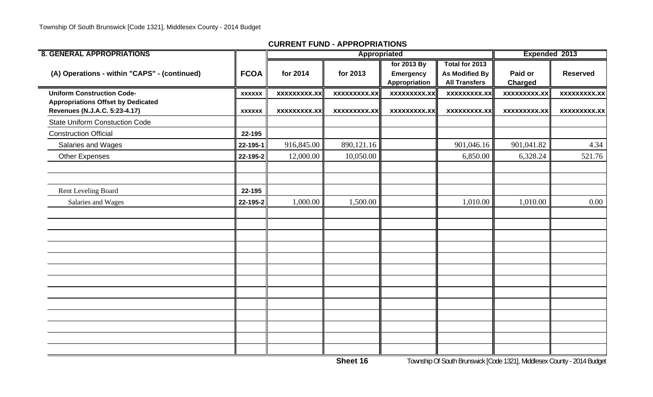| <b>8. GENERAL APPROPRIATIONS</b>                                           |               |                     | Appropriated        |                                                  |                                                          | Expended 2013             |                     |  |
|----------------------------------------------------------------------------|---------------|---------------------|---------------------|--------------------------------------------------|----------------------------------------------------------|---------------------------|---------------------|--|
| (A) Operations - within "CAPS" - (continued)                               | <b>FCOA</b>   | for 2014            | for 2013            | for 2013 By<br><b>Emergency</b><br>Appropriation | Total for 2013<br>As Modified By<br><b>All Transfers</b> | Paid or<br><b>Charged</b> | <b>Reserved</b>     |  |
| <b>Uniform Construction Code-</b>                                          | <b>XXXXXX</b> | <b>XXXXXXXXX.XX</b> | <b>XXXXXXXXX.XX</b> | <b>XXXXXXXXX.XX</b>                              | <b>XXXXXXXXX.XX</b>                                      | <b>XXXXXXXXX.XX</b>       | <b>XXXXXXXXX.XX</b> |  |
| <b>Appropriations Offset by Dedicated</b><br>Revenues (N.J.A.C. 5:23-4.17) | <b>XXXXXX</b> | <b>XXXXXXXXX.XX</b> | <b>XXXXXXXXX.XX</b> | XXXXXXXXX.XX                                     | <b>XXXXXXXXX.XX</b>                                      | XXXXXXXXX.XX              | <b>XXXXXXXXX.XX</b> |  |
| <b>State Uniform Constuction Code</b>                                      |               |                     |                     |                                                  |                                                          |                           |                     |  |
| <b>Construction Official</b>                                               | 22-195        |                     |                     |                                                  |                                                          |                           |                     |  |
| <b>Salaries and Wages</b>                                                  | 22-195-1      | 916,845.00          | 890,121.16          |                                                  | 901,046.16                                               | 901,041.82                | 4.34                |  |
| <b>Other Expenses</b>                                                      | 22-195-2      | 12,000.00           | 10,050.00           |                                                  | 6,850.00                                                 | 6,328.24                  | 521.76              |  |
|                                                                            |               |                     |                     |                                                  |                                                          |                           |                     |  |
| Rent Leveling Board                                                        | 22-195        |                     |                     |                                                  |                                                          |                           |                     |  |
| Salaries and Wages                                                         | 22-195-2      | 1,000.00            | 1,500.00            |                                                  | 1,010.00                                                 | 1,010.00                  | 0.00                |  |
|                                                                            |               |                     |                     |                                                  |                                                          |                           |                     |  |
|                                                                            |               |                     |                     |                                                  |                                                          |                           |                     |  |
|                                                                            |               |                     |                     |                                                  |                                                          |                           |                     |  |
|                                                                            |               |                     |                     |                                                  |                                                          |                           |                     |  |
|                                                                            |               |                     |                     |                                                  |                                                          |                           |                     |  |
|                                                                            |               |                     |                     |                                                  |                                                          |                           |                     |  |
|                                                                            |               |                     |                     |                                                  |                                                          |                           |                     |  |
|                                                                            |               |                     |                     |                                                  |                                                          |                           |                     |  |
|                                                                            |               |                     |                     |                                                  |                                                          |                           |                     |  |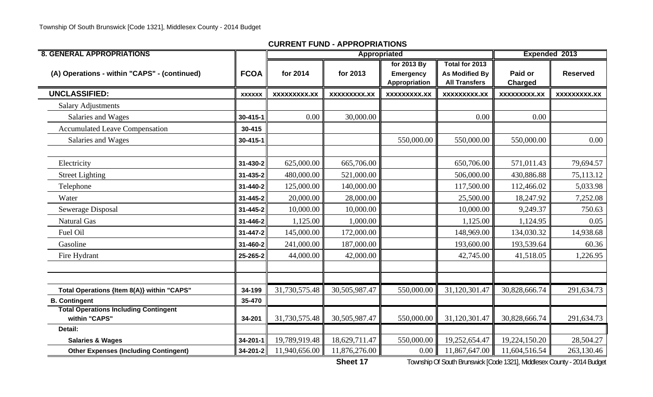| <b>8. GENERAL APPROPRIATIONS</b>                              |                |                     |                     | Appropriated                                     |                                                                 | Expended 2013       |                     |
|---------------------------------------------------------------|----------------|---------------------|---------------------|--------------------------------------------------|-----------------------------------------------------------------|---------------------|---------------------|
| (A) Operations - within "CAPS" - (continued)                  | <b>FCOA</b>    | for 2014            | for 2013            | for 2013 By<br><b>Emergency</b><br>Appropriation | Total for 2013<br><b>As Modified By</b><br><b>All Transfers</b> | Paid or<br>Charged  | <b>Reserved</b>     |
| <b>UNCLASSIFIED:</b>                                          | <b>XXXXXX</b>  | <b>XXXXXXXXX.XX</b> | <b>XXXXXXXXX.XX</b> | <b>XXXXXXXXX.XX</b>                              | <b>XXXXXXXXX.XX</b>                                             | <b>XXXXXXXXX.XX</b> | <b>XXXXXXXXX.XX</b> |
| <b>Salary Adjustments</b>                                     |                |                     |                     |                                                  |                                                                 |                     |                     |
| Salaries and Wages                                            | 30-415-1       | 0.00                | 30,000.00           |                                                  | 0.00                                                            | 0.00                |                     |
| <b>Accumulated Leave Compensation</b>                         | 30-415         |                     |                     |                                                  |                                                                 |                     |                     |
| Salaries and Wages                                            | $30 - 415 - 1$ |                     |                     | 550,000.00                                       | 550,000.00                                                      | 550,000.00          | 0.00                |
|                                                               |                |                     |                     |                                                  |                                                                 |                     |                     |
| Electricity                                                   | 31-430-2       | 625,000.00          | 665,706.00          |                                                  | 650,706.00                                                      | 571,011.43          | 79,694.57           |
| <b>Street Lighting</b>                                        | 31-435-2       | 480,000.00          | 521,000.00          |                                                  | 506,000.00                                                      | 430,886.88          | 75,113.12           |
| Telephone                                                     | 31-440-2       | 125,000.00          | 140,000.00          |                                                  | 117,500.00                                                      | 112,466.02          | 5,033.98            |
| Water                                                         | $31 - 445 - 2$ | 20,000.00           | 28,000.00           |                                                  | 25,500.00                                                       | 18,247.92           | 7,252.08            |
| Sewerage Disposal                                             | 31-445-2       | 10,000.00           | 10,000.00           |                                                  | 10,000.00                                                       | 9,249.37            | 750.63              |
| <b>Natural Gas</b>                                            | 31-446-2       | 1,125.00            | 1,000.00            |                                                  | 1,125.00                                                        | 1,124.95            | 0.05                |
| Fuel Oil                                                      | 31-447-2       | 145,000.00          | 172,000.00          |                                                  | 148,969.00                                                      | 134,030.32          | 14,938.68           |
| Gasoline                                                      | 31-460-2       | 241,000.00          | 187,000.00          |                                                  | 193,600.00                                                      | 193,539.64          | 60.36               |
| Fire Hydrant                                                  | 25-265-2       | 44,000.00           | 42,000.00           |                                                  | 42,745.00                                                       | 41,518.05           | 1,226.95            |
|                                                               |                |                     |                     |                                                  |                                                                 |                     |                     |
|                                                               |                |                     |                     |                                                  |                                                                 |                     |                     |
| Total Operations {Item 8(A)} within "CAPS"                    | 34-199         | 31,730,575.48       | 30,505,987.47       | 550,000.00                                       | 31,120,301.47                                                   | 30,828,666.74       | 291,634.73          |
| <b>B. Contingent</b>                                          | 35-470         |                     |                     |                                                  |                                                                 |                     |                     |
| <b>Total Operations Including Contingent</b><br>within "CAPS" | 34-201         | 31,730,575.48       | 30,505,987.47       | 550,000.00                                       | 31,120,301.47                                                   | 30,828,666.74       | 291,634.73          |
| Detail:                                                       |                |                     |                     |                                                  |                                                                 |                     |                     |
| <b>Salaries &amp; Wages</b>                                   | $34 - 201 - 1$ | 19,789,919.48       | 18,629,711.47       | 550,000.00                                       | 19,252,654.47                                                   | 19,224,150.20       | 28,504.27           |
| <b>Other Expenses (Including Contingent)</b>                  | 34-201-2       | 11,940,656.00       | 11,876,276.00       | 0.00                                             | 11,867,647.00                                                   | 11,604,516.54       | 263,130.46          |

**Sheet 17**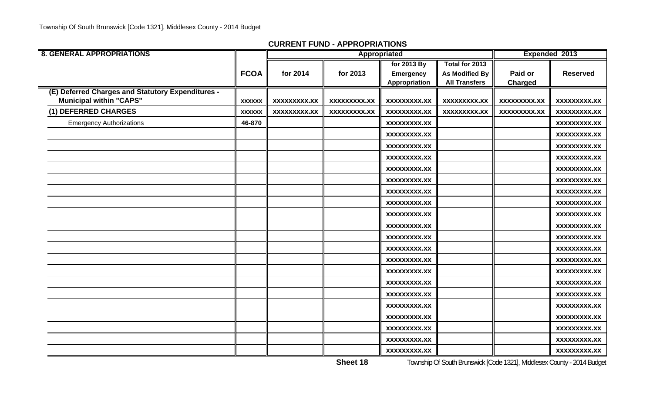| <b>8. GENERAL APPROPRIATIONS</b>                  |               |                     |                     | Appropriated        |                      | Expended 2013       |                     |
|---------------------------------------------------|---------------|---------------------|---------------------|---------------------|----------------------|---------------------|---------------------|
|                                                   |               |                     |                     | for 2013 By         | Total for 2013       |                     |                     |
|                                                   | <b>FCOA</b>   | for 2014            | for 2013            | <b>Emergency</b>    | As Modified By       | Paid or             | <b>Reserved</b>     |
|                                                   |               |                     |                     | Appropriation       | <b>All Transfers</b> | Charged             |                     |
| (E) Deferred Charges and Statutory Expenditures - |               |                     |                     |                     |                      |                     |                     |
| <b>Municipal within "CAPS"</b>                    | <b>XXXXXX</b> | <b>XXXXXXXXX.XX</b> | <b>XXXXXXXXX.XX</b> | <b>XXXXXXXXX.XX</b> | <b>XXXXXXXXX.XX</b>  | <b>XXXXXXXXX.XX</b> | <b>XXXXXXXX.XX</b>  |
| (1) DEFERRED CHARGES                              | <b>XXXXXX</b> | <b>XXXXXXXXX.XX</b> | <b>XXXXXXXXX.XX</b> | <b>XXXXXXXXX.XX</b> | <b>XXXXXXXXX.XX</b>  | <b>XXXXXXXXX.XX</b> | XXXXXXXX.XX         |
| <b>Emergency Authorizations</b>                   | 46-870        |                     |                     | <b>XXXXXXXXX.XX</b> |                      |                     | <b>XXXXXXXX.XX</b>  |
|                                                   |               |                     |                     | <b>XXXXXXXXX.XX</b> |                      |                     | <b>XXXXXXXX.XX</b>  |
|                                                   |               |                     |                     | <b>XXXXXXXXX.XX</b> |                      |                     | <b>XXXXXXXX.XX</b>  |
|                                                   |               |                     |                     | <b>XXXXXXXXX.XX</b> |                      |                     | <b>XXXXXXXXX.XX</b> |
|                                                   |               |                     |                     | <b>XXXXXXXXX.XX</b> |                      |                     | <b>XXXXXXXX.XX</b>  |
|                                                   |               |                     |                     | <b>XXXXXXXXX.XX</b> |                      |                     | XXXXXXXXX.XX        |
|                                                   |               |                     |                     | <b>XXXXXXXXX.XX</b> |                      |                     | XXXXXXXXX.XX        |
|                                                   |               |                     |                     | <b>XXXXXXXXX.XX</b> |                      |                     | XXXXXXXXX.XX        |
|                                                   |               |                     |                     | <b>XXXXXXXXX.XX</b> |                      |                     | <b>XXXXXXXX.XX</b>  |
|                                                   |               |                     |                     | XXXXXXXXX.XX        |                      |                     | XXXXXXXXX.XX        |
|                                                   |               |                     |                     | <b>XXXXXXXXX.XX</b> |                      |                     | <b>XXXXXXXX.XX</b>  |
|                                                   |               |                     |                     | <b>XXXXXXXXX.XX</b> |                      |                     | XXXXXXXXX.XX        |
|                                                   |               |                     |                     | <b>XXXXXXXXX.XX</b> |                      |                     | XXXXXXXX.XX         |
|                                                   |               |                     |                     | <b>XXXXXXXXX.XX</b> |                      |                     | <b>XXXXXXXX.XX</b>  |
|                                                   |               |                     |                     | <b>XXXXXXXXX.XX</b> |                      |                     | <b>XXXXXXXX.XX</b>  |
|                                                   |               |                     |                     | <b>XXXXXXXXX.XX</b> |                      |                     | <b>XXXXXXXX.XX</b>  |
|                                                   |               |                     |                     | <b>XXXXXXXXX.XX</b> |                      |                     | <b>XXXXXXXXX.XX</b> |
|                                                   |               |                     |                     | <b>XXXXXXXXX.XX</b> |                      |                     | <b>XXXXXXXX.XX</b>  |
|                                                   |               |                     |                     | <b>XXXXXXXXX.XX</b> |                      |                     | <b>XXXXXXXX.XX</b>  |
|                                                   |               |                     |                     | <b>XXXXXXXXX.XX</b> |                      |                     | XXXXXXXX.XX         |
|                                                   |               |                     |                     | <b>XXXXXXXXX.XX</b> |                      |                     | <b>XXXXXXXXX.XX</b> |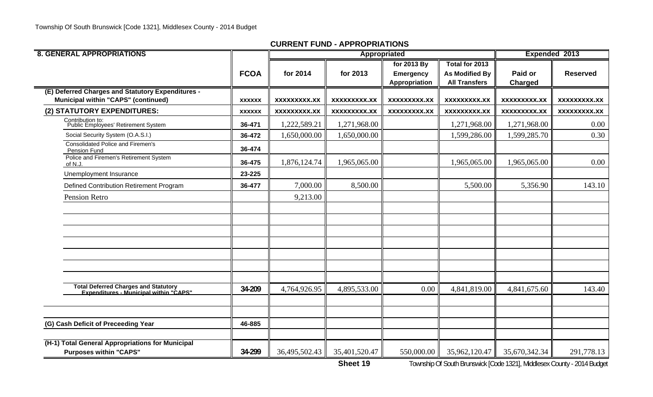| <b>8. GENERAL APPROPRIATIONS</b>                                                                |               |                     |                     | Appropriated                                     |                                                                 | Expended 2013             |                     |
|-------------------------------------------------------------------------------------------------|---------------|---------------------|---------------------|--------------------------------------------------|-----------------------------------------------------------------|---------------------------|---------------------|
|                                                                                                 | <b>FCOA</b>   | for 2014            | for 2013            | for 2013 By<br><b>Emergency</b><br>Appropriation | Total for 2013<br><b>As Modified By</b><br><b>All Transfers</b> | Paid or<br><b>Charged</b> | <b>Reserved</b>     |
| (E) Deferred Charges and Statutory Expenditures -<br><b>Municipal within "CAPS" (continued)</b> | <b>XXXXXX</b> | XXXXXXXXX.XX        | XXXXXXXXX.XX        | XXXXXXXXX.XX                                     | XXXXXXXXX.XX                                                    | <b>XXXXXXXXX.XX</b>       | XXXXXXXXX.XX        |
| (2) STATUTORY EXPENDITURES:                                                                     | <b>XXXXXX</b> | <b>XXXXXXXXX.XX</b> | <b>XXXXXXXXX.XX</b> | <b>XXXXXXXX.XX</b>                               | <b>XXXXXXXXX.XX</b>                                             | <b>XXXXXXXXX.XX</b>       | <b>XXXXXXXXX.XX</b> |
| Contribution to:<br>Public Employees' Retirement System                                         | 36-471        | 1,222,589.21        | 1,271,968.00        |                                                  | 1,271,968.00                                                    | 1,271,968.00              | 0.00                |
| Social Security System (O.A.S.I.)                                                               | 36-472        | 1,650,000.00        | 1,650,000.00        |                                                  | 1,599,286.00                                                    | 1,599,285.70              | 0.30                |
| <b>Consolidated Police and Firemen's</b><br>Pension Fund                                        | 36-474        |                     |                     |                                                  |                                                                 |                           |                     |
| Police and Firemen's Retirement System<br>of N.J.                                               | 36-475        | 1,876,124.74        | 1,965,065.00        |                                                  | 1,965,065.00                                                    | 1,965,065.00              | 0.00                |
| Unemployment Insurance                                                                          | 23-225        |                     |                     |                                                  |                                                                 |                           |                     |
| Defined Contribution Retirement Program                                                         | 36-477        | 7,000.00            | 8,500.00            |                                                  | 5,500.00                                                        | 5,356.90                  | 143.10              |
| Pension Retro                                                                                   |               | 9,213.00            |                     |                                                  |                                                                 |                           |                     |
|                                                                                                 |               |                     |                     |                                                  |                                                                 |                           |                     |
|                                                                                                 |               |                     |                     |                                                  |                                                                 |                           |                     |
|                                                                                                 |               |                     |                     |                                                  |                                                                 |                           |                     |
|                                                                                                 |               |                     |                     |                                                  |                                                                 |                           |                     |
|                                                                                                 |               |                     |                     |                                                  |                                                                 |                           |                     |
|                                                                                                 |               |                     |                     |                                                  |                                                                 |                           |                     |
|                                                                                                 |               |                     |                     |                                                  |                                                                 |                           |                     |
| Total Deferred Charges and Statutory<br>Expenditures - Municipal within "CAPS"                  | 34-209        | 4,764,926.95        | 4,895,533.00        | 0.00                                             | 4,841,819.00                                                    | 4,841,675.60              | 143.40              |
|                                                                                                 |               |                     |                     |                                                  |                                                                 |                           |                     |
|                                                                                                 |               |                     |                     |                                                  |                                                                 |                           |                     |
| (G) Cash Deficit of Preceeding Year                                                             | 46-885        |                     |                     |                                                  |                                                                 |                           |                     |
| (H-1) Total General Appropriations for Municipal<br><b>Purposes within "CAPS"</b>               | 34-299        | 36,495,502.43       | 35,401,520.47       | 550,000.00                                       | 35,962,120.47                                                   | 35,670,342.34             | 291,778.13          |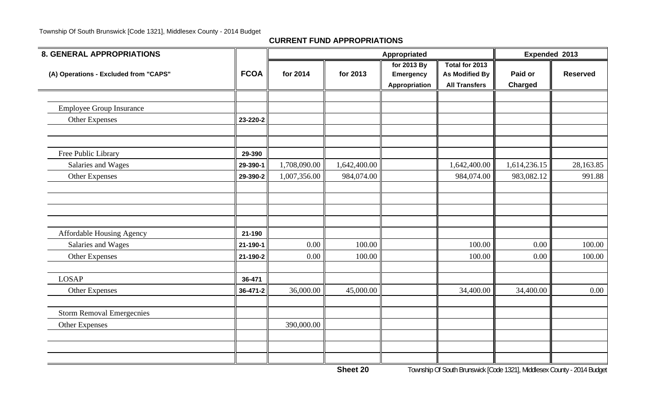**CURRENT FUND APPROPRIATIONS**

| <b>8. GENERAL APPROPRIATIONS</b>      |             |              |              | Appropriated                                     |                                                                 | Expended 2013      |                 |
|---------------------------------------|-------------|--------------|--------------|--------------------------------------------------|-----------------------------------------------------------------|--------------------|-----------------|
| (A) Operations - Excluded from "CAPS" | <b>FCOA</b> | for 2014     | for 2013     | for 2013 By<br><b>Emergency</b><br>Appropriation | Total for 2013<br><b>As Modified By</b><br><b>All Transfers</b> | Paid or<br>Charged | <b>Reserved</b> |
|                                       |             |              |              |                                                  |                                                                 |                    |                 |
| <b>Employee Group Insurance</b>       |             |              |              |                                                  |                                                                 |                    |                 |
| <b>Other Expenses</b>                 | 23-220-2    |              |              |                                                  |                                                                 |                    |                 |
|                                       |             |              |              |                                                  |                                                                 |                    |                 |
| Free Public Library                   | 29-390      |              |              |                                                  |                                                                 |                    |                 |
| Salaries and Wages                    | 29-390-1    | 1,708,090.00 | 1,642,400.00 |                                                  | 1,642,400.00                                                    | 1,614,236.15       | 28,163.85       |
| Other Expenses                        | 29-390-2    | 1,007,356.00 | 984,074.00   |                                                  | 984,074.00                                                      | 983,082.12         | 991.88          |
|                                       |             |              |              |                                                  |                                                                 |                    |                 |
|                                       |             |              |              |                                                  |                                                                 |                    |                 |
|                                       |             |              |              |                                                  |                                                                 |                    |                 |
| Affordable Housing Agency             | 21-190      |              |              |                                                  |                                                                 |                    |                 |
| Salaries and Wages                    | 21-190-1    | 0.00         | 100.00       |                                                  | 100.00                                                          | 0.00               | 100.00          |
| <b>Other Expenses</b>                 | 21-190-2    | 0.00         | 100.00       |                                                  | 100.00                                                          | 0.00               | 100.00          |
| <b>LOSAP</b>                          | 36-471      |              |              |                                                  |                                                                 |                    |                 |
| <b>Other Expenses</b>                 | 36-471-2    | 36,000.00    | 45,000.00    |                                                  | 34,400.00                                                       | 34,400.00          | $0.00\,$        |
| <b>Storm Removal Emergecnies</b>      |             |              |              |                                                  |                                                                 |                    |                 |
| <b>Other Expenses</b>                 |             | 390,000.00   |              |                                                  |                                                                 |                    |                 |
|                                       |             |              |              |                                                  |                                                                 |                    |                 |
|                                       |             |              |              |                                                  |                                                                 |                    |                 |
|                                       |             |              |              |                                                  |                                                                 |                    |                 |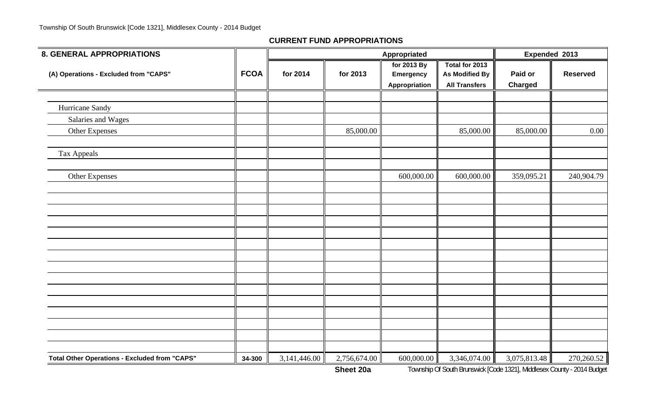| 8. GENERAL APPROPRIATIONS                            |             |              |              | Appropriated                                     |                                                                 | Expended 2013             |                 |  |
|------------------------------------------------------|-------------|--------------|--------------|--------------------------------------------------|-----------------------------------------------------------------|---------------------------|-----------------|--|
| (A) Operations - Excluded from "CAPS"                | <b>FCOA</b> | for 2014     | for 2013     | for 2013 By<br><b>Emergency</b><br>Appropriation | Total for 2013<br><b>As Modified By</b><br><b>All Transfers</b> | Paid or<br><b>Charged</b> | <b>Reserved</b> |  |
|                                                      |             |              |              |                                                  |                                                                 |                           |                 |  |
| Hurricane Sandy                                      |             |              |              |                                                  |                                                                 |                           |                 |  |
| Salaries and Wages                                   |             |              |              |                                                  |                                                                 |                           |                 |  |
| Other Expenses                                       |             |              | 85,000.00    |                                                  | 85,000.00                                                       | 85,000.00                 | $0.00\,$        |  |
| Tax Appeals                                          |             |              |              |                                                  |                                                                 |                           |                 |  |
| <b>Other Expenses</b>                                |             |              |              | 600,000.00                                       | 600,000.00                                                      | 359,095.21                | 240,904.79      |  |
|                                                      |             |              |              |                                                  |                                                                 |                           |                 |  |
|                                                      |             |              |              |                                                  |                                                                 |                           |                 |  |
|                                                      |             |              |              |                                                  |                                                                 |                           |                 |  |
|                                                      |             |              |              |                                                  |                                                                 |                           |                 |  |
|                                                      |             |              |              |                                                  |                                                                 |                           |                 |  |
|                                                      |             |              |              |                                                  |                                                                 |                           |                 |  |
|                                                      |             |              |              |                                                  |                                                                 |                           |                 |  |
|                                                      |             |              |              |                                                  |                                                                 |                           |                 |  |
|                                                      |             |              |              |                                                  |                                                                 |                           |                 |  |
| <b>Total Other Operations - Excluded from "CAPS"</b> | 34-300      | 3,141,446.00 | 2,756,674.00 | 600,000.00                                       | 3,346,074.00                                                    | 3,075,813.48              | 270,260.52      |  |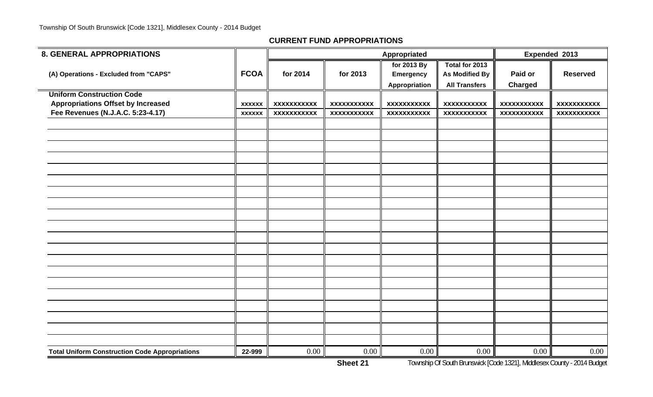| <b>8. GENERAL APPROPRIATIONS</b>                      |               |                    |                    | Appropriated         |                       | Expended 2013      |                    |
|-------------------------------------------------------|---------------|--------------------|--------------------|----------------------|-----------------------|--------------------|--------------------|
|                                                       |               |                    |                    | for 2013 By          | Total for 2013        |                    |                    |
| (A) Operations - Excluded from "CAPS"                 | <b>FCOA</b>   | for 2014           | for 2013           | <b>Emergency</b>     | <b>As Modified By</b> | Paid or            | <b>Reserved</b>    |
|                                                       |               |                    |                    | <b>Appropriation</b> | <b>All Transfers</b>  | <b>Charged</b>     |                    |
| <b>Uniform Construction Code</b>                      |               |                    |                    |                      |                       |                    |                    |
| <b>Appropriations Offset by Increased</b>             | <b>XXXXXX</b> | <b>XXXXXXXXXXX</b> | <b>XXXXXXXXXXX</b> | <b>XXXXXXXXXXX</b>   | <b>XXXXXXXXXXX</b>    | <b>XXXXXXXXXXX</b> | <b>XXXXXXXXXXX</b> |
| Fee Revenues (N.J.A.C. 5:23-4.17)                     | <b>XXXXXX</b> | <b>XXXXXXXXXXX</b> | <b>XXXXXXXXXXX</b> | <b>XXXXXXXXXXX</b>   | <b>XXXXXXXXXXX</b>    | <b>XXXXXXXXXXX</b> | <b>XXXXXXXXXXX</b> |
|                                                       |               |                    |                    |                      |                       |                    |                    |
|                                                       |               |                    |                    |                      |                       |                    |                    |
|                                                       |               |                    |                    |                      |                       |                    |                    |
|                                                       |               |                    |                    |                      |                       |                    |                    |
|                                                       |               |                    |                    |                      |                       |                    |                    |
|                                                       |               |                    |                    |                      |                       |                    |                    |
|                                                       |               |                    |                    |                      |                       |                    |                    |
|                                                       |               |                    |                    |                      |                       |                    |                    |
|                                                       |               |                    |                    |                      |                       |                    |                    |
|                                                       |               |                    |                    |                      |                       |                    |                    |
|                                                       |               |                    |                    |                      |                       |                    |                    |
|                                                       |               |                    |                    |                      |                       |                    |                    |
|                                                       |               |                    |                    |                      |                       |                    |                    |
|                                                       |               |                    |                    |                      |                       |                    |                    |
|                                                       |               |                    |                    |                      |                       |                    |                    |
|                                                       |               |                    |                    |                      |                       |                    |                    |
|                                                       |               |                    |                    |                      |                       |                    |                    |
|                                                       |               |                    |                    |                      |                       |                    |                    |
|                                                       |               |                    |                    |                      |                       |                    |                    |
|                                                       |               |                    |                    |                      |                       |                    |                    |
| <b>Total Uniform Construction Code Appropriations</b> | 22-999        | 0.00               | 0.00               | 0.00                 | 0.00                  | 0.00               | 0.00               |

**Sheet 21**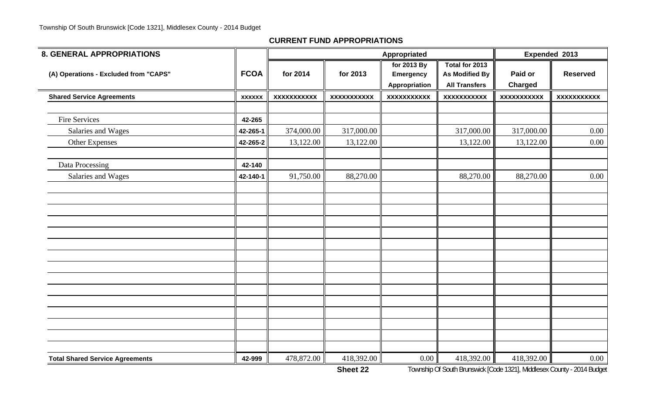| <b>8. GENERAL APPROPRIATIONS</b>       |               |                    |                    | Appropriated                    |                                         | Expended 2013      |                    |  |
|----------------------------------------|---------------|--------------------|--------------------|---------------------------------|-----------------------------------------|--------------------|--------------------|--|
| (A) Operations - Excluded from "CAPS"  | <b>FCOA</b>   | for 2014           | for 2013           | for 2013 By<br><b>Emergency</b> | Total for 2013<br><b>As Modified By</b> | Paid or            | <b>Reserved</b>    |  |
|                                        |               |                    |                    | Appropriation                   | <b>All Transfers</b>                    | <b>Charged</b>     |                    |  |
| <b>Shared Service Agreements</b>       | <b>XXXXXX</b> | <b>XXXXXXXXXXX</b> | <b>XXXXXXXXXXX</b> | <b>XXXXXXXXXXX</b>              | <b>XXXXXXXXXXX</b>                      | <b>XXXXXXXXXXX</b> | <b>XXXXXXXXXXX</b> |  |
|                                        |               |                    |                    |                                 |                                         |                    |                    |  |
| <b>Fire Services</b>                   | 42-265        |                    |                    |                                 |                                         |                    |                    |  |
| Salaries and Wages                     | 42-265-1      | 374,000.00         | 317,000.00         |                                 | 317,000.00                              | 317,000.00         | 0.00               |  |
| Other Expenses                         | 42-265-2      | 13,122.00          | 13,122.00          |                                 | 13,122.00                               | 13,122.00          | 0.00               |  |
| Data Processing                        | 42-140        |                    |                    |                                 |                                         |                    |                    |  |
| Salaries and Wages                     | 42-140-1      | 91,750.00          | 88,270.00          |                                 | 88,270.00                               | 88,270.00          | 0.00               |  |
|                                        |               |                    |                    |                                 |                                         |                    |                    |  |
|                                        |               |                    |                    |                                 |                                         |                    |                    |  |
|                                        |               |                    |                    |                                 |                                         |                    |                    |  |
|                                        |               |                    |                    |                                 |                                         |                    |                    |  |
|                                        |               |                    |                    |                                 |                                         |                    |                    |  |
|                                        |               |                    |                    |                                 |                                         |                    |                    |  |
|                                        |               |                    |                    |                                 |                                         |                    |                    |  |
|                                        |               |                    |                    |                                 |                                         |                    |                    |  |
|                                        |               |                    |                    |                                 |                                         |                    |                    |  |
|                                        |               |                    |                    |                                 |                                         |                    |                    |  |
|                                        |               |                    |                    |                                 |                                         |                    |                    |  |
|                                        |               |                    |                    |                                 |                                         |                    |                    |  |
|                                        |               |                    |                    |                                 |                                         |                    |                    |  |
| <b>Total Shared Service Agreements</b> | 42-999        | 478,872.00         | 418,392.00         | $0.00\,$                        | 418,392.00                              | 418,392.00         | 0.00               |  |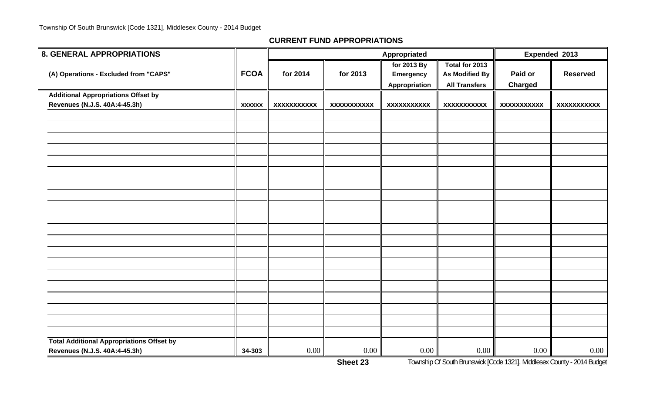| <b>8. GENERAL APPROPRIATIONS</b>                 |               |                    |                    | Appropriated                                     |                                                                 |                           | Expended 2013      |
|--------------------------------------------------|---------------|--------------------|--------------------|--------------------------------------------------|-----------------------------------------------------------------|---------------------------|--------------------|
| (A) Operations - Excluded from "CAPS"            | <b>FCOA</b>   | for 2014           | for 2013           | for 2013 By<br><b>Emergency</b><br>Appropriation | Total for 2013<br><b>As Modified By</b><br><b>All Transfers</b> | Paid or<br><b>Charged</b> | <b>Reserved</b>    |
| <b>Additional Appropriations Offset by</b>       |               |                    |                    |                                                  |                                                                 |                           |                    |
| Revenues (N.J.S. 40A:4-45.3h)                    | <b>XXXXXX</b> | <b>XXXXXXXXXXX</b> | <b>XXXXXXXXXXX</b> | <b>XXXXXXXXXXX</b>                               | <b>XXXXXXXXXXX</b>                                              | <b>XXXXXXXXXXX</b>        | <b>XXXXXXXXXXX</b> |
|                                                  |               |                    |                    |                                                  |                                                                 |                           |                    |
|                                                  |               |                    |                    |                                                  |                                                                 |                           |                    |
|                                                  |               |                    |                    |                                                  |                                                                 |                           |                    |
|                                                  |               |                    |                    |                                                  |                                                                 |                           |                    |
|                                                  |               |                    |                    |                                                  |                                                                 |                           |                    |
|                                                  |               |                    |                    |                                                  |                                                                 |                           |                    |
|                                                  |               |                    |                    |                                                  |                                                                 |                           |                    |
|                                                  |               |                    |                    |                                                  |                                                                 |                           |                    |
|                                                  |               |                    |                    |                                                  |                                                                 |                           |                    |
|                                                  |               |                    |                    |                                                  |                                                                 |                           |                    |
|                                                  |               |                    |                    |                                                  |                                                                 |                           |                    |
|                                                  |               |                    |                    |                                                  |                                                                 |                           |                    |
|                                                  |               |                    |                    |                                                  |                                                                 |                           |                    |
|                                                  |               |                    |                    |                                                  |                                                                 |                           |                    |
|                                                  |               |                    |                    |                                                  |                                                                 |                           |                    |
|                                                  |               |                    |                    |                                                  |                                                                 |                           |                    |
|                                                  |               |                    |                    |                                                  |                                                                 |                           |                    |
|                                                  |               |                    |                    |                                                  |                                                                 |                           |                    |
|                                                  |               |                    |                    |                                                  |                                                                 |                           |                    |
|                                                  |               |                    |                    |                                                  |                                                                 |                           |                    |
| <b>Total Additional Appropriations Offset by</b> |               |                    |                    |                                                  |                                                                 |                           |                    |
| Revenues (N.J.S. 40A:4-45.3h)                    | 34-303        | 0.00               | $0.00\,$           | 0.00                                             | 0.00                                                            | 0.00                      | $0.00\,$           |

**Sheet 23**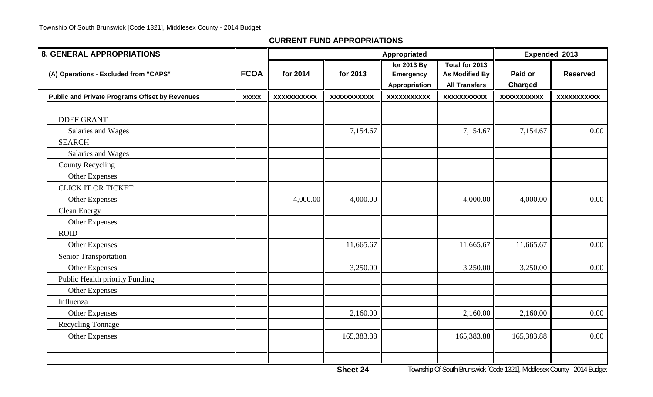| <b>8. GENERAL APPROPRIATIONS</b>                      |              |                    | Appropriated       |                                                         |                                                                 | Expended 2013             |                    |
|-------------------------------------------------------|--------------|--------------------|--------------------|---------------------------------------------------------|-----------------------------------------------------------------|---------------------------|--------------------|
| (A) Operations - Excluded from "CAPS"                 | <b>FCOA</b>  | for 2014           | for 2013           | for 2013 By<br><b>Emergency</b><br><b>Appropriation</b> | Total for 2013<br><b>As Modified By</b><br><b>All Transfers</b> | Paid or<br><b>Charged</b> | <b>Reserved</b>    |
| <b>Public and Private Programs Offset by Revenues</b> | <b>XXXXX</b> | <b>XXXXXXXXXXX</b> | <b>XXXXXXXXXXX</b> | <b>XXXXXXXXXXX</b>                                      | <b>XXXXXXXXXXX</b>                                              | <b>XXXXXXXXXXX</b>        | <b>XXXXXXXXXXX</b> |
| <b>DDEF GRANT</b>                                     |              |                    |                    |                                                         |                                                                 |                           |                    |
| Salaries and Wages                                    |              |                    | 7,154.67           |                                                         | 7,154.67                                                        | 7,154.67                  | 0.00               |
| <b>SEARCH</b>                                         |              |                    |                    |                                                         |                                                                 |                           |                    |
| Salaries and Wages                                    |              |                    |                    |                                                         |                                                                 |                           |                    |
| <b>County Recycling</b>                               |              |                    |                    |                                                         |                                                                 |                           |                    |
| <b>Other Expenses</b>                                 |              |                    |                    |                                                         |                                                                 |                           |                    |
| <b>CLICK IT OR TICKET</b>                             |              |                    |                    |                                                         |                                                                 |                           |                    |
| <b>Other Expenses</b>                                 |              | 4,000.00           | 4,000.00           |                                                         | 4,000.00                                                        | 4,000.00                  | 0.00               |
| <b>Clean Energy</b>                                   |              |                    |                    |                                                         |                                                                 |                           |                    |
| Other Expenses                                        |              |                    |                    |                                                         |                                                                 |                           |                    |
| <b>ROID</b>                                           |              |                    |                    |                                                         |                                                                 |                           |                    |
| Other Expenses                                        |              |                    | 11,665.67          |                                                         | 11,665.67                                                       | 11,665.67                 | 0.00               |
| <b>Senior Transportation</b>                          |              |                    |                    |                                                         |                                                                 |                           |                    |
| Other Expenses                                        |              |                    | 3,250.00           |                                                         | 3,250.00                                                        | 3,250.00                  | 0.00               |
| Public Health priority Funding                        |              |                    |                    |                                                         |                                                                 |                           |                    |
| Other Expenses                                        |              |                    |                    |                                                         |                                                                 |                           |                    |
| Influenza                                             |              |                    |                    |                                                         |                                                                 |                           |                    |
| <b>Other Expenses</b>                                 |              |                    | 2,160.00           |                                                         | 2,160.00                                                        | 2,160.00                  | 0.00               |
| <b>Recycling Tonnage</b>                              |              |                    |                    |                                                         |                                                                 |                           |                    |
| <b>Other Expenses</b>                                 |              |                    | 165,383.88         |                                                         | 165,383.88                                                      | 165,383.88                | 0.00               |
|                                                       |              |                    |                    |                                                         |                                                                 |                           |                    |
|                                                       |              |                    |                    |                                                         |                                                                 |                           |                    |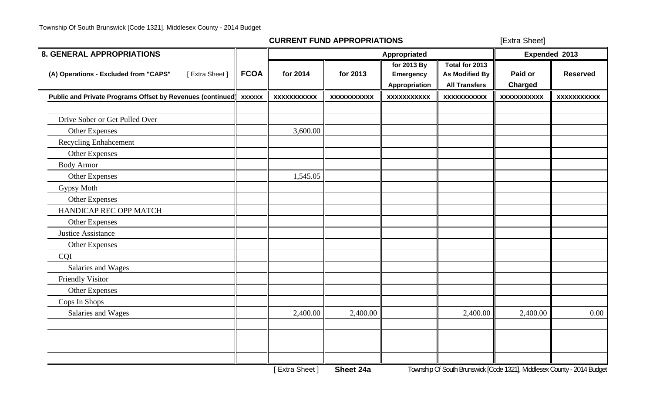[Extra Sheet]

| <b>8. GENERAL APPROPRIATIONS</b>                          |               |                    |                    | Appropriated                                            |                                                                 |                           | Expended 2013      |
|-----------------------------------------------------------|---------------|--------------------|--------------------|---------------------------------------------------------|-----------------------------------------------------------------|---------------------------|--------------------|
| (A) Operations - Excluded from "CAPS"<br>[Extra Sheet]    | <b>FCOA</b>   | for 2014           | for 2013           | for 2013 By<br><b>Emergency</b><br><b>Appropriation</b> | Total for 2013<br><b>As Modified By</b><br><b>All Transfers</b> | Paid or<br><b>Charged</b> | <b>Reserved</b>    |
| Public and Private Programs Offset by Revenues (continued | <b>XXXXXX</b> | <b>XXXXXXXXXXX</b> | <b>XXXXXXXXXXX</b> | <b>XXXXXXXXXXX</b>                                      | <b>XXXXXXXXXXX</b>                                              | <b>XXXXXXXXXXX</b>        | <b>XXXXXXXXXXX</b> |
|                                                           |               |                    |                    |                                                         |                                                                 |                           |                    |
| Drive Sober or Get Pulled Over                            |               |                    |                    |                                                         |                                                                 |                           |                    |
| <b>Other Expenses</b>                                     |               | 3,600.00           |                    |                                                         |                                                                 |                           |                    |
| Recycling Enhahcement                                     |               |                    |                    |                                                         |                                                                 |                           |                    |
| <b>Other Expenses</b>                                     |               |                    |                    |                                                         |                                                                 |                           |                    |
| <b>Body Armor</b>                                         |               |                    |                    |                                                         |                                                                 |                           |                    |
| <b>Other Expenses</b>                                     |               | 1,545.05           |                    |                                                         |                                                                 |                           |                    |
| Gypsy Moth                                                |               |                    |                    |                                                         |                                                                 |                           |                    |
| Other Expenses                                            |               |                    |                    |                                                         |                                                                 |                           |                    |
| HANDICAP REC OPP MATCH                                    |               |                    |                    |                                                         |                                                                 |                           |                    |
| <b>Other Expenses</b>                                     |               |                    |                    |                                                         |                                                                 |                           |                    |
| <b>Justice Assistance</b>                                 |               |                    |                    |                                                         |                                                                 |                           |                    |
| <b>Other Expenses</b>                                     |               |                    |                    |                                                         |                                                                 |                           |                    |
| <b>CQI</b>                                                |               |                    |                    |                                                         |                                                                 |                           |                    |
| Salaries and Wages                                        |               |                    |                    |                                                         |                                                                 |                           |                    |
| <b>Friendly Visitor</b>                                   |               |                    |                    |                                                         |                                                                 |                           |                    |
| <b>Other Expenses</b>                                     |               |                    |                    |                                                         |                                                                 |                           |                    |
| Cops In Shops                                             |               |                    |                    |                                                         |                                                                 |                           |                    |
| Salaries and Wages                                        |               | 2,400.00           | 2,400.00           |                                                         | 2,400.00                                                        | 2,400.00                  | $0.00\,$           |
|                                                           |               |                    |                    |                                                         |                                                                 |                           |                    |
|                                                           |               |                    |                    |                                                         |                                                                 |                           |                    |
|                                                           |               |                    |                    |                                                         |                                                                 |                           |                    |
|                                                           |               |                    |                    |                                                         |                                                                 |                           |                    |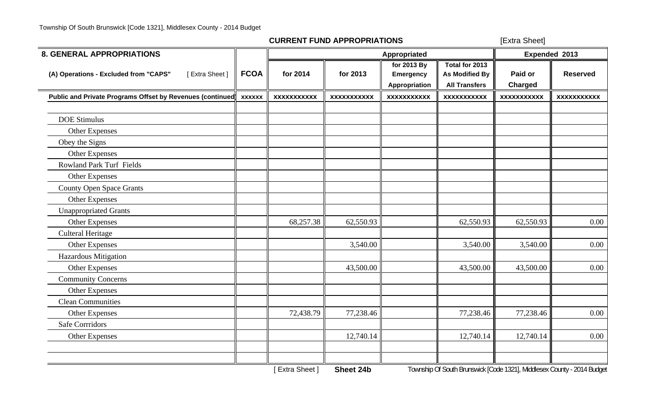[Extra Sheet]

| <b>8. GENERAL APPROPRIATIONS</b>                          |               |                    |                    | Appropriated                                     |                                                                 |                           | Expended 2013      |
|-----------------------------------------------------------|---------------|--------------------|--------------------|--------------------------------------------------|-----------------------------------------------------------------|---------------------------|--------------------|
| (A) Operations - Excluded from "CAPS"<br>[Extra Sheet]    | <b>FCOA</b>   | for 2014           | for 2013           | for 2013 By<br><b>Emergency</b><br>Appropriation | Total for 2013<br><b>As Modified By</b><br><b>All Transfers</b> | Paid or<br><b>Charged</b> | <b>Reserved</b>    |
| Public and Private Programs Offset by Revenues (continued | <b>XXXXXX</b> | <b>XXXXXXXXXXX</b> | <b>XXXXXXXXXXX</b> | <b>XXXXXXXXXXX</b>                               | <b>XXXXXXXXXXX</b>                                              | <b>XXXXXXXXXXX</b>        | <b>XXXXXXXXXXX</b> |
| <b>DOE Stimulus</b><br><b>Other Expenses</b>              |               |                    |                    |                                                  |                                                                 |                           |                    |
| Obey the Signs                                            |               |                    |                    |                                                  |                                                                 |                           |                    |
| <b>Other Expenses</b>                                     |               |                    |                    |                                                  |                                                                 |                           |                    |
| <b>Rowland Park Turf Fields</b>                           |               |                    |                    |                                                  |                                                                 |                           |                    |
| Other Expenses                                            |               |                    |                    |                                                  |                                                                 |                           |                    |
| <b>County Open Space Grants</b>                           |               |                    |                    |                                                  |                                                                 |                           |                    |
| Other Expenses                                            |               |                    |                    |                                                  |                                                                 |                           |                    |
| <b>Unappropriated Grants</b>                              |               |                    |                    |                                                  |                                                                 |                           |                    |
| Other Expenses                                            |               | 68,257.38          | 62,550.93          |                                                  | 62,550.93                                                       | 62,550.93                 | 0.00               |
| <b>Culteral Heritage</b>                                  |               |                    |                    |                                                  |                                                                 |                           |                    |
| <b>Other Expenses</b>                                     |               |                    | 3,540.00           |                                                  | 3,540.00                                                        | 3,540.00                  | 0.00               |
| <b>Hazardous Mitigation</b>                               |               |                    |                    |                                                  |                                                                 |                           |                    |
| Other Expenses                                            |               |                    | 43,500.00          |                                                  | 43,500.00                                                       | 43,500.00                 | 0.00               |
| <b>Community Concerns</b>                                 |               |                    |                    |                                                  |                                                                 |                           |                    |
| <b>Other Expenses</b>                                     |               |                    |                    |                                                  |                                                                 |                           |                    |
| <b>Clean Communities</b>                                  |               |                    |                    |                                                  |                                                                 |                           |                    |
| <b>Other Expenses</b>                                     |               | 72,438.79          | 77,238.46          |                                                  | 77,238.46                                                       | 77,238.46                 | 0.00               |
| <b>Safe Corrridors</b>                                    |               |                    |                    |                                                  |                                                                 |                           |                    |
| <b>Other Expenses</b>                                     |               |                    | 12,740.14          |                                                  | 12,740.14                                                       | 12,740.14                 | 0.00               |
|                                                           |               |                    |                    |                                                  |                                                                 |                           |                    |
|                                                           |               |                    |                    |                                                  |                                                                 |                           |                    |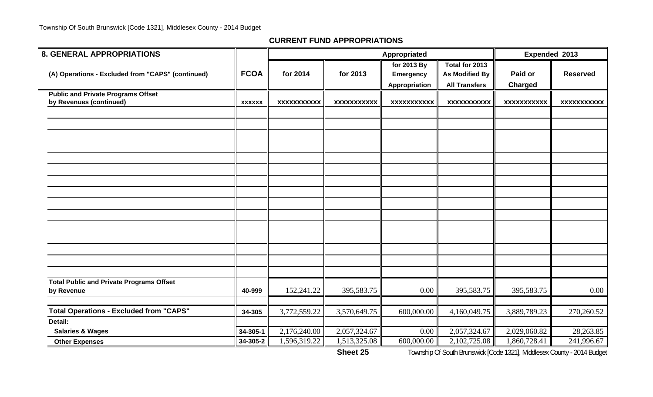| <b>8. GENERAL APPROPRIATIONS</b>                                     |                |                    |                    |                    | Expended 2013        |                    |                    |
|----------------------------------------------------------------------|----------------|--------------------|--------------------|--------------------|----------------------|--------------------|--------------------|
|                                                                      |                |                    |                    | for 2013 By        | Total for 2013       |                    |                    |
| (A) Operations - Excluded from "CAPS" (continued)                    | <b>FCOA</b>    | for 2014           | for 2013           | <b>Emergency</b>   | As Modified By       | Paid or            | <b>Reserved</b>    |
|                                                                      |                |                    |                    | Appropriation      | <b>All Transfers</b> | <b>Charged</b>     |                    |
| <b>Public and Private Programs Offset</b><br>by Revenues (continued) |                | <b>XXXXXXXXXXX</b> |                    |                    |                      |                    |                    |
|                                                                      | <b>XXXXXX</b>  |                    | <b>XXXXXXXXXXX</b> | <b>XXXXXXXXXXX</b> | <b>XXXXXXXXXXX</b>   | <b>XXXXXXXXXXX</b> | <b>XXXXXXXXXXX</b> |
|                                                                      |                |                    |                    |                    |                      |                    |                    |
|                                                                      |                |                    |                    |                    |                      |                    |                    |
|                                                                      |                |                    |                    |                    |                      |                    |                    |
|                                                                      |                |                    |                    |                    |                      |                    |                    |
|                                                                      |                |                    |                    |                    |                      |                    |                    |
|                                                                      |                |                    |                    |                    |                      |                    |                    |
|                                                                      |                |                    |                    |                    |                      |                    |                    |
|                                                                      |                |                    |                    |                    |                      |                    |                    |
|                                                                      |                |                    |                    |                    |                      |                    |                    |
|                                                                      |                |                    |                    |                    |                      |                    |                    |
|                                                                      |                |                    |                    |                    |                      |                    |                    |
|                                                                      |                |                    |                    |                    |                      |                    |                    |
|                                                                      |                |                    |                    |                    |                      |                    |                    |
|                                                                      |                |                    |                    |                    |                      |                    |                    |
|                                                                      |                |                    |                    |                    |                      |                    |                    |
|                                                                      |                |                    |                    |                    |                      |                    |                    |
| <b>Total Public and Private Programs Offset</b>                      |                |                    |                    |                    |                      |                    |                    |
| by Revenue                                                           | 40-999         | 152,241.22         | 395,583.75         | 0.00               | 395,583.75           | 395,583.75         | 0.00               |
| <b>Total Operations - Excluded from "CAPS"</b>                       |                |                    |                    | 600,000.00         |                      |                    |                    |
| Detail:                                                              | 34-305         | 3,772,559.22       | 3,570,649.75       |                    | 4,160,049.75         | 3,889,789.23       | 270,260.52         |
| <b>Salaries &amp; Wages</b>                                          | 34-305-1       | 2,176,240.00       | 2,057,324.67       | $0.00\,$           | 2,057,324.67         | 2,029,060.82       | 28,263.85          |
| <b>Other Expenses</b>                                                | $34 - 305 - 2$ | 1,596,319.22       | 1,513,325.08       | 600,000.00         | 2,102,725.08         | 1,860,728.41       | 241,996.67         |
|                                                                      |                |                    |                    |                    |                      |                    |                    |

**Sheet 25**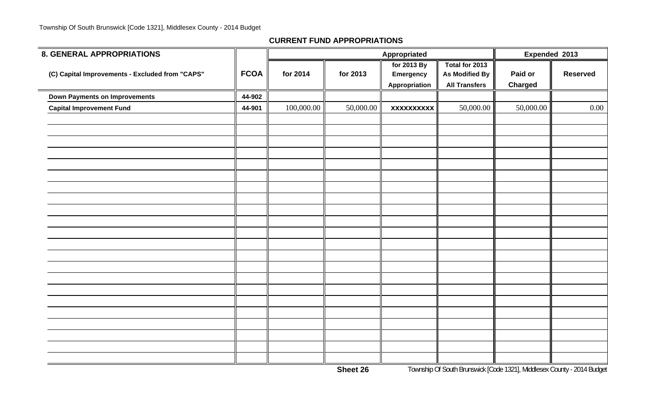| 8. GENERAL APPROPRIATIONS                       |             |            |           | Appropriated                              |                                                                 | Expended 2013             |                 |
|-------------------------------------------------|-------------|------------|-----------|-------------------------------------------|-----------------------------------------------------------------|---------------------------|-----------------|
| (C) Capital Improvements - Excluded from "CAPS" | <b>FCOA</b> | for 2014   | for 2013  | for 2013 By<br>Emergency<br>Appropriation | Total for 2013<br><b>As Modified By</b><br><b>All Transfers</b> | Paid or<br><b>Charged</b> | <b>Reserved</b> |
| <b>Down Payments on Improvements</b>            | 44-902      |            |           |                                           |                                                                 |                           |                 |
| <b>Capital Improvement Fund</b>                 | 44-901      | 100,000.00 | 50,000.00 | <b>XXXXXXXXXX</b>                         | 50,000.00                                                       | 50,000.00                 | $0.00\,$        |
|                                                 |             |            |           |                                           |                                                                 |                           |                 |
|                                                 |             |            |           |                                           |                                                                 |                           |                 |
|                                                 |             |            |           |                                           |                                                                 |                           |                 |
|                                                 |             |            |           |                                           |                                                                 |                           |                 |
|                                                 |             |            |           |                                           |                                                                 |                           |                 |
|                                                 |             |            |           |                                           |                                                                 |                           |                 |
|                                                 |             |            |           |                                           |                                                                 |                           |                 |
|                                                 |             |            |           |                                           |                                                                 |                           |                 |
|                                                 |             |            |           |                                           |                                                                 |                           |                 |
|                                                 |             |            |           |                                           |                                                                 |                           |                 |
|                                                 |             |            |           |                                           |                                                                 |                           |                 |
|                                                 |             |            |           |                                           |                                                                 |                           |                 |
|                                                 |             |            |           |                                           |                                                                 |                           |                 |
|                                                 |             |            |           |                                           |                                                                 |                           |                 |
|                                                 |             |            |           |                                           |                                                                 |                           |                 |
|                                                 |             |            |           |                                           |                                                                 |                           |                 |
|                                                 |             |            |           |                                           |                                                                 |                           |                 |
|                                                 |             |            |           |                                           |                                                                 |                           |                 |
|                                                 |             |            |           |                                           |                                                                 |                           |                 |
|                                                 |             |            |           |                                           |                                                                 |                           |                 |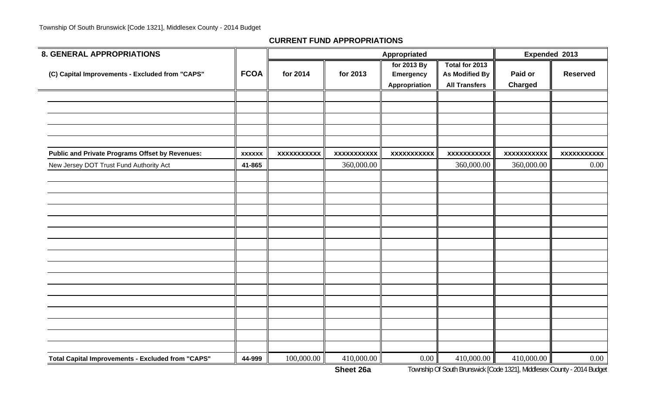| <b>8. GENERAL APPROPRIATIONS</b>                       |               |                    |                    | Appropriated                                     |                                                                 | Expended 2013             |                    |
|--------------------------------------------------------|---------------|--------------------|--------------------|--------------------------------------------------|-----------------------------------------------------------------|---------------------------|--------------------|
| (C) Capital Improvements - Excluded from "CAPS"        | <b>FCOA</b>   | for 2014           | for 2013           | for 2013 By<br><b>Emergency</b><br>Appropriation | Total for 2013<br><b>As Modified By</b><br><b>All Transfers</b> | Paid or<br><b>Charged</b> | <b>Reserved</b>    |
|                                                        |               |                    |                    |                                                  |                                                                 |                           |                    |
|                                                        |               |                    |                    |                                                  |                                                                 |                           |                    |
|                                                        |               |                    |                    |                                                  |                                                                 |                           |                    |
| <b>Public and Private Programs Offset by Revenues:</b> | <b>XXXXXX</b> | <b>XXXXXXXXXXX</b> | <b>XXXXXXXXXXX</b> | <b>XXXXXXXXXXX</b>                               | <b>XXXXXXXXXXX</b>                                              | <b>XXXXXXXXXXX</b>        | <b>XXXXXXXXXXX</b> |
| New Jersey DOT Trust Fund Authority Act                | 41-865        |                    | 360,000.00         |                                                  | 360,000.00                                                      | 360,000.00                | 0.00               |
|                                                        |               |                    |                    |                                                  |                                                                 |                           |                    |
|                                                        |               |                    |                    |                                                  |                                                                 |                           |                    |
|                                                        |               |                    |                    |                                                  |                                                                 |                           |                    |
|                                                        |               |                    |                    |                                                  |                                                                 |                           |                    |
|                                                        |               |                    |                    |                                                  |                                                                 |                           |                    |
|                                                        |               |                    |                    |                                                  |                                                                 |                           |                    |
|                                                        |               |                    |                    |                                                  |                                                                 |                           |                    |
|                                                        |               |                    |                    |                                                  |                                                                 |                           |                    |
|                                                        |               |                    |                    |                                                  |                                                                 |                           |                    |
|                                                        |               |                    |                    |                                                  |                                                                 |                           |                    |
|                                                        |               |                    |                    |                                                  |                                                                 |                           |                    |
|                                                        |               |                    |                    |                                                  |                                                                 |                           |                    |
| Total Capital Improvements - Excluded from "CAPS"      | 44-999        | 100,000.00         | 410,000.00         | 0.00                                             | 410,000.00                                                      | 410,000.00                | 0.00               |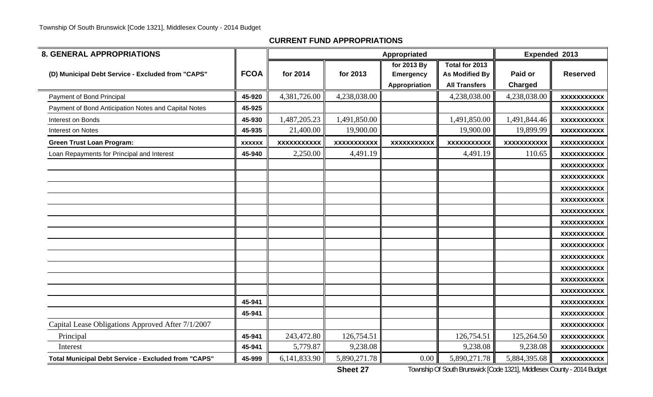| <b>8. GENERAL APPROPRIATIONS</b>                           |               |                    |                    | Appropriated                                     |                                                          | Expended 2013             |                    |
|------------------------------------------------------------|---------------|--------------------|--------------------|--------------------------------------------------|----------------------------------------------------------|---------------------------|--------------------|
| (D) Municipal Debt Service - Excluded from "CAPS"          | <b>FCOA</b>   | for 2014           | for 2013           | for 2013 By<br><b>Emergency</b><br>Appropriation | Total for 2013<br>As Modified By<br><b>All Transfers</b> | Paid or<br><b>Charged</b> | <b>Reserved</b>    |
| Payment of Bond Principal                                  | 45-920        | 4,381,726.00       | 4,238,038.00       |                                                  | 4,238,038.00                                             | 4,238,038.00              | <b>XXXXXXXXXXX</b> |
| Payment of Bond Anticipation Notes and Capital Notes       | 45-925        |                    |                    |                                                  |                                                          |                           | <b>XXXXXXXXXXX</b> |
| Interest on Bonds                                          | 45-930        | 1,487,205.23       | 1,491,850.00       |                                                  | 1,491,850.00                                             | 1,491,844.46              | <b>XXXXXXXXXXX</b> |
| Interest on Notes                                          | 45-935        | 21,400.00          | 19,900.00          |                                                  | 19,900.00                                                | 19,899.99                 | <b>XXXXXXXXXXX</b> |
| <b>Green Trust Loan Program:</b>                           | <b>XXXXXX</b> | <b>XXXXXXXXXXX</b> | <b>XXXXXXXXXXX</b> | <b>XXXXXXXXXXX</b>                               | <b>XXXXXXXXXXX</b>                                       | <b>XXXXXXXXXXX</b>        | <b>XXXXXXXXXXX</b> |
| Loan Repayments for Principal and Interest                 | 45-940        | 2,250.00           | 4,491.19           |                                                  | 4,491.19                                                 | 110.65                    | <b>XXXXXXXXXXX</b> |
|                                                            |               |                    |                    |                                                  |                                                          |                           | <b>XXXXXXXXXXX</b> |
|                                                            |               |                    |                    |                                                  |                                                          |                           | <b>XXXXXXXXXXX</b> |
|                                                            |               |                    |                    |                                                  |                                                          |                           | <b>XXXXXXXXXXX</b> |
|                                                            |               |                    |                    |                                                  |                                                          |                           | <b>XXXXXXXXXXX</b> |
|                                                            |               |                    |                    |                                                  |                                                          |                           | <b>XXXXXXXXXXX</b> |
|                                                            |               |                    |                    |                                                  |                                                          |                           | <b>XXXXXXXXXXX</b> |
|                                                            |               |                    |                    |                                                  |                                                          |                           | <b>XXXXXXXXXXX</b> |
|                                                            |               |                    |                    |                                                  |                                                          |                           | <b>XXXXXXXXXXX</b> |
|                                                            |               |                    |                    |                                                  |                                                          |                           | <b>XXXXXXXXXXX</b> |
|                                                            |               |                    |                    |                                                  |                                                          |                           | <b>XXXXXXXXXXX</b> |
|                                                            |               |                    |                    |                                                  |                                                          |                           | <b>XXXXXXXXXXX</b> |
|                                                            |               |                    |                    |                                                  |                                                          |                           | <b>XXXXXXXXXXX</b> |
|                                                            | 45-941        |                    |                    |                                                  |                                                          |                           | <b>XXXXXXXXXXX</b> |
|                                                            | 45-941        |                    |                    |                                                  |                                                          |                           | <b>XXXXXXXXXXX</b> |
| Capital Lease Obligations Approved After 7/1/2007          |               |                    |                    |                                                  |                                                          |                           | <b>XXXXXXXXXXX</b> |
| Principal                                                  | 45-941        | 243,472.80         | 126,754.51         |                                                  | 126,754.51                                               | 125,264.50                | <b>XXXXXXXXXXX</b> |
| Interest                                                   | 45-941        | 5,779.87           | 9,238.08           |                                                  | 9,238.08                                                 | 9,238.08                  | <b>XXXXXXXXXXX</b> |
| <b>Total Municipal Debt Service - Excluded from "CAPS"</b> | 45-999        | 6,141,833.90       | 5,890,271.78       | 0.00                                             | 5,890,271.78                                             | 5,884,395.68              | <b>XXXXXXXXXXX</b> |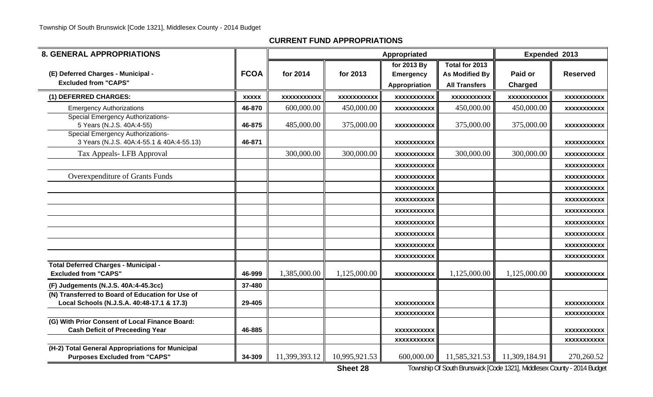| <b>8. GENERAL APPROPRIATIONS</b>                                                               |              |                    |                    |                                                  | Expended 2013                                                   |                    |                    |
|------------------------------------------------------------------------------------------------|--------------|--------------------|--------------------|--------------------------------------------------|-----------------------------------------------------------------|--------------------|--------------------|
| (E) Deferred Charges - Municipal -<br><b>Excluded from "CAPS"</b>                              | <b>FCOA</b>  | for 2014           | for 2013           | for 2013 By<br><b>Emergency</b><br>Appropriation | Total for 2013<br><b>As Modified By</b><br><b>All Transfers</b> | Paid or<br>Charged | <b>Reserved</b>    |
| (1) DEFERRED CHARGES:                                                                          | <b>XXXXX</b> | <b>XXXXXXXXXXX</b> | <b>XXXXXXXXXXX</b> | <b>XXXXXXXXXXX</b>                               | <b>XXXXXXXXXXX</b>                                              | <b>XXXXXXXXXXX</b> | XXXXXXXXXX         |
| <b>Emergency Authorizations</b>                                                                | 46-870       | 600,000.00         | 450,000.00         | <b>XXXXXXXXXXX</b>                               | 450,000.00                                                      | 450,000.00         | XXXXXXXXXXX        |
| <b>Special Emergency Authorizations-</b><br>5 Years (N.J.S. 40A:4-55)                          | 46-875       | 485,000.00         | 375,000.00         | <b>XXXXXXXXXXX</b>                               | 375,000.00                                                      | 375,000.00         | XXXXXXXXXXX        |
| <b>Special Emergency Authorizations-</b><br>3 Years (N.J.S. 40A:4-55.1 & 40A:4-55.13)          | 46-871       |                    |                    | XXXXXXXXXXX                                      |                                                                 |                    | XXXXXXXXXXX        |
| Tax Appeals- LFB Approval                                                                      |              | 300,000.00         | 300,000.00         | <b>XXXXXXXXXXX</b>                               | 300,000.00                                                      | 300,000.00         | <b>XXXXXXXXXXX</b> |
|                                                                                                |              |                    |                    | XXXXXXXXXXX                                      |                                                                 |                    | <b>XXXXXXXXXXX</b> |
| Overexpenditure of Grants Funds                                                                |              |                    |                    | <b>XXXXXXXXXXX</b>                               |                                                                 |                    | <b>XXXXXXXXXXX</b> |
|                                                                                                |              |                    |                    | XXXXXXXXXXX                                      |                                                                 |                    | XXXXXXXXXXX        |
|                                                                                                |              |                    |                    | <b>XXXXXXXXXXX</b>                               |                                                                 |                    | XXXXXXXXXX         |
|                                                                                                |              |                    |                    | <b>XXXXXXXXXXX</b>                               |                                                                 |                    | <b>XXXXXXXXXXX</b> |
|                                                                                                |              |                    |                    | XXXXXXXXXXX                                      |                                                                 |                    | XXXXXXXXXXX        |
|                                                                                                |              |                    |                    | <b>XXXXXXXXXXX</b>                               |                                                                 |                    | <b>XXXXXXXXXXX</b> |
|                                                                                                |              |                    |                    | <b>XXXXXXXXXXX</b>                               |                                                                 |                    | XXXXXXXXXXX        |
|                                                                                                |              |                    |                    | <b>XXXXXXXXXXX</b>                               |                                                                 |                    | <b>XXXXXXXXXXX</b> |
| <b>Total Deferred Charges - Municipal -</b><br><b>Excluded from "CAPS"</b>                     | 46-999       | 1,385,000.00       | 1,125,000.00       | <b>XXXXXXXXXXX</b>                               | 1,125,000.00                                                    | 1,125,000.00       | XXXXXXXXXXX        |
| (F) Judgements (N.J.S. 40A:4-45.3cc)                                                           | 37-480       |                    |                    |                                                  |                                                                 |                    |                    |
| (N) Transferred to Board of Education for Use of<br>Local Schools (N.J.S.A. 40:48-17.1 & 17.3) | 29-405       |                    |                    | <b>XXXXXXXXXXX</b>                               |                                                                 |                    | XXXXXXXXXXX        |
|                                                                                                |              |                    |                    | <b>XXXXXXXXXXX</b>                               |                                                                 |                    | <b>XXXXXXXXXXX</b> |
| (G) With Prior Consent of Local Finance Board:<br><b>Cash Deficit of Preceeding Year</b>       | 46-885       |                    |                    | <b>XXXXXXXXXXX</b>                               |                                                                 |                    | <b>XXXXXXXXXXX</b> |
|                                                                                                |              |                    |                    | <b>XXXXXXXXXXX</b>                               |                                                                 |                    | XXXXXXXXXX         |
| (H-2) Total General Appropriations for Municipal<br><b>Purposes Excluded from "CAPS"</b>       | 34-309       | 11,399,393.12      | 10,995,921.53      | 600,000.00                                       | 11,585,321.53                                                   | 11,309,184.91      | 270,260.52         |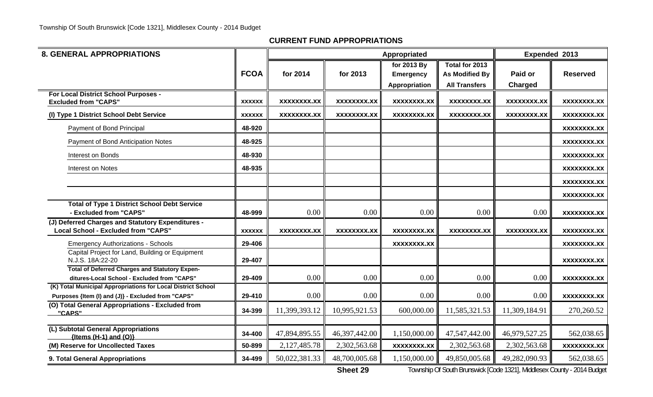| <b>8. GENERAL APPROPRIATIONS</b>                                                                     |               |                    |                    | Appropriated                    |                                         | Expended 2013      |                    |
|------------------------------------------------------------------------------------------------------|---------------|--------------------|--------------------|---------------------------------|-----------------------------------------|--------------------|--------------------|
|                                                                                                      | <b>FCOA</b>   | for 2014           | for 2013           | for 2013 By<br><b>Emergency</b> | Total for 2013<br><b>As Modified By</b> | Paid or            | <b>Reserved</b>    |
|                                                                                                      |               |                    |                    |                                 | <b>All Transfers</b>                    | Charged            |                    |
| For Local District School Purposes -                                                                 |               |                    |                    | <b>Appropriation</b>            |                                         |                    |                    |
| <b>Excluded from "CAPS"</b>                                                                          | <b>XXXXXX</b> | XXXXXXXX.XX        | XXXXXXXX.XX        | XXXXXXXX.XX                     | XXXXXXXX.XX                             | <b>XXXXXXXX.XX</b> | XXXXXXXX.XX        |
| (I) Type 1 District School Debt Service                                                              | <b>XXXXXX</b> | <b>XXXXXXXX.XX</b> | <b>XXXXXXXX.XX</b> | <b>XXXXXXXX.XX</b>              | <b>XXXXXXXX.XX</b>                      | <b>XXXXXXXX.XX</b> | <b>XXXXXXXX.XX</b> |
| Payment of Bond Principal                                                                            | 48-920        |                    |                    |                                 |                                         |                    | XXXXXXXX.XX        |
| Payment of Bond Anticipation Notes                                                                   | 48-925        |                    |                    |                                 |                                         |                    | <b>XXXXXXXX.XX</b> |
| Interest on Bonds                                                                                    | 48-930        |                    |                    |                                 |                                         |                    | XXXXXXXX.XX        |
| Interest on Notes                                                                                    | 48-935        |                    |                    |                                 |                                         |                    | <b>XXXXXXXX.XX</b> |
|                                                                                                      |               |                    |                    |                                 |                                         |                    | XXXXXXXX.XX        |
|                                                                                                      |               |                    |                    |                                 |                                         |                    | <b>XXXXXXXX.XX</b> |
| <b>Total of Type 1 District School Debt Service</b>                                                  |               |                    |                    |                                 |                                         |                    |                    |
| - Excluded from "CAPS"                                                                               | 48-999        | 0.00               | 0.00               | 0.00                            | 0.00                                    | 0.00               | <b>XXXXXXXX.XX</b> |
| (J) Deferred Charges and Statutory Expenditures -<br><b>Local School - Excluded from "CAPS"</b>      | <b>XXXXXX</b> | <b>XXXXXXXX.XX</b> | <b>XXXXXXXX.XX</b> | <b>XXXXXXXX.XX</b>              | <b>XXXXXXXX.XX</b>                      | <b>XXXXXXXX.XX</b> | <b>XXXXXXXX.XX</b> |
| <b>Emergency Authorizations - Schools</b>                                                            | 29-406        |                    |                    | XXXXXXXX.XX                     |                                         |                    | XXXXXXXX.XX        |
| Capital Project for Land, Building or Equipment<br>N.J.S. 18A:22-20                                  | 29-407        |                    |                    |                                 |                                         |                    | <b>XXXXXXXX.XX</b> |
| <b>Total of Deferred Charges and Statutory Expen-</b><br>ditures-Local School - Excluded from "CAPS" | 29-409        | 0.00               | $0.00\,$           | 0.00                            | 0.00                                    | 0.00               | <b>XXXXXXXX.XX</b> |
| (K) Total Municipal Appropriations for Local District School                                         |               |                    |                    |                                 |                                         |                    |                    |
| Purposes {Item (I) and (J)} - Excluded from "CAPS"                                                   | 29-410        | 0.00               | 0.00               | 0.00                            | $0.00\,$                                | 0.00               | <b>XXXXXXXX.XX</b> |
| (O) Total General Appropriations - Excluded from<br>"CAPS"                                           | 34-399        | 11,399,393.12      | 10,995,921.53      | 600,000.00                      | 11,585,321.53                           | 11,309,184.91      | 270,260.52         |
| (L) Subtotal General Appropriations<br>${Items (H-1) and (O)}$                                       | 34-400        | 47,894,895.55      | 46,397,442.00      | 1,150,000.00                    | 47,547,442.00                           | 46,979,527.25      | 562,038.65         |
| (M) Reserve for Uncollected Taxes                                                                    | 50-899        | 2,127,485.78       | 2,302,563.68       | <b>XXXXXXXX.XX</b>              | 2,302,563.68                            | 2,302,563.68       | <b>XXXXXXXX.XX</b> |
| 9. Total General Appropriations                                                                      | 34-499        | 50,022,381.33      | 48,700,005.68      | 1,150,000.00                    | 49,850,005.68                           | 49,282,090.93      | 562,038.65         |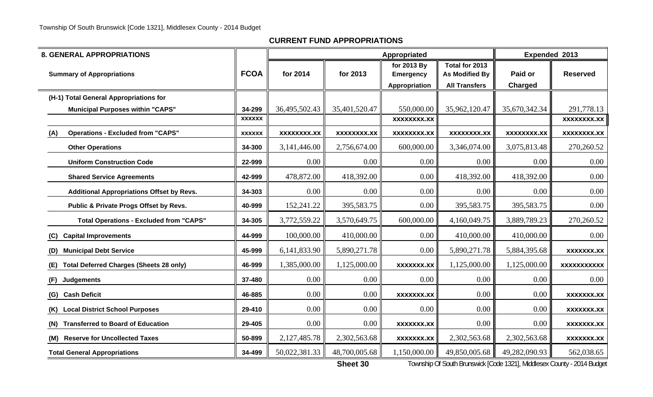| <b>8. GENERAL APPROPRIATIONS</b>                      |               |                    |                    | Appropriated                                     |                                                          | Expended 2013      |                    |
|-------------------------------------------------------|---------------|--------------------|--------------------|--------------------------------------------------|----------------------------------------------------------|--------------------|--------------------|
| <b>Summary of Appropriations</b>                      | <b>FCOA</b>   | for 2014           | for 2013           | for 2013 By<br><b>Emergency</b><br>Appropriation | Total for 2013<br>As Modified By<br><b>All Transfers</b> | Paid or<br>Charged | <b>Reserved</b>    |
| (H-1) Total General Appropriations for                |               |                    |                    |                                                  |                                                          |                    |                    |
| <b>Municipal Purposes within "CAPS"</b>               | 34-299        | 36,495,502.43      | 35,401,520.47      | 550,000.00                                       | 35,962,120.47                                            | 35,670,342.34      | 291,778.13         |
|                                                       | <b>XXXXXX</b> |                    |                    | XXXXXXX.XX                                       |                                                          |                    | <b>XXXXXXXX.XX</b> |
| <b>Operations - Excluded from "CAPS"</b><br>(A)       | <b>XXXXXX</b> | <b>XXXXXXXX.XX</b> | <b>XXXXXXXX.XX</b> | XXXXXXXX.XX                                      | <b>XXXXXXXX.XX</b>                                       | <b>XXXXXXXX.XX</b> | XXXXXXXX.XX        |
| <b>Other Operations</b>                               | 34-300        | 3,141,446.00       | 2,756,674.00       | 600,000.00                                       | 3,346,074.00                                             | 3,075,813.48       | 270,260.52         |
| <b>Uniform Construction Code</b>                      | 22-999        | 0.00               | 0.00               | 0.00                                             | $0.00\,$                                                 | 0.00               | 0.00               |
| <b>Shared Service Agreements</b>                      | 42-999        | 478,872.00         | 418,392.00         | 0.00                                             | 418,392.00                                               | 418,392.00         | 0.00               |
| <b>Additional Appropriations Offset by Revs.</b>      | 34-303        | 0.00               | 0.00               | 0.00                                             | $0.00\,$                                                 | 0.00               | 0.00               |
| Public & Private Progs Offset by Revs.                | 40-999        | 152,241.22         | 395,583.75         | 0.00                                             | 395,583.75                                               | 395,583.75         | 0.00               |
| <b>Total Operations - Excluded from "CAPS"</b>        | 34-305        | 3,772,559.22       | 3,570,649.75       | 600,000.00                                       | 4,160,049.75                                             | 3,889,789.23       | 270,260.52         |
| <b>Capital Improvements</b><br>(C)                    | 44-999        | 100,000.00         | 410,000.00         | 0.00                                             | 410,000.00                                               | 410,000.00         | 0.00               |
| <b>Municipal Debt Service</b><br>(D)                  | 45-999        | 6,141,833.90       | 5,890,271.78       | 0.00                                             | 5,890,271.78                                             | 5,884,395.68       | <b>XXXXXXX.XX</b>  |
| <b>Total Deferred Charges (Sheets 28 only)</b><br>(E) | 46-999        | 1,385,000.00       | 1,125,000.00       | <b>XXXXXXX.XX</b>                                | 1,125,000.00                                             | 1,125,000.00       | <b>XXXXXXXXXXX</b> |
| <b>Judgements</b><br>(F)                              | 37-480        | 0.00               | 0.00               | 0.00                                             | 0.00                                                     | 0.00               | 0.00               |
| (G) Cash Deficit                                      | 46-885        | 0.00               | 0.00               | XXXXXXX.XX                                       | 0.00                                                     | 0.00               | <b>XXXXXXX.XX</b>  |
| <b>Local District School Purposes</b><br>(K)          | 29-410        | 0.00               | 0.00               | 0.00                                             | 0.00                                                     | 0.00               | XXXXXXX.XX         |
| <b>Transferred to Board of Education</b><br>(N)       | 29-405        | 0.00               | 0.00               | <b>XXXXXXX.XX</b>                                | 0.00                                                     | 0.00               | <b>XXXXXXX.XX</b>  |
| (M) Reserve for Uncollected Taxes                     | 50-899        | 2,127,485.78       | 2,302,563.68       | <b>XXXXXXX.XX</b>                                | 2,302,563.68                                             | 2,302,563.68       | <b>XXXXXXX.XX</b>  |
| <b>Total General Appropriations</b>                   | 34-499        | 50,022,381.33      | 48,700,005.68      | 1,150,000.00                                     | 49,850,005.68                                            | 49,282,090.93      | 562,038.65         |

**Sheet 30**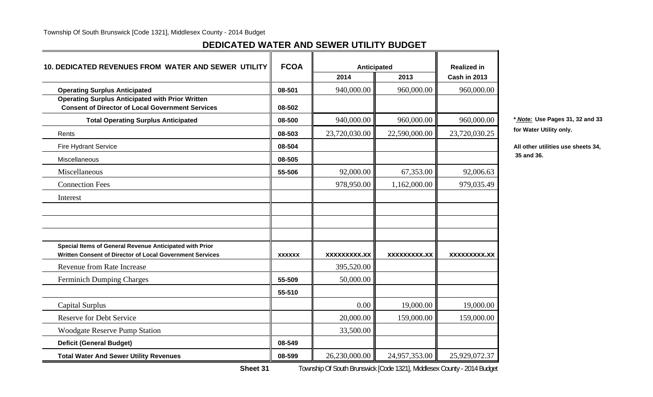## **DEDICATED WATER AND SEWER UTILITY BUDGET**

| 10. DEDICATED REVENUES FROM WATER AND SEWER UTILITY                                                                 | <b>FCOA</b>   | Anticipated   |               | <b>Realized in</b> |             |
|---------------------------------------------------------------------------------------------------------------------|---------------|---------------|---------------|--------------------|-------------|
|                                                                                                                     |               | 2014          | 2013          | Cash in 2013       |             |
| <b>Operating Surplus Anticipated</b>                                                                                | 08-501        | 940,000.00    | 960,000.00    | 960,000.00         |             |
| <b>Operating Surplus Anticipated with Prior Written</b><br><b>Consent of Director of Local Government Services</b>  | 08-502        |               |               |                    |             |
| <b>Total Operating Surplus Anticipated</b>                                                                          | 08-500        | 940,000.00    | 960,000.00    | 960,000.00         | * Note: Us  |
| Rents                                                                                                               | 08-503        | 23,720,030.00 | 22,590,000.00 | 23,720,030.25      | for Water I |
| <b>Fire Hydrant Service</b>                                                                                         | 08-504        |               |               |                    | All other u |
| Miscellaneous                                                                                                       | 08-505        |               |               |                    | 35 and 36.  |
| Miscellaneous                                                                                                       | 55-506        | 92,000.00     | 67,353.00     | 92,006.63          |             |
| <b>Connection Fees</b>                                                                                              |               | 978,950.00    | 1,162,000.00  | 979,035.49         |             |
| Interest                                                                                                            |               |               |               |                    |             |
|                                                                                                                     |               |               |               |                    |             |
|                                                                                                                     |               |               |               |                    |             |
|                                                                                                                     |               |               |               |                    |             |
| Special Items of General Revenue Anticipated with Prior<br>Written Consent of Director of Local Government Services | <b>XXXXXX</b> | XXXXXXXXX.XX  | XXXXXXXXX.XX  | XXXXXXXXX.XX       |             |
| <b>Revenue from Rate Increase</b>                                                                                   |               | 395,520.00    |               |                    |             |
| <b>Ferminich Dumping Charges</b>                                                                                    | 55-509        | 50,000.00     |               |                    |             |
|                                                                                                                     | 55-510        |               |               |                    |             |
| Capital Surplus                                                                                                     |               | 0.00          | 19,000.00     | 19,000.00          |             |
| <b>Reserve for Debt Service</b>                                                                                     |               | 20,000.00     | 159,000.00    | 159,000.00         |             |
| <b>Woodgate Reserve Pump Station</b>                                                                                |               | 33,500.00     |               |                    |             |
| <b>Deficit (General Budget)</b>                                                                                     | 08-549        |               |               |                    |             |
| <b>Total Water And Sewer Utility Revenues</b>                                                                       | 08-599        | 26,230,000.00 | 24,957,353.00 | 25,929,072.37      |             |

**Total Operating Surplus Anticipated 08-500** 940,000.00 960,000.00 960,000.00 **\*** *Note:* **Use Pages 31, 32 and 33 for Water Utility only.** 

All other utilities use sheets 34,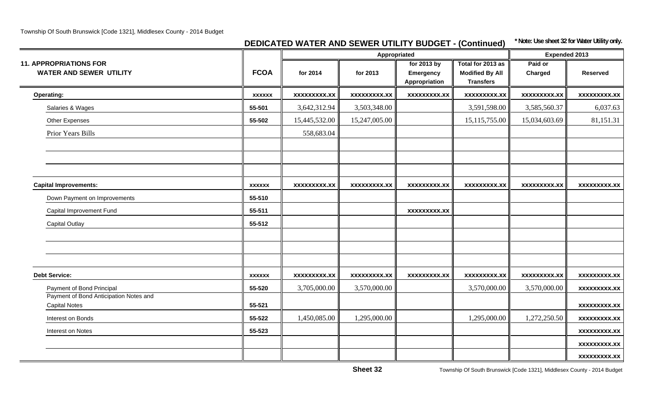## **DEDICATED WATER AND SEWER UTILITY BUDGET - (Continued) \* Note: Use sheet 32 for Water Utility only.**

|                                                                 |               |                     | Appropriated        |                                                  |                                                                 | <b>Expended 2013</b> |                     |  |
|-----------------------------------------------------------------|---------------|---------------------|---------------------|--------------------------------------------------|-----------------------------------------------------------------|----------------------|---------------------|--|
| <b>11. APPROPRIATIONS FOR</b><br><b>WATER AND SEWER UTILITY</b> | <b>FCOA</b>   | for 2014            | for 2013            | for 2013 by<br><b>Emergency</b><br>Appropriation | Total for 2013 as<br><b>Modified By All</b><br><b>Transfers</b> | Paid or<br>Charged   | <b>Reserved</b>     |  |
| Operating:                                                      | <b>XXXXXX</b> | <b>XXXXXXXXX.XX</b> | <b>XXXXXXXXX.XX</b> | <b>XXXXXXXXX.XX</b>                              | <b>XXXXXXXX.XX</b>                                              | <b>XXXXXXXX.XX</b>   | <b>XXXXXXXXX.XX</b> |  |
| Salaries & Wages                                                | 55-501        | 3,642,312.94        | 3,503,348.00        |                                                  | 3,591,598.00                                                    | 3,585,560.37         | 6,037.63            |  |
| <b>Other Expenses</b>                                           | 55-502        | 15,445,532.00       | 15,247,005.00       |                                                  | 15, 115, 755.00                                                 | 15,034,603.69        | 81,151.31           |  |
| Prior Years Bills                                               |               | 558,683.04          |                     |                                                  |                                                                 |                      |                     |  |
|                                                                 |               |                     |                     |                                                  |                                                                 |                      |                     |  |
| <b>Capital Improvements:</b>                                    | <b>XXXXXX</b> | <b>XXXXXXXXX.XX</b> | <b>XXXXXXXXX.XX</b> | <b>XXXXXXXXX.XX</b>                              | <b>XXXXXXXXX.XX</b>                                             | <b>XXXXXXXXX.XX</b>  | <b>XXXXXXXXX.XX</b> |  |
| Down Payment on Improvements                                    | 55-510        |                     |                     |                                                  |                                                                 |                      |                     |  |
| Capital Improvement Fund                                        | 55-511        |                     |                     | <b>XXXXXXXXX.XX</b>                              |                                                                 |                      |                     |  |
| <b>Capital Outlay</b>                                           | 55-512        |                     |                     |                                                  |                                                                 |                      |                     |  |
|                                                                 |               |                     |                     |                                                  |                                                                 |                      |                     |  |
| <b>Debt Service:</b>                                            | <b>XXXXXX</b> | xxxxxxxxx.xx        | <b>XXXXXXXXX.XX</b> | XXXXXXXXX.XX                                     | <b>XXXXXXXXX.XX</b>                                             | <b>XXXXXXXXX.XX</b>  | <b>XXXXXXXXX.XX</b> |  |
| Payment of Bond Principal                                       | 55-520        | 3,705,000.00        | 3,570,000.00        |                                                  | 3,570,000.00                                                    | 3,570,000.00         | <b>XXXXXXXXX.XX</b> |  |
| Payment of Bond Anticipation Notes and<br><b>Capital Notes</b>  | 55-521        |                     |                     |                                                  |                                                                 |                      | <b>XXXXXXXXX.XX</b> |  |
| Interest on Bonds                                               | 55-522        | 1,450,085.00        | 1,295,000.00        |                                                  | 1,295,000.00                                                    | 1,272,250.50         | <b>XXXXXXXXX.XX</b> |  |
| Interest on Notes                                               | 55-523        |                     |                     |                                                  |                                                                 |                      | <b>XXXXXXXXX.XX</b> |  |
|                                                                 |               |                     |                     |                                                  |                                                                 |                      | <b>XXXXXXXXX.XX</b> |  |
|                                                                 |               |                     |                     |                                                  |                                                                 |                      | <b>XXXXXXXXX.XX</b> |  |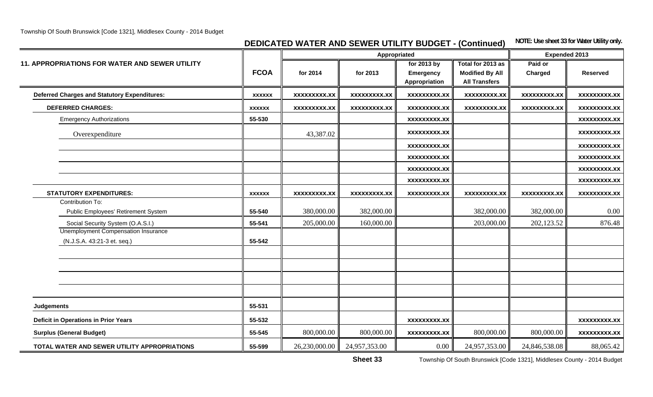**DEDICATED WATER AND SEWER UTILITY BUDGET - (Continued)** NOTE: Use sheet 33 for Water Utility only.

|                                                                           |               |                     | Appropriated        |                                                  | <b>Expended 2013</b>                                                |                     |                     |
|---------------------------------------------------------------------------|---------------|---------------------|---------------------|--------------------------------------------------|---------------------------------------------------------------------|---------------------|---------------------|
| 11. APPROPRIATIONS FOR WATER AND SEWER UTILITY                            | <b>FCOA</b>   | for 2014            | for 2013            | for 2013 by<br><b>Emergency</b><br>Appropriation | Total for 2013 as<br><b>Modified By All</b><br><b>All Transfers</b> | Paid or<br>Charged  | <b>Reserved</b>     |
| <b>Deferred Charges and Statutory Expenditures:</b>                       | <b>XXXXXX</b> | XXXXXXXXX.XX        | <b>XXXXXXXXX.XX</b> | <b>XXXXXXXXX.XX</b>                              | XXXXXXXXX.XX                                                        | <b>XXXXXXXXX.XX</b> | XXXXXXXXX.XX        |
| <b>DEFERRED CHARGES:</b>                                                  | <b>XXXXXX</b> | <b>XXXXXXXXX.XX</b> | <b>XXXXXXXXX.XX</b> | <b>XXXXXXXXX.XX</b>                              | <b>XXXXXXXXX.XX</b>                                                 | <b>XXXXXXXXX.XX</b> | <b>XXXXXXXXX.XX</b> |
| <b>Emergency Authorizations</b>                                           | 55-530        |                     |                     | <b>XXXXXXXXX.XX</b>                              |                                                                     |                     | <b>XXXXXXXXX.XX</b> |
| Overexpenditure                                                           |               | 43,387.02           |                     | <b>XXXXXXXXX.XX</b>                              |                                                                     |                     | <b>XXXXXXXXX.XX</b> |
|                                                                           |               |                     |                     | XXXXXXXXX.XX                                     |                                                                     |                     | <b>XXXXXXXXX.XX</b> |
|                                                                           |               |                     |                     | <b>XXXXXXXXX.XX</b>                              |                                                                     |                     | <b>XXXXXXXXX.XX</b> |
|                                                                           |               |                     |                     | <b>XXXXXXXXX.XX</b>                              |                                                                     |                     | <b>XXXXXXXXX.XX</b> |
|                                                                           |               |                     |                     | <b>XXXXXXXXX.XX</b>                              |                                                                     |                     | <b>XXXXXXXXX.XX</b> |
| <b>STATUTORY EXPENDITURES:</b>                                            | <b>XXXXXX</b> | XXXXXXXXX.XX        | <b>XXXXXXXXX.XX</b> | <b>XXXXXXXXX.XX</b>                              | <b>XXXXXXXXX.XX</b>                                                 | XXXXXXXXX.XX        | <b>XXXXXXXX.XX</b>  |
| Contribution To:<br>Public Employees' Retirement System                   | 55-540        | 380,000.00          | 382,000.00          |                                                  | 382,000.00                                                          | 382,000.00          | 0.00                |
| Social Security System (O.A.S.I.)                                         | 55-541        | 205,000.00          | 160,000.00          |                                                  | 203,000.00                                                          | 202,123.52          | 876.48              |
| <b>Unemployment Compensation Insurance</b><br>(N.J.S.A. 43:21-3 et. seq.) | 55-542        |                     |                     |                                                  |                                                                     |                     |                     |
|                                                                           |               |                     |                     |                                                  |                                                                     |                     |                     |
|                                                                           |               |                     |                     |                                                  |                                                                     |                     |                     |
| <b>Judgements</b>                                                         | 55-531        |                     |                     |                                                  |                                                                     |                     |                     |
| <b>Deficit in Operations in Prior Years</b>                               | 55-532        |                     |                     | <b>XXXXXXXXX.XX</b>                              |                                                                     |                     | <b>XXXXXXXXX.XX</b> |
| <b>Surplus (General Budget)</b>                                           | 55-545        | 800,000.00          | 800,000.00          | XXXXXXXXX.XX                                     | 800,000.00                                                          | 800,000.00          | <b>XXXXXXXXX.XX</b> |
| TOTAL WATER AND SEWER UTILITY APPROPRIATIONS                              | 55-599        | 26,230,000.00       | 24,957,353.00       | 0.00                                             | 24,957,353.00                                                       | 24,846,538.08       | 88,065.42           |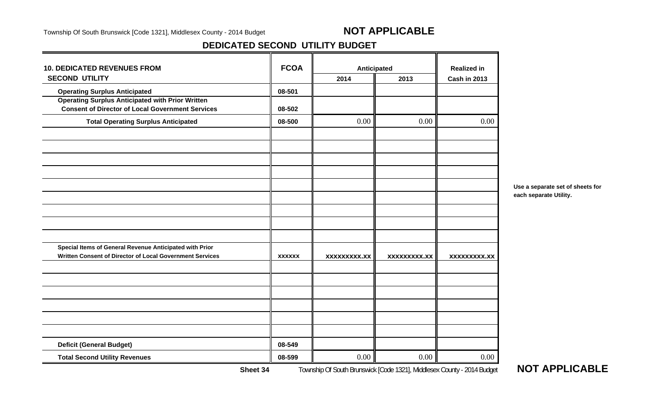## **DEDICATED SECOND UTILITY BUDGET**

| <b>10. DEDICATED REVENUES FROM</b>                       | <b>FCOA</b>   | Anticipated         |              | <b>Realized in</b>  |
|----------------------------------------------------------|---------------|---------------------|--------------|---------------------|
| <b>SECOND UTILITY</b>                                    |               | 2014                | 2013         | <b>Cash in 2013</b> |
| <b>Operating Surplus Anticipated</b>                     | 08-501        |                     |              |                     |
| <b>Operating Surplus Anticipated with Prior Written</b>  |               |                     |              |                     |
| <b>Consent of Director of Local Government Services</b>  | 08-502        |                     |              |                     |
| <b>Total Operating Surplus Anticipated</b>               | 08-500        | 0.00                | 0.00         | 0.00                |
|                                                          |               |                     |              |                     |
|                                                          |               |                     |              |                     |
|                                                          |               |                     |              |                     |
|                                                          |               |                     |              |                     |
|                                                          |               |                     |              |                     |
|                                                          |               |                     |              |                     |
| Special Items of General Revenue Anticipated with Prior  |               |                     |              |                     |
| Written Consent of Director of Local Government Services | <b>XXXXXX</b> | <b>XXXXXXXXX.XX</b> | XXXXXXXXX.XX | <b>XXXXXXXXX.XX</b> |
|                                                          |               |                     |              |                     |
|                                                          |               |                     |              |                     |
|                                                          |               |                     |              |                     |
|                                                          |               |                     |              |                     |
| <b>Deficit (General Budget)</b>                          | 08-549        |                     |              |                     |
| <b>Total Second Utility Revenues</b>                     | 08-599        | 0.00                | 0.00         | 0.00                |

**Use a separate set of sheets for each separate Utility.**

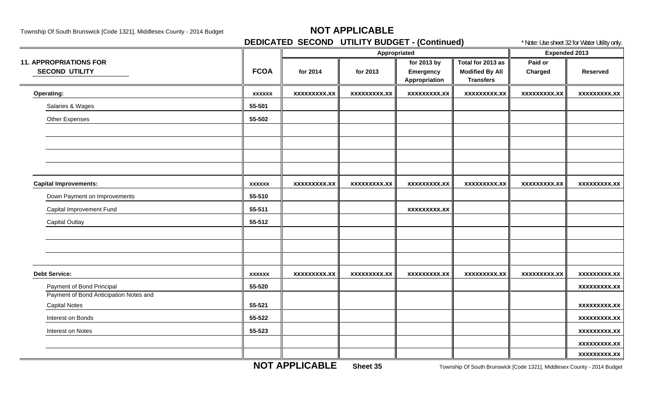**DEDICATED SECOND UTILITY BUDGET - (Continued)** \* Note: Use sheet 32 for Water Utility only.

|                                                        |               |                     | Appropriated        | <b>Expended 2013</b>                             |                                                                 |                     |                     |
|--------------------------------------------------------|---------------|---------------------|---------------------|--------------------------------------------------|-----------------------------------------------------------------|---------------------|---------------------|
| <b>11. APPROPRIATIONS FOR</b><br><b>SECOND UTILITY</b> | <b>FCOA</b>   | for 2014            | for 2013            | for 2013 by<br><b>Emergency</b><br>Appropriation | Total for 2013 as<br><b>Modified By All</b><br><b>Transfers</b> | Paid or<br>Charged  | <b>Reserved</b>     |
| Operating:                                             | <b>XXXXXX</b> | <b>XXXXXXXXX.XX</b> | <b>XXXXXXXXX.XX</b> | <b>XXXXXXXXX.XX</b>                              | <b>XXXXXXXXX.XX</b>                                             | <b>XXXXXXXXX.XX</b> | <b>XXXXXXXXX.XX</b> |
| Salaries & Wages                                       | 55-501        |                     |                     |                                                  |                                                                 |                     |                     |
| <b>Other Expenses</b>                                  | 55-502        |                     |                     |                                                  |                                                                 |                     |                     |
|                                                        |               |                     |                     |                                                  |                                                                 |                     |                     |
|                                                        |               |                     |                     |                                                  |                                                                 |                     |                     |
|                                                        |               |                     |                     |                                                  |                                                                 |                     |                     |
|                                                        |               |                     |                     |                                                  |                                                                 |                     |                     |
| <b>Capital Improvements:</b>                           | <b>XXXXXX</b> | xxxxxxxxx.xx        | xxxxxxxxx.xx        | <b>XXXXXXXXX.XX</b>                              | <b>XXXXXXXXX.XX</b>                                             | xxxxxxxxx.xx        | xxxxxxxxx.xx        |
| Down Payment on Improvements                           | 55-510        |                     |                     |                                                  |                                                                 |                     |                     |
| Capital Improvement Fund                               | 55-511        |                     |                     | <b>XXXXXXXXX.XX</b>                              |                                                                 |                     |                     |
| <b>Capital Outlay</b>                                  | 55-512        |                     |                     |                                                  |                                                                 |                     |                     |
|                                                        |               |                     |                     |                                                  |                                                                 |                     |                     |
|                                                        |               |                     |                     |                                                  |                                                                 |                     |                     |
|                                                        |               |                     |                     |                                                  |                                                                 |                     |                     |
| <b>Debt Service:</b>                                   | <b>XXXXXX</b> | <b>XXXXXXXXX.XX</b> | <b>XXXXXXXXX.XX</b> | XXXXXXXXX.XX                                     | <b>XXXXXXXXX.XX</b>                                             | <b>XXXXXXXXX.XX</b> | <b>XXXXXXXXX.XX</b> |
| Payment of Bond Principal                              | 55-520        |                     |                     |                                                  |                                                                 |                     | <b>XXXXXXXXX.XX</b> |
| Payment of Bond Anticipation Notes and                 |               |                     |                     |                                                  |                                                                 |                     |                     |
| <b>Capital Notes</b>                                   | 55-521        |                     |                     |                                                  |                                                                 |                     | <b>XXXXXXXXX.XX</b> |
| Interest on Bonds                                      | 55-522        |                     |                     |                                                  |                                                                 |                     | <b>XXXXXXXXX.XX</b> |
| Interest on Notes                                      | 55-523        |                     |                     |                                                  |                                                                 |                     | <b>XXXXXXXXX.XX</b> |
|                                                        |               |                     |                     |                                                  |                                                                 |                     | <b>XXXXXXXXX.XX</b> |
|                                                        |               |                     |                     |                                                  |                                                                 |                     | <b>XXXXXXXXX.XX</b> |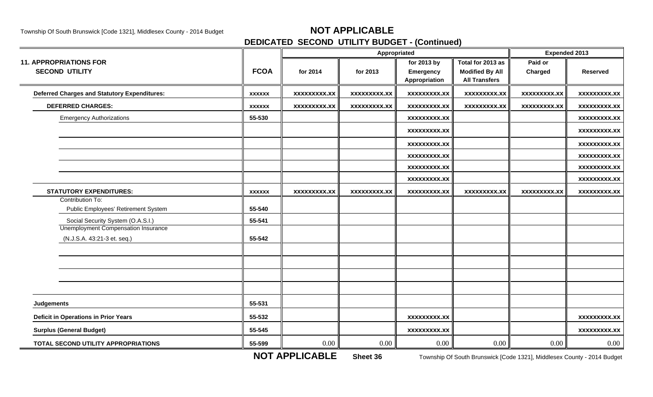## **DEDICATED SECOND UTILITY BUDGET - (Continued)**

|                                                                           |               |                     |                     | Appropriated                              |                                                                     | <b>Expended 2013</b> |                     |
|---------------------------------------------------------------------------|---------------|---------------------|---------------------|-------------------------------------------|---------------------------------------------------------------------|----------------------|---------------------|
| <b>11. APPROPRIATIONS FOR</b><br><b>SECOND UTILITY</b>                    | <b>FCOA</b>   | for 2014            | for 2013            | for 2013 by<br>Emergency<br>Appropriation | Total for 2013 as<br><b>Modified By All</b><br><b>All Transfers</b> | Paid or<br>Charged   | <b>Reserved</b>     |
| <b>Deferred Charges and Statutory Expenditures:</b>                       | <b>XXXXXX</b> | <b>XXXXXXXXX.XX</b> | <b>XXXXXXXXX.XX</b> | <b>XXXXXXXXX.XX</b>                       | <b>XXXXXXXXX.XX</b>                                                 | <b>XXXXXXXXX.XX</b>  | <b>XXXXXXXXX.XX</b> |
| <b>DEFERRED CHARGES:</b>                                                  | <b>XXXXXX</b> | XXXXXXXXX.XX        | <b>XXXXXXXXX.XX</b> | XXXXXXXX.XX                               | <b>XXXXXXXXX.XX</b>                                                 | <b>XXXXXXXXX.XX</b>  | <b>XXXXXXXXX.XX</b> |
| <b>Emergency Authorizations</b>                                           | 55-530        |                     |                     | <b>XXXXXXXXX.XX</b>                       |                                                                     |                      | <b>XXXXXXXXX.XX</b> |
|                                                                           |               |                     |                     | <b>XXXXXXXXX.XX</b>                       |                                                                     |                      | <b>XXXXXXXXX.XX</b> |
|                                                                           |               |                     |                     | <b>XXXXXXXXX.XX</b>                       |                                                                     |                      | <b>XXXXXXXXX.XX</b> |
|                                                                           |               |                     |                     | <b>XXXXXXXXX.XX</b>                       |                                                                     |                      | xxxxxxxxx.xx        |
|                                                                           |               |                     |                     | <b>XXXXXXXXX.XX</b>                       |                                                                     |                      | <b>XXXXXXXXX.XX</b> |
|                                                                           |               |                     |                     | <b>XXXXXXXXX.XX</b>                       |                                                                     |                      | <b>XXXXXXXXX.XX</b> |
| <b>STATUTORY EXPENDITURES:</b>                                            | <b>XXXXXX</b> | <b>XXXXXXXXX.XX</b> | <b>XXXXXXXXX.XX</b> | <b>XXXXXXXXX.XX</b>                       | <b>XXXXXXXXX.XX</b>                                                 | <b>XXXXXXXXX.XX</b>  | xxxxxxxxx.xx        |
| Contribution To:<br>Public Employees' Retirement System                   | 55-540        |                     |                     |                                           |                                                                     |                      |                     |
| Social Security System (O.A.S.I.)                                         | 55-541        |                     |                     |                                           |                                                                     |                      |                     |
| <b>Unemployment Compensation Insurance</b><br>(N.J.S.A. 43:21-3 et. seq.) | 55-542        |                     |                     |                                           |                                                                     |                      |                     |
|                                                                           |               |                     |                     |                                           |                                                                     |                      |                     |
|                                                                           |               |                     |                     |                                           |                                                                     |                      |                     |
|                                                                           |               |                     |                     |                                           |                                                                     |                      |                     |
|                                                                           |               |                     |                     |                                           |                                                                     |                      |                     |
| <b>Judgements</b>                                                         | 55-531        |                     |                     |                                           |                                                                     |                      |                     |
| <b>Deficit in Operations in Prior Years</b>                               | 55-532        |                     |                     | <b>XXXXXXXXX.XX</b>                       |                                                                     |                      | <b>XXXXXXXXX.XX</b> |
| <b>Surplus (General Budget)</b>                                           | 55-545        |                     |                     | <b>XXXXXXXXX.XX</b>                       |                                                                     |                      | <b>XXXXXXXXX.XX</b> |
| TOTAL SECOND UTILITY APPROPRIATIONS                                       | 55-599        | $0.00\,$            | 0.00                | 0.00                                      | 0.00                                                                | 0.00                 | $0.00\,$            |

**NOT APPLICABLE**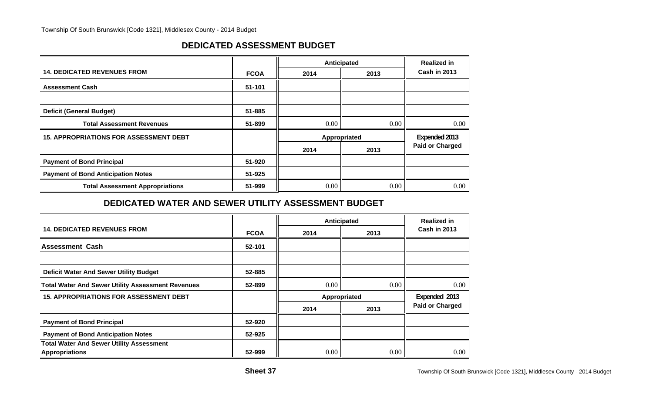### **DEDICATED ASSESSMENT BUDGET**

|                                               |             |      | Anticipated   | <b>Realized in</b>     |
|-----------------------------------------------|-------------|------|---------------|------------------------|
| <b>14. DEDICATED REVENUES FROM</b>            | <b>FCOA</b> | 2014 | 2013          | <b>Cash in 2013</b>    |
| <b>Assessment Cash</b>                        | 51-101      |      |               |                        |
|                                               |             |      |               |                        |
| <b>Deficit (General Budget)</b>               | 51-885      |      |               |                        |
| <b>Total Assessment Revenues</b>              | 51-899      | 0.00 | $0.00\degree$ | 0.00                   |
| <b>15. APPROPRIATIONS FOR ASSESSMENT DEBT</b> |             |      | Appropriated  | Expended 2013          |
|                                               |             | 2014 | 2013          | <b>Paid or Charged</b> |
| <b>Payment of Bond Principal</b>              | 51-920      |      |               |                        |
| <b>Payment of Bond Anticipation Notes</b>     | 51-925      |      |               |                        |
| <b>Total Assessment Appropriations</b>        | 51-999      | 0.00 | $0.00\degree$ | 0.00                   |

### **DEDICATED WATER AND SEWER UTILITY ASSESSMENT BUDGET**

|                                                                          |             |      | Anticipated  | <b>Realized in</b>     |  |
|--------------------------------------------------------------------------|-------------|------|--------------|------------------------|--|
| <b>14. DEDICATED REVENUES FROM</b>                                       | <b>FCOA</b> | 2014 | 2013         | <b>Cash in 2013</b>    |  |
| <b>Assessment Cash</b>                                                   | 52-101      |      |              |                        |  |
|                                                                          |             |      |              |                        |  |
| <b>Deficit Water And Sewer Utility Budget</b>                            | 52-885      |      |              |                        |  |
| <b>Total Water And Sewer Utility Assessment Revenues</b>                 | 52-899      | 0.00 | 0.00         | 0.00                   |  |
| <b>15. APPROPRIATIONS FOR ASSESSMENT DEBT</b>                            |             |      | Appropriated |                        |  |
|                                                                          |             | 2014 | 2013         | <b>Paid or Charged</b> |  |
| <b>Payment of Bond Principal</b>                                         | 52-920      |      |              |                        |  |
| <b>Payment of Bond Anticipation Notes</b>                                | 52-925      |      |              |                        |  |
| <b>Total Water And Sewer Utility Assessment</b><br><b>Appropriations</b> | 52-999      | 0.00 | 0.00         | 0.00                   |  |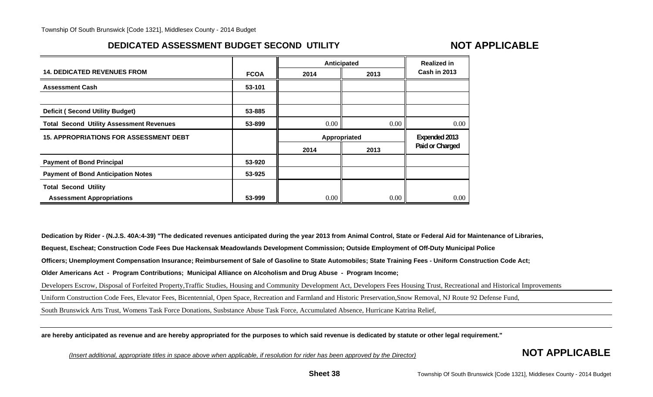## **DEDICATED ASSESSMENT BUDGET SECOND UTILITY**

## **NOT APPLICABLE**

|                                                 |             | Anticipated  |      | <b>Realized in</b>  |
|-------------------------------------------------|-------------|--------------|------|---------------------|
| <b>14. DEDICATED REVENUES FROM</b>              | <b>FCOA</b> | 2014         | 2013 | <b>Cash in 2013</b> |
| <b>Assessment Cash</b>                          | 53-101      |              |      |                     |
|                                                 |             |              |      |                     |
| <b>Deficit (Second Utility Budget)</b>          | 53-885      |              |      |                     |
| <b>Total Second Utility Assessment Revenues</b> | 53-899      | 0.00         | 0.00 | 0.00                |
|                                                 |             |              |      |                     |
| <b>15. APPROPRIATIONS FOR ASSESSMENT DEBT</b>   |             | Appropriated |      | Expended 2013       |
|                                                 |             | 2014         | 2013 | Paid or Charged     |
| <b>Payment of Bond Principal</b>                | 53-920      |              |      |                     |
| <b>Payment of Bond Anticipation Notes</b>       | 53-925      |              |      |                     |
| <b>Total Second Utility</b>                     |             |              |      |                     |

**Dedication by Rider - (N.J.S. 40A:4-39) "The dedicated revenues anticipated during the year 2013 from Animal Control, State or Federal Aid for Maintenance of Libraries,**

**Bequest, Escheat; Construction Code Fees Due Hackensak Meadowlands Development Commission; Outside Employment of Off-Duty Municipal Police**

**Officers; Unemployment Compensation Insurance; Reimbursement of Sale of Gasoline to State Automobiles; State Training Fees - Uniform Construction Code Act;**

**Older Americans Act - Program Contributions; Municipal Alliance on Alcoholism and Drug Abuse - Program Income;**

Developers Escrow, Disposal of Forfeited Property,Traffic Studies, Housing and Community Development Act, Developers Fees Housing Trust, Recreational and Historical Improvements

Uniform Construction Code Fees, Elevator Fees, Bicentennial, Open Space, Recreation and Farmland and Historic Preservation,Snow Removal, NJ Route 92 Defense Fund,

South Brunswick Arts Trust, Womens Task Force Donations, Susbstance Abuse Task Force, Accumulated Absence, Hurricane Katrina Relief,

**are hereby anticipated as revenue and are hereby appropriated for the purposes to which said revenue is dedicated by statute or other legal requirement."**

*(Insert additional, appropriate titles in space above when applicable, if resolution for rider has been approved by the Director)* **NOT APPLICABLE**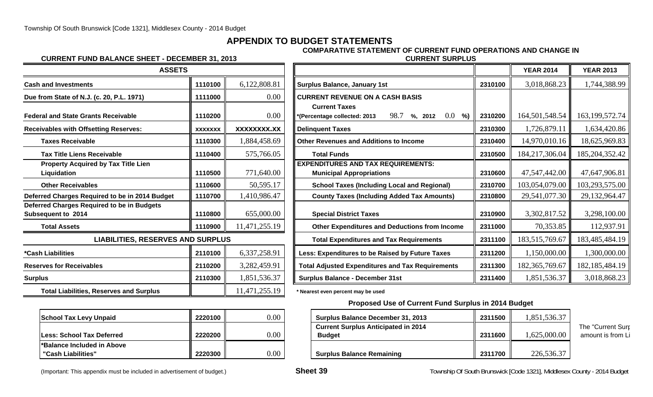## **APPENDIX TO BUDGET STATEMENTS**

#### **CURRENT FUND BALANCE SHEET - DECEMBER 31, 2013 CURRENT SURPLUS**

# **COMPARATIVE STATEMENT OF CURRENT FUND OPERATIONS AND CHANGE IN**

| <b>ASSETS</b>                                                           |                |               |                                                                              |
|-------------------------------------------------------------------------|----------------|---------------|------------------------------------------------------------------------------|
| <b>Cash and Investments</b>                                             | 1110100        | 6,122,808.81  | <b>Surplus Balance, January 1st</b>                                          |
| Due from State of N.J. (c. 20, P.L. 1971)                               | 1111000        | 0.00          | <b>CURRENT REVENUE ON A CASH BASIS</b>                                       |
| <b>Federal and State Grants Receivable</b>                              | 1110200        | 0.00          | <b>Current Taxes</b><br>98.7<br>*(Percentage collected: 2013<br>$%$ , 2012   |
| <b>Receivables with Offsetting Reserves:</b>                            | <b>XXXXXXX</b> | XXXXXXXX.XX   | <b>Delinquent Taxes</b>                                                      |
| <b>Taxes Receivable</b>                                                 | 1110300        | 1,884,458.69  | <b>Other Revenues and Additions to Income</b>                                |
| <b>Tax Title Liens Receivable</b>                                       | 1110400        | 575,766.05    | <b>Total Funds</b>                                                           |
| <b>Property Acquired by Tax Title Lien</b><br>Liquidation               | 1110500        | 771,640.00    | <b>EXPENDITURES AND TAX REQUIREMENTS:</b><br><b>Municipal Appropriations</b> |
| <b>Other Receivables</b>                                                | 1110600        | 50,595.17     | <b>School Taxes (Including Local and Reg</b>                                 |
| Deferred Charges Required to be in 2014 Budget                          | 1110700        | 1,410,986.47  | <b>County Taxes (Including Added Tax Am</b>                                  |
| Deferred Charges Required to be in Budgets<br><b>Subsequent to 2014</b> | 1110800        | 655,000.00    | <b>Special District Taxes</b>                                                |
| <b>Total Assets</b>                                                     | 1110900        | 11,471,255.19 | <b>Other Expenditures and Deductions fro</b>                                 |
| <b>LIABILITIES, RESERVES AND SURPLUS</b>                                |                |               | <b>Total Expenditures and Tax Requiremer</b>                                 |
| *Cash Liabilities                                                       | 2110100        | 6,337,258.91  | Less: Expenditures to be Raised by Future                                    |
| <b>Reserves for Receivables</b>                                         | 2110200        | 3,282,459.91  | <b>Total Adjusted Expenditures and Tax Requi</b>                             |
| <b>Surplus</b>                                                          | 2110300        | 1,851,536.37  | <b>Surplus Balance - December 31st</b>                                       |
| <b>Total Liabilities, Reserves and Surplus</b>                          |                | 11,471,255.19 | * Nearest even percent may be used                                           |

| <b>School Tax Levy Unpaid</b>                     | 2220100 |  |
|---------------------------------------------------|---------|--|
| <b>ILess: School Tax Deferred</b>                 | 2220200 |  |
| l*Balance Included in Above<br>"Cash Liabilities" | 2220300 |  |

| <b>ASSETS</b>                                                           |                |               |                                                                              |         | <b>YEAR 2014</b>  | <b>YEAR 2013</b>  |
|-------------------------------------------------------------------------|----------------|---------------|------------------------------------------------------------------------------|---------|-------------------|-------------------|
| <b>Cash and Investments</b>                                             | 1110100        | 6,122,808.81  | <b>Surplus Balance, January 1st</b>                                          | 2310100 | 3,018,868.23      | 1,744,388.99      |
| Due from State of N.J. (c. 20, P.L. 1971)                               | 1111000        | 0.00          | <b>CURRENT REVENUE ON A CASH BASIS</b>                                       |         |                   |                   |
| <b>Federal and State Grants Receivable</b>                              | 1110200        | 0.00          | <b>Current Taxes</b><br>98.7<br>$0.0\,$<br>%)                                | 2310200 | 164,501,548.54    | 163, 199, 572. 74 |
| <b>Receivables with Offsetting Reserves:</b>                            | <b>XXXXXXX</b> | XXXXXXXX.XX   | %, 2012<br>(Percentage collected: 2013)<br><b>Delinquent Taxes</b>           | 2310300 | 1,726,879.11      | 1,634,420.86      |
| <b>Taxes Receivable</b>                                                 | 1110300        | 1,884,458.69  | <b>Other Revenues and Additions to Income</b>                                | 2310400 | 14,970,010.16     | 18,625,969.83     |
| <b>Tax Title Liens Receivable</b>                                       | 1110400        | 575,766.05    | <b>Total Funds</b>                                                           | 2310500 | 184,217,306.04    | 185, 204, 352. 42 |
| <b>Property Acquired by Tax Title Lien</b><br>Liquidation               | 1110500        | 771,640.00    | <b>EXPENDITURES AND TAX REQUIREMENTS:</b><br><b>Municipal Appropriations</b> | 2310600 | 47,547,442.00     | 47,647,906.81     |
| <b>Other Receivables</b>                                                | 1110600        | 50,595.17     | <b>School Taxes (Including Local and Regional)</b>                           | 2310700 | 103,054,079.00    | 103,293,575.00    |
| Deferred Charges Required to be in 2014 Budget                          | 1110700        | 1,410,986.47  | <b>County Taxes (Including Added Tax Amounts)</b>                            | 2310800 | 29,541,077.30     | 29,132,964.47     |
| Deferred Charges Required to be in Budgets<br><b>Subsequent to 2014</b> | 1110800        | 655,000.00    | <b>Special District Taxes</b>                                                | 2310900 | 3,302,817.52      | 3,298,100.00      |
| <b>Total Assets</b>                                                     | 1110900        | 11,471,255.19 | Other Expenditures and Deductions from Income                                | 2311000 | 70,353.85         | 112,937.91        |
| <b>LIABILITIES, RESERVES AND SURPLUS</b>                                |                |               | <b>Total Expenditures and Tax Requirements</b>                               | 2311100 | 183,515,769.67    | 183,485,484.19    |
| *Cash Liabilities                                                       | 2110100        | 6,337,258.91  | Less: Expenditures to be Raised by Future Taxes                              | 2311200 | 1,150,000.00      | 1,300,000.00      |
| <b>Reserves for Receivables</b>                                         | 2110200        | 3,282,459.91  | <b>Total Adjusted Expenditures and Tax Requirements</b>                      | 2311300 | 182, 365, 769. 67 | 182, 185, 484. 19 |
| Surplus                                                                 | 2110300        | 1,851,536.37  | <b>Surplus Balance - December 31st</b>                                       | 2311400 | 1,851,536.37      | 3,018,868.23      |

#### **Proposed Use of Current Fund Surplus in 2014 Budget**

| School Tax Levy Unpaid     | 2220100 | 0.00            | <b>Surplus Balance December 31, 2013</b>   | 2311500 | .851,536.37 |                   |
|----------------------------|---------|-----------------|--------------------------------------------|---------|-------------|-------------------|
|                            |         |                 | <b>Current Surplus Anticipated in 2014</b> |         |             | The "Current Surr |
| Less: School Tax Deferred  | 2220200 | $0.00\,$        | <b>Budget</b>                              | 2311600 | .625,000.00 | amount is from Li |
| *Balance Included in Above |         |                 |                                            |         |             |                   |
| "Cash Liabilities"         | 2220300 | $0.00\,$ $\mid$ | <b>Surplus Balance Remaining</b>           | 2311700 | 226,536.37  |                   |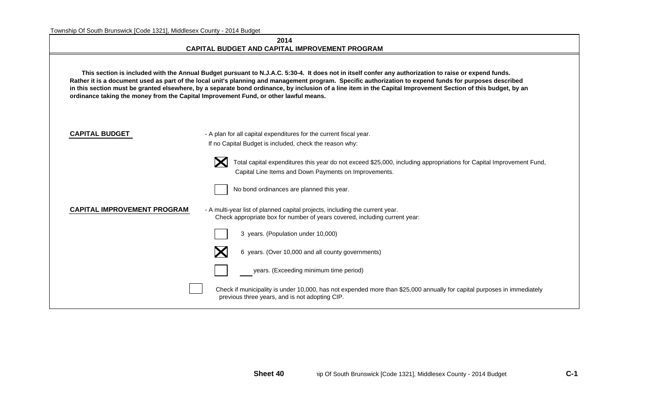| 2014                                                  |  |
|-------------------------------------------------------|--|
| <b>CAPITAL BUDGET AND CAPITAL IMPROVEMENT PROGRAM</b> |  |

 **This section is included with the Annual Budget pursuant to N.J.A.C. 5:30-4. It does not in itself confer any authorization to raise or expend funds. Rather it is a document used as part of the local unit's planning and management program. Specific authorization to expend funds for purposes described in this section must be granted elsewhere, by a separate bond ordinance, by inclusion of a line item in the Capital Improvement Section of this budget, by an ordinance taking the money from the Capital Improvement Fund, or other lawful means.**

| <b>CAPITAL BUDGET</b> |  |
|-----------------------|--|
|-----------------------|--|

- A plan for all capital expenditures for the current fiscal year. If no Capital Budget is included, check the reason why:



 Total capital expenditures this year do not exceed \$25,000, including appropriations for Capital Improvement Fund, Capital Line Items and Down Payments on Improvements.



No bond ordinances are planned this year.

**CAPITAL IMPROVEMENT PROGRAM** - A multi-year list of planned capital projects, including the current year. Check appropriate box for number of years covered, including current year:



3 years. (Population under 10,000)



6 years. (Over 10,000 and all county governments)



years. (Exceeding minimum time period)

Check if municipality is under 10,000, has not expended more than \$25,000 annually for capital purposes in immediately previous three years, and is not adopting CIP.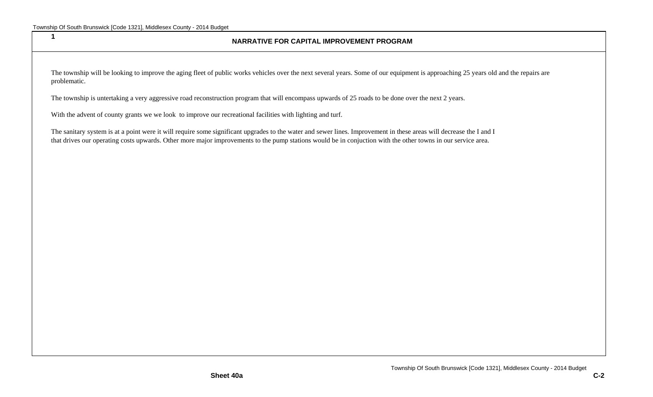**1**

#### **NARRATIVE FOR CAPITAL IMPROVEMENT PROGRAM**

The township will be looking to improve the aging fleet of public works vehicles over the next several years. Some of our equipment is approaching 25 years old and the repairs are problematic.

The township is untertaking a very aggressive road reconstruction program that will encompass upwards of 25 roads to be done over the next 2 years.

With the advent of county grants we we look to improve our recreational facilities with lighting and turf.

The sanitary system is at a point were it will require some significant upgrades to the water and sewer lines. Improvement in these areas will decrease the I and I that drives our operating costs upwards. Other more major improvements to the pump stations would be in conjuction with the other towns in our service area.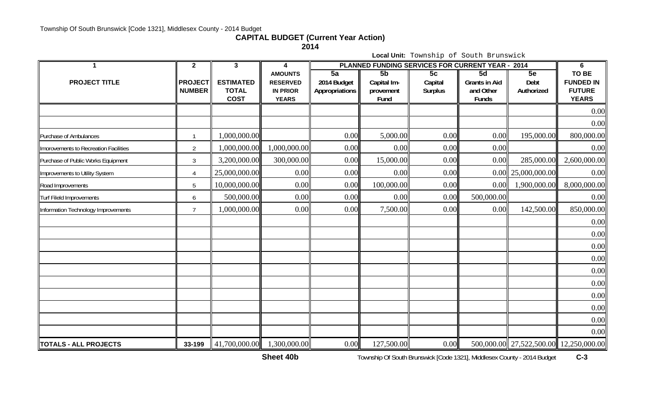## **CAPITAL BUDGET (Current Year Action)**

**2014**

**Local Unit:** Township of South Brunswick

|                                       | $\overline{2}$                  | 3                                               | 4                                                                    | PLANNED FUNDING SERVICES FOR CURRENT YEAR - 2014 | 6                                      |                                 |                                                  |                                        |                                                                   |
|---------------------------------------|---------------------------------|-------------------------------------------------|----------------------------------------------------------------------|--------------------------------------------------|----------------------------------------|---------------------------------|--------------------------------------------------|----------------------------------------|-------------------------------------------------------------------|
| <b>PROJECT TITLE</b>                  | <b>PROJECT</b><br><b>NUMBER</b> | <b>ESTIMATED</b><br><b>TOTAL</b><br><b>COST</b> | <b>AMOUNTS</b><br><b>RESERVED</b><br><b>IN PRIOR</b><br><b>YEARS</b> | 5a<br>2014 Budget<br>Appropriations              | 5b<br>Capital Im-<br>provement<br>Fund | 5c<br>Capital<br><b>Surplus</b> | 5d<br><b>Grants in Aid</b><br>and Other<br>Funds | 5e<br>Debt<br>Authorized               | <b>TO BE</b><br><b>FUNDED IN</b><br><b>FUTURE</b><br><b>YEARS</b> |
|                                       |                                 |                                                 |                                                                      |                                                  |                                        |                                 |                                                  |                                        | 0.00                                                              |
|                                       |                                 |                                                 |                                                                      |                                                  |                                        |                                 |                                                  |                                        | 0.00                                                              |
| Purchase of Ambulances                |                                 | 1,000,000.00                                    |                                                                      | 0.00                                             | 5,000.00                               | 0.00                            | 0.00                                             | 195,000.00                             | 800,000.00                                                        |
| Imorovements to Recreation Facilities | $\overline{2}$                  | 1,000,000.00                                    | 1,000,000.00                                                         | 0.00                                             | 0.00                                   | 0.00                            | 0.00                                             |                                        | 0.00                                                              |
| Purchase of Public Works Equipment    | $\mathfrak{Z}$                  | 3,200,000.00                                    | 300,000.00                                                           | 0.00                                             | 15,000.00                              | 0.00                            | 0.00                                             | 285,000.00                             | 2,600,000.00                                                      |
| Improvements to Utility System        | 4                               | 25,000,000.00                                   | 0.00                                                                 | 0.00                                             | 0.00                                   | 0.00                            |                                                  | $0.00$   25,000,000.00                 | 0.00                                                              |
| Road Improvements                     | 5                               | 10,000,000.00                                   | 0.00                                                                 | 0.00                                             | 100,000.00                             | 0.00                            | 0.00                                             | 1,900,000.00                           | 8,000,000.00                                                      |
| <b>Turf Fileld Improvements</b>       | 6                               | 500,000.00                                      | 0.00                                                                 | 0.00                                             | 0.00                                   | 0.00                            | 500,000.00                                       |                                        | 0.00                                                              |
| Information Technology Improvements   | $7\overline{ }$                 | 1,000,000.00                                    | 0.00                                                                 | 0.00                                             | 7,500.00                               | 0.00                            | 0.00                                             | 142,500.00                             | 850,000.00                                                        |
|                                       |                                 |                                                 |                                                                      |                                                  |                                        |                                 |                                                  |                                        | 0.00                                                              |
|                                       |                                 |                                                 |                                                                      |                                                  |                                        |                                 |                                                  |                                        | 0.00                                                              |
|                                       |                                 |                                                 |                                                                      |                                                  |                                        |                                 |                                                  |                                        | 0.00                                                              |
|                                       |                                 |                                                 |                                                                      |                                                  |                                        |                                 |                                                  |                                        | 0.00                                                              |
|                                       |                                 |                                                 |                                                                      |                                                  |                                        |                                 |                                                  |                                        | 0.00                                                              |
|                                       |                                 |                                                 |                                                                      |                                                  |                                        |                                 |                                                  |                                        | 0.00                                                              |
|                                       |                                 |                                                 |                                                                      |                                                  |                                        |                                 |                                                  |                                        | 0.00                                                              |
|                                       |                                 |                                                 |                                                                      |                                                  |                                        |                                 |                                                  |                                        | 0.00                                                              |
|                                       |                                 |                                                 |                                                                      |                                                  |                                        |                                 |                                                  |                                        | 0.00                                                              |
|                                       |                                 |                                                 |                                                                      |                                                  |                                        |                                 |                                                  |                                        | 0.00                                                              |
| <b>TOTALS - ALL PROJECTS</b>          | 33-199                          | 41,700,000.00                                   | 1,300,000.00                                                         | 0.00                                             | 127,500.00                             | 0.00                            |                                                  | 500,000.00 27,522,500.00 12,250,000.00 |                                                                   |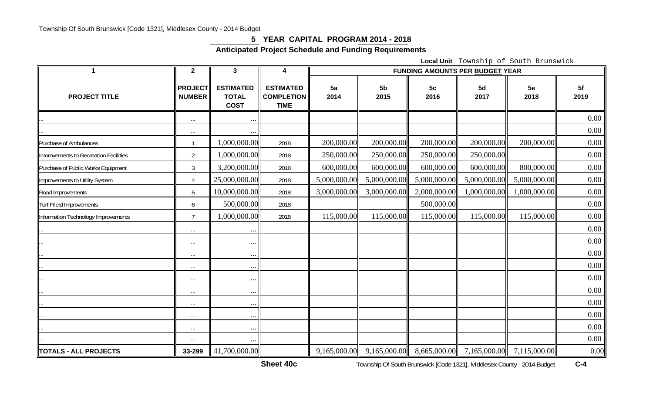#### **5 YEAR CAPITAL PROGRAM 2014 - 2018**

**Anticipated Project Schedule and Funding Requirements** 

**Local Unit** Township of South Brunswick

|                                       | $\mathbf{2}$                    | 3                                               | 4                                                    | <b>FUNDING AMOUNTS PER BUDGET YEAR</b> |                        |              |              |              |            |  |  |
|---------------------------------------|---------------------------------|-------------------------------------------------|------------------------------------------------------|----------------------------------------|------------------------|--------------|--------------|--------------|------------|--|--|
| <b>PROJECT TITLE</b>                  | <b>PROJECT</b><br><b>NUMBER</b> | <b>ESTIMATED</b><br><b>TOTAL</b><br><b>COST</b> | <b>ESTIMATED</b><br><b>COMPLETION</b><br><b>TIME</b> | 5a<br>2014                             | 5 <sub>b</sub><br>2015 | 5c<br>2016   | 5d<br>2017   | 5e<br>2018   | 5f<br>2019 |  |  |
|                                       | $\cdots$                        | $\ddotsc$                                       |                                                      |                                        |                        |              |              |              | 0.00       |  |  |
|                                       | $\ldots$                        | $\ddots$                                        |                                                      |                                        |                        |              |              |              | 0.00       |  |  |
| Purchase of Ambulances                | $\mathbf{1}$                    | 1,000,000.00                                    | 2018                                                 | 200,000.00                             | 200,000.00             | 200,000.00   | 200,000.00   | 200,000.00   | 0.00       |  |  |
| Imorovements to Recreation Facilities | $\overline{2}$                  | ,000,000.00                                     | 2018                                                 | 250,000.00                             | 250,000.00             | 250,000.00   | 250,000.00   |              | 0.00       |  |  |
| Purchase of Public Works Equipment    | $\mathfrak{Z}$                  | 3,200,000.00                                    | 2018                                                 | 600,000.00                             | 600,000.00             | 600,000.00   | 600,000.00   | 800,000.00   | 0.00       |  |  |
| Improvements to Utility System        | 4                               | 25,000,000.00                                   | 2018                                                 | 5,000,000.00                           | 5,000,000.00           | 5,000,000.00 | 5,000,000.00 | 5,000,000.00 | 0.00       |  |  |
| Road Improvements                     | 5                               | 10,000,000.00                                   | 2018                                                 | 3,000,000.00                           | 3,000,000.00           | 2,000,000.00 | 1,000,000.00 | 1,000,000.00 | 0.00       |  |  |
| <b>Turf Fileld Improvements</b>       | 6                               | 500,000.00                                      | 2018                                                 |                                        |                        | 500,000.00   |              |              | 0.00       |  |  |
| Information Technology Improvements   | $\overline{7}$                  | ,000,000.00                                     | 2018                                                 | 115,000.00                             | 115,000.00             | 115,000.00   | 115,000.00   | 115,000.00   | 0.00       |  |  |
|                                       | $\ldots$                        | $\ddots$                                        |                                                      |                                        |                        |              |              |              | 0.00       |  |  |
|                                       | $\ldots$                        | $\ddots$                                        |                                                      |                                        |                        |              |              |              | 0.00       |  |  |
|                                       | $\ldots$                        | $\ddots$                                        |                                                      |                                        |                        |              |              |              | 0.00       |  |  |
|                                       | $\cdots$                        | $\cdots$                                        |                                                      |                                        |                        |              |              |              | 0.00       |  |  |
|                                       | $\cdots$                        | $\cdots$                                        |                                                      |                                        |                        |              |              |              | 0.00       |  |  |
|                                       | $\cdots$                        | $\cdots$                                        |                                                      |                                        |                        |              |              |              | 0.00       |  |  |
|                                       | $\ldots$                        | $\cdots$                                        |                                                      |                                        |                        |              |              |              | 0.00       |  |  |
|                                       | $\ldots$                        | $\ddots$                                        |                                                      |                                        |                        |              |              |              | 0.00       |  |  |
|                                       | $\ldots$                        | $\cdots$                                        |                                                      |                                        |                        |              |              |              | 0.00       |  |  |
|                                       |                                 | $\ddots$                                        |                                                      |                                        |                        |              |              |              | 0.00       |  |  |
| TOTALS - ALL PROJECTS                 | 33-299                          | 41,700,000.00                                   |                                                      | 9,165,000.00                           | 9,165,000.00           | 8,665,000.00 | 7,165,000.00 | 7,115,000.00 | 0.00       |  |  |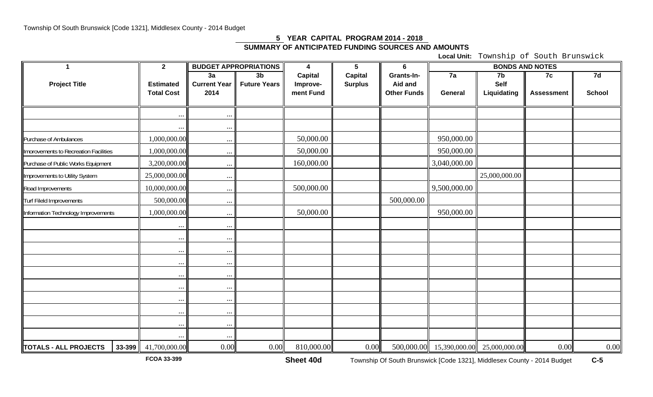# **5 YEAR CAPITAL PROGRAM 2014 - 2018 SUMMARY OF ANTICIPATED FUNDING SOURCES AND AMOUNTS**

**Local Unit:** Township of South Brunswick

| 1                                     | $\overline{2}$                        |                             | <b>BUDGET APPROPRIATIONS</b> | $\overline{\mathbf{4}}$ | $5\phantom{.0}$ | 6                             |                | <b>BONDS AND NOTES</b> |                   |               |  |
|---------------------------------------|---------------------------------------|-----------------------------|------------------------------|-------------------------|-----------------|-------------------------------|----------------|------------------------|-------------------|---------------|--|
|                                       |                                       | 3a                          | 3 <sub>b</sub>               | <b>Capital</b>          | Capital         | Grants-In-                    | 7a             | 7b                     | 7c                | 7d            |  |
| <b>Project Title</b>                  | <b>Estimated</b><br><b>Total Cost</b> | <b>Current Year</b><br>2014 | <b>Future Years</b>          | Improve-<br>ment Fund   | <b>Surplus</b>  | Aid and<br><b>Other Funds</b> | <b>General</b> | Self                   |                   | <b>School</b> |  |
|                                       |                                       |                             |                              |                         |                 |                               |                | Liquidating            | <b>Assessment</b> |               |  |
|                                       |                                       |                             |                              |                         |                 |                               |                |                        |                   |               |  |
|                                       |                                       |                             |                              |                         |                 |                               |                |                        |                   |               |  |
|                                       | $\ldots$                              | $\cdots$                    |                              |                         |                 |                               |                |                        |                   |               |  |
| Purchase of Ambulances                | 1,000,000.00                          | $\cdots$                    |                              | 50,000.00               |                 |                               | 950,000.00     |                        |                   |               |  |
| Imorovements to Recreation Facilities | 1,000,000.00                          | $\ldots$                    |                              | 50,000.00               |                 |                               | 950,000.00     |                        |                   |               |  |
| Purchase of Public Works Equipment    | 3,200,000.00                          | $\cdots$                    |                              | 160,000.00              |                 |                               | 3,040,000.00   |                        |                   |               |  |
| Improvements to Utility System        | 25,000,000.00                         | $\ldots$                    |                              |                         |                 |                               |                | 25,000,000.00          |                   |               |  |
| Road Improvements                     | 10,000,000.00                         | $\ldots$                    |                              | 500,000.00              |                 |                               | 9,500,000.00   |                        |                   |               |  |
| Turf Fileld Improvements              | 500,000.00                            | $\cdots$                    |                              |                         |                 | 500,000.00                    |                |                        |                   |               |  |
| Information Technology Improvements   | 1,000,000.00                          | $\cdots$                    |                              | 50,000.00               |                 |                               | 950,000.00     |                        |                   |               |  |
|                                       | $\cdots$                              | $\ddots$                    |                              |                         |                 |                               |                |                        |                   |               |  |
|                                       | $\ldots$                              | $\cdots$                    |                              |                         |                 |                               |                |                        |                   |               |  |
|                                       | $\cdots$                              | $\cdots$                    |                              |                         |                 |                               |                |                        |                   |               |  |
|                                       | $\cdots$                              | $\ldots$                    |                              |                         |                 |                               |                |                        |                   |               |  |
|                                       | $\cdots$                              | $\cdots$                    |                              |                         |                 |                               |                |                        |                   |               |  |
|                                       | $\cdots$                              | $\ldots$                    |                              |                         |                 |                               |                |                        |                   |               |  |
|                                       | $\ldots$                              | $\cdots$                    |                              |                         |                 |                               |                |                        |                   |               |  |
|                                       | $\cdots$                              | $\ddots$                    |                              |                         |                 |                               |                |                        |                   |               |  |
|                                       | $\ddots$                              | $\cdots$                    |                              |                         |                 |                               |                |                        |                   |               |  |
|                                       |                                       | $\ddotsc$                   |                              |                         |                 |                               |                |                        |                   |               |  |
| TOTALS - ALL PROJECTS                 | 33-399 41,700,000.00                  | 0.00                        | 0.00                         | 810,000.00              | 0.00            | 500,000.00                    | 15,390,000.00  | 25,000,000.00          | 0.00              | 0.00          |  |

**FCOA 33-399**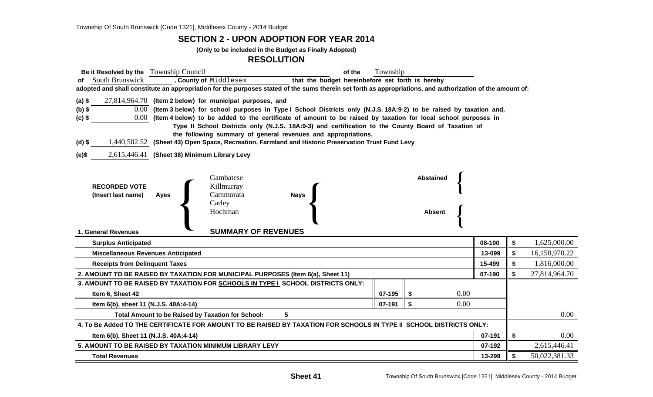#### **SECTION 2 - UPON ADOPTION FOR YEAR 2014**

**(Only to be included in the Budget as Finally Adopted)**

#### **RESOLUTION**

| Be it Resolved by the Township Council<br>of the                                                                                                                                                                                                                            | Township |                  |        |    |               |  |  |  |  |  |
|-----------------------------------------------------------------------------------------------------------------------------------------------------------------------------------------------------------------------------------------------------------------------------|----------|------------------|--------|----|---------------|--|--|--|--|--|
| South Brunswick<br>, County of Middlesex<br>that the budget hereinbefore set forth is hereby<br>of<br>adopted and shall constitute an appropriation for the purposes stated of the sums therein set forth as appropriations, and authorization of the amount of:            |          |                  |        |    |               |  |  |  |  |  |
|                                                                                                                                                                                                                                                                             |          |                  |        |    |               |  |  |  |  |  |
| $27,814,964.70$ (Item 2 below) for municipal purposes, and<br>$(a)$ \$                                                                                                                                                                                                      |          |                  |        |    |               |  |  |  |  |  |
| 0.00 (Item 3 below) for school purposes in Type I School Districts only (N.J.S. 18A:9-2) to be raised by taxation and,<br>$(b)$ \$<br>$0.00\,$<br>(Item 4 below) to be added to the certificate of amount to be raised by taxation for local school purposes in<br>$(c)$ \$ |          |                  |        |    |               |  |  |  |  |  |
| Type II School Districts only (N.J.S. 18A:9-3) and certification to the County Board of Taxation of                                                                                                                                                                         |          |                  |        |    |               |  |  |  |  |  |
| the following summary of general revenues and appropriations.                                                                                                                                                                                                               |          |                  |        |    |               |  |  |  |  |  |
| 1,440,502.52 (Sheet 43) Open Space, Recreation, Farmland and Historic Preservation Trust Fund Levy<br>$(d)$ \$                                                                                                                                                              |          |                  |        |    |               |  |  |  |  |  |
| 2,615,446.41 (Sheet 38) Minimum Library Levy<br>(e)\$                                                                                                                                                                                                                       |          |                  |        |    |               |  |  |  |  |  |
|                                                                                                                                                                                                                                                                             |          |                  |        |    |               |  |  |  |  |  |
| Gambatese                                                                                                                                                                                                                                                                   |          | <b>Abstained</b> |        |    |               |  |  |  |  |  |
| <b>RECORDED VOTE</b><br>Killmurray                                                                                                                                                                                                                                          |          |                  |        |    |               |  |  |  |  |  |
| Cammorata<br>(Insert last name)<br>Ayes<br><b>Nays</b><br>Carley                                                                                                                                                                                                            |          |                  |        |    |               |  |  |  |  |  |
| Hochman                                                                                                                                                                                                                                                                     |          | <b>Absent</b>    |        |    |               |  |  |  |  |  |
|                                                                                                                                                                                                                                                                             |          |                  |        |    |               |  |  |  |  |  |
| <b>SUMMARY OF REVENUES</b><br>1. General Revenues                                                                                                                                                                                                                           |          |                  |        |    |               |  |  |  |  |  |
| <b>Surplus Anticipated</b>                                                                                                                                                                                                                                                  |          |                  | 08-100 | \$ | 1,625,000.00  |  |  |  |  |  |
| <b>Miscellaneous Revenues Anticipated</b>                                                                                                                                                                                                                                   |          |                  | 13-099 | \$ | 16,150,970.22 |  |  |  |  |  |
| <b>Receipts from Delinquent Taxes</b>                                                                                                                                                                                                                                       |          |                  | 15-499 | \$ | 1,816,000.00  |  |  |  |  |  |
| 2. AMOUNT TO BE RAISED BY TAXATION FOR MUNICIPAL PURPOSES (Item 6(a), Sheet 11)                                                                                                                                                                                             |          |                  | 07-190 | \$ | 27,814,964.70 |  |  |  |  |  |
| 3. AMOUNT TO BE RAISED BY TAXATION FOR SCHOOLS IN TYPE I SCHOOL DISTRICTS ONLY:                                                                                                                                                                                             |          |                  |        |    |               |  |  |  |  |  |
| Item 6, Sheet 42                                                                                                                                                                                                                                                            | 0.00     |                  |        |    |               |  |  |  |  |  |
| Item 6(b), sheet 11 (N.J.S. 40A:4-14)                                                                                                                                                                                                                                       | 0.00     |                  |        |    |               |  |  |  |  |  |
| 5<br><b>Total Amount to be Raised by Taxation for School:</b>                                                                                                                                                                                                               |          |                  |        |    |               |  |  |  |  |  |
| 4. To Be Added TO THE CERTIFICATE FOR AMOUNT TO BE RAISED BY TAXATION FOR SCHOOLS IN TYPE II SCHOOL DISTRICTS ONLY:                                                                                                                                                         |          |                  |        |    |               |  |  |  |  |  |
| Item 6(b), Sheet 11 (N.J.S. 40A:4-14)                                                                                                                                                                                                                                       |          |                  | 07-191 | \$ | 0.00          |  |  |  |  |  |
| 5. AMOUNT TO BE RAISED BY TAXATION MINIMUM LIBRARY LEVY                                                                                                                                                                                                                     |          |                  | 07-192 |    | 2,615,446.41  |  |  |  |  |  |
| <b>Total Revenues</b>                                                                                                                                                                                                                                                       |          |                  | 13-299 | \$ | 50,022,381.33 |  |  |  |  |  |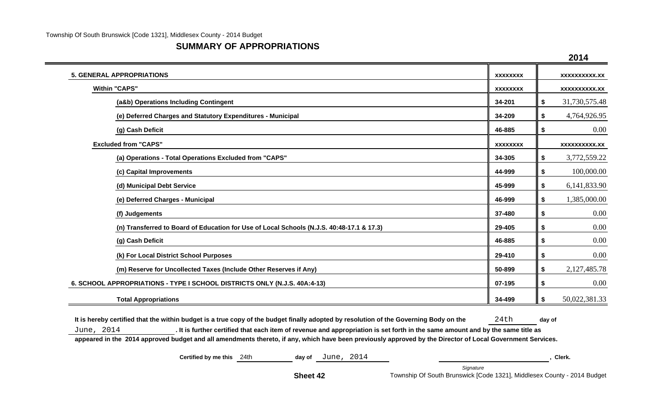### **SUMMARY OF APPROPRIATIONS**

|                                                                                           |                 | 2014                 |
|-------------------------------------------------------------------------------------------|-----------------|----------------------|
| <b>5. GENERAL APPROPRIATIONS</b>                                                          | <b>XXXXXXXX</b> | <b>XXXXXXXXXX.XX</b> |
| <b>Within "CAPS"</b>                                                                      | <b>XXXXXXXX</b> | <b>XXXXXXXXXX.XX</b> |
| (a&b) Operations Including Contingent                                                     | 34-201          | \$<br>31,730,575.48  |
| (e) Deferred Charges and Statutory Expenditures - Municipal                               | 34-209          | \$<br>4,764,926.95   |
| (g) Cash Deficit                                                                          | 46-885          | \$<br>0.00           |
| <b>Excluded from "CAPS"</b>                                                               | <b>XXXXXXXX</b> | <b>XXXXXXXXXX.XX</b> |
| (a) Operations - Total Operations Excluded from "CAPS"                                    | 34-305          | \$<br>3,772,559.22   |
| (c) Capital Improvements                                                                  | 44-999          | \$<br>100,000.00     |
| (d) Municipal Debt Service                                                                | 45-999          | \$<br>6,141,833.90   |
| (e) Deferred Charges - Municipal                                                          | 46-999          | \$<br>1,385,000.00   |
| (f) Judgements                                                                            | 37-480          | \$<br>$0.00\,$       |
| (n) Transferred to Board of Education for Use of Local Schools (N.J.S. 40:48-17.1 & 17.3) | 29-405          | \$<br>$0.00\,$       |
| (g) Cash Deficit                                                                          | 46-885          | \$<br>$0.00\,$       |
| (k) For Local District School Purposes                                                    | 29-410          | \$<br>0.00           |
| (m) Reserve for Uncollected Taxes (Include Other Reserves if Any)                         | 50-899          | \$<br>2,127,485.78   |
| 6. SCHOOL APPROPRIATIONS - TYPE I SCHOOL DISTRICTS ONLY (N.J.S. 40A:4-13)                 | 07-195          | \$<br>0.00           |
| <b>Total Appropriations</b>                                                               | 34-499          | \$<br>50,022,381.33  |

It is hereby certified that the within budget is a true copy of the budget finally adopted by resolution of the Governing Body on the 24th day of June, 2014 **. It is further certified that each item of revenue and appropriation is set forth in the same amount and by the same title as** 

**appeared in the 2014 approved budget and all amendments thereto, if any, which have been previously approved by the Director of Local Government Services.**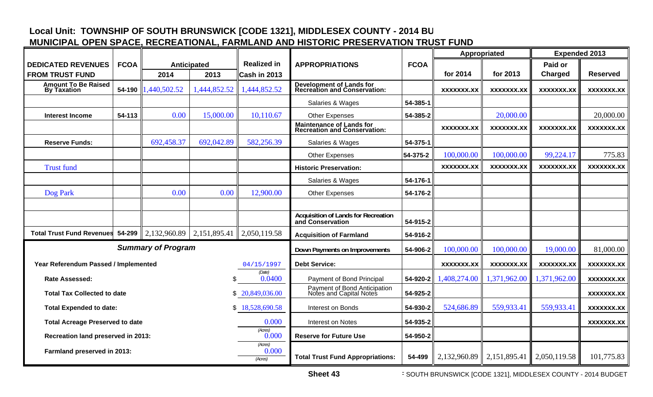## **Local Unit: TOWNSHIP OF SOUTH BRUNSWICK [CODE 1321], MIDDLESEX COUNTY - 2014 B U MUNICIPAL OPEN SPACE, RECREATIONAL, FARMLAND AND HISTORIC PRESERVATION TRUST FUND**

|                                                  |             |                           |                    |                             |                                                                  |             |                   | Appropriated      | <b>Expended 2013</b> |                   |
|--------------------------------------------------|-------------|---------------------------|--------------------|-----------------------------|------------------------------------------------------------------|-------------|-------------------|-------------------|----------------------|-------------------|
| <b>DEDICATED REVENUES</b>                        | <b>FCOA</b> |                           | <b>Anticipated</b> | <b>Realized in</b>          | <b>APPROPRIATIONS</b>                                            | <b>FCOA</b> |                   |                   | Paid or              |                   |
| <b>FROM TRUST FUND</b>                           |             | 2014                      | 2013               | Cash in 2013                |                                                                  |             | for 2014          | for 2013          | <b>Charged</b>       | <b>Reserved</b>   |
| <b>Amount To Be Raised</b><br><b>By Taxation</b> | 54-190      | 1,440,502.52              | 1,444,852.52       | 1,444,852.52                | <b>Development of Lands for<br/>Recreation and Conservation:</b> |             | XXXXXXX.XX        | XXXXXXX.XX        | XXXXXXX.XX           | XXXXXXX.XX        |
|                                                  |             |                           |                    |                             | Salaries & Wages                                                 | 54-385-1    |                   |                   |                      |                   |
| <b>Interest Income</b>                           | 54-113      | 0.00                      | 15,000.00          | 10,110.67                   | <b>Other Expenses</b>                                            | 54-385-2    |                   | 20,000.00         |                      | 20,000.00         |
|                                                  |             |                           |                    |                             | <b>Maintenance of Lands for<br/>Recreation and Conservation:</b> |             | <b>XXXXXXX.XX</b> | <b>XXXXXXX.XX</b> | XXXXXXX.XX           | <b>XXXXXXX.XX</b> |
| <b>Reserve Funds:</b>                            |             | 692,458.37                | 692,042.89         | 582,256.39                  | Salaries & Wages                                                 | 54-375-1    |                   |                   |                      |                   |
|                                                  |             |                           |                    |                             | <b>Other Expenses</b>                                            | 54-375-2    | 100,000.00        | 100,000.00        | 99,224.17            | 775.83            |
| <b>Trust fund</b>                                |             |                           |                    |                             | <b>Historic Preservation:</b>                                    |             | XXXXXXX.XX        | XXXXXXX.XX        | XXXXXXX.XX           | <b>XXXXXXX.XX</b> |
|                                                  |             |                           |                    |                             | Salaries & Wages                                                 | 54-176-1    |                   |                   |                      |                   |
| Dog Park                                         |             | 0.00                      | 0.00               | 12,900.00                   | <b>Other Expenses</b>                                            | 54-176-2    |                   |                   |                      |                   |
|                                                  |             |                           |                    |                             |                                                                  |             |                   |                   |                      |                   |
|                                                  |             |                           |                    |                             | <b>Acquisition of Lands for Recreation</b><br>and Conservation   | 54-915-2    |                   |                   |                      |                   |
| <b>Total Trust Fund Revenues</b>                 | 54-299      | 2,132,960.89              | 2,151,895.41       | 2,050,119.58                | <b>Acquisition of Farmland</b>                                   | 54-916-2    |                   |                   |                      |                   |
|                                                  |             | <b>Summary of Program</b> |                    |                             | Down Payments on Improvements                                    | 54-906-2    | 100,000.00        | 100,000.00        | 19,000.00            | 81,000.00         |
| Year Referendum Passed / Implemented             |             |                           |                    | 04/15/1997                  | <b>Debt Service:</b>                                             |             | <b>XXXXXXX.XX</b> | <b>XXXXXXX.XX</b> | <b>XXXXXXX.XX</b>    | <b>XXXXXXX.XX</b> |
| <b>Rate Assessed:</b>                            |             |                           | ß.                 | (Date)<br>0.0400            | Payment of Bond Principal                                        | 54-920-2    | 1,408,274.00      | 1,371,962.00      | 1,371,962.00         | <b>XXXXXXX.XX</b> |
| <b>Total Tax Collected to date</b>               |             |                           | \$                 | 20,849,036.00               | Payment of Bond Anticipation<br>Notes and Capital Notes          | 54-925-2    |                   |                   |                      | <b>XXXXXXX.XX</b> |
| <b>Total Expended to date:</b>                   |             |                           |                    | \$18,528,690.58             | Interest on Bonds                                                | 54-930-2    | 524,686.89        | 559,933.41        | 559,933.41           | XXXXXXX.XX        |
| <b>Total Acreage Preserved to date</b>           |             |                           |                    | 0.000                       | Interest on Notes                                                | 54-935-2    |                   |                   |                      | <b>XXXXXXX.XX</b> |
| Recreation land preserved in 2013:               |             |                           |                    | (Acres)<br>0.000            | <b>Reserve for Future Use</b>                                    | 54-950-2    |                   |                   |                      |                   |
| Farmland preserved in 2013:                      |             |                           |                    | (Acres)<br>0.000<br>(Acres) | <b>Total Trust Fund Appropriations:</b>                          | 54-499      | 2,132,960.89      | 2,151,895.41      | 2,050,119.58         | 101,775.83        |